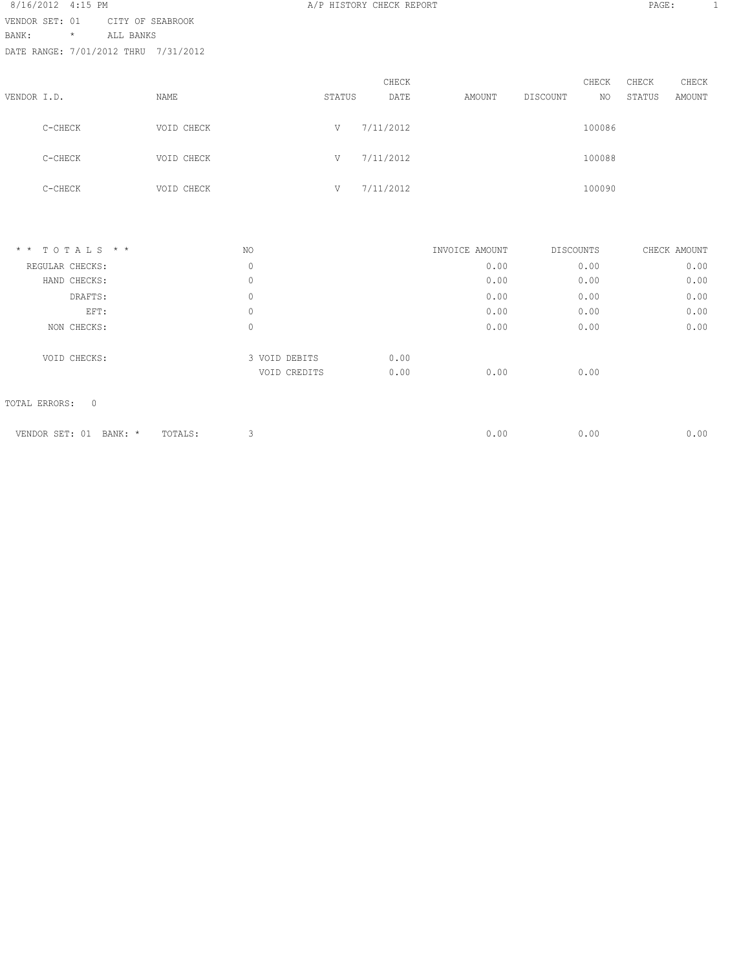| 8/16/2012 4:15 PM |         |                                      |        | A/P HISTORY CHECK REPORT |        |          |        | PAGE:  | $\mathbf{1}$ |  |
|-------------------|---------|--------------------------------------|--------|--------------------------|--------|----------|--------|--------|--------------|--|
| VENDOR SET: 01    |         | CITY OF SEABROOK                     |        |                          |        |          |        |        |              |  |
| BANK:             | $\star$ | ALL BANKS                            |        |                          |        |          |        |        |              |  |
|                   |         | DATE RANGE: 7/01/2012 THRU 7/31/2012 |        |                          |        |          |        |        |              |  |
|                   |         |                                      |        |                          |        |          |        |        |              |  |
|                   |         |                                      |        | CHECK                    |        |          | CHECK  | CHECK  | CHECK        |  |
| VENDOR I.D.       |         | NAME                                 | STATUS | DATE                     | AMOUNT | DISCOUNT | NO     | STATUS | AMOUNT       |  |
|                   |         |                                      |        |                          |        |          |        |        |              |  |
|                   | C-CHECK | VOID CHECK                           | V      | 7/11/2012                |        |          | 100086 |        |              |  |
|                   |         |                                      |        |                          |        |          |        |        |              |  |
|                   | C-CHECK | VOID CHECK                           | V      | 7/11/2012                |        |          | 100088 |        |              |  |
|                   |         |                                      |        |                          |        |          |        |        |              |  |
|                   | C-CHECK | VOID CHECK                           | V      | 7/11/2012                |        |          | 100090 |        |              |  |
|                   |         |                                      |        |                          |        |          |        |        |              |  |
|                   |         |                                      |        |                          |        |          |        |        |              |  |
|                   |         |                                      |        |                          |        |          |        |        |              |  |

| $*$ * TOTALS * *                | NO.         |               | INVOICE AMOUNT |      | DISCOUNTS | CHECK AMOUNT |
|---------------------------------|-------------|---------------|----------------|------|-----------|--------------|
| REGULAR CHECKS:                 | 0           |               |                | 0.00 | 0.00      | 0.00         |
| HAND CHECKS:                    | $\mathbb O$ |               |                | 0.00 | 0.00      | 0.00         |
| DRAFTS:                         | $\mathbb O$ |               |                | 0.00 | 0.00      | 0.00         |
| EFT:                            | $\mathbb O$ |               |                | 0.00 | 0.00      | 0.00         |
| NON CHECKS:                     | 0           |               |                | 0.00 | 0.00      | 0.00         |
| VOID CHECKS:                    |             | 3 VOID DEBITS | 0.00           |      |           |              |
|                                 |             | VOID CREDITS  | 0.00           | 0.00 | 0.00      |              |
| TOTAL ERRORS:<br>$\overline{0}$ |             |               |                |      |           |              |

| VENDOR<br>епт.<br>BANK:<br>SET:<br>- - - | $m \wedge m \wedge r \wedge$<br>IUTALS : |  | J.OO. | J.OO | . <b>.</b> v v |
|------------------------------------------|------------------------------------------|--|-------|------|----------------|
|                                          |                                          |  |       |      |                |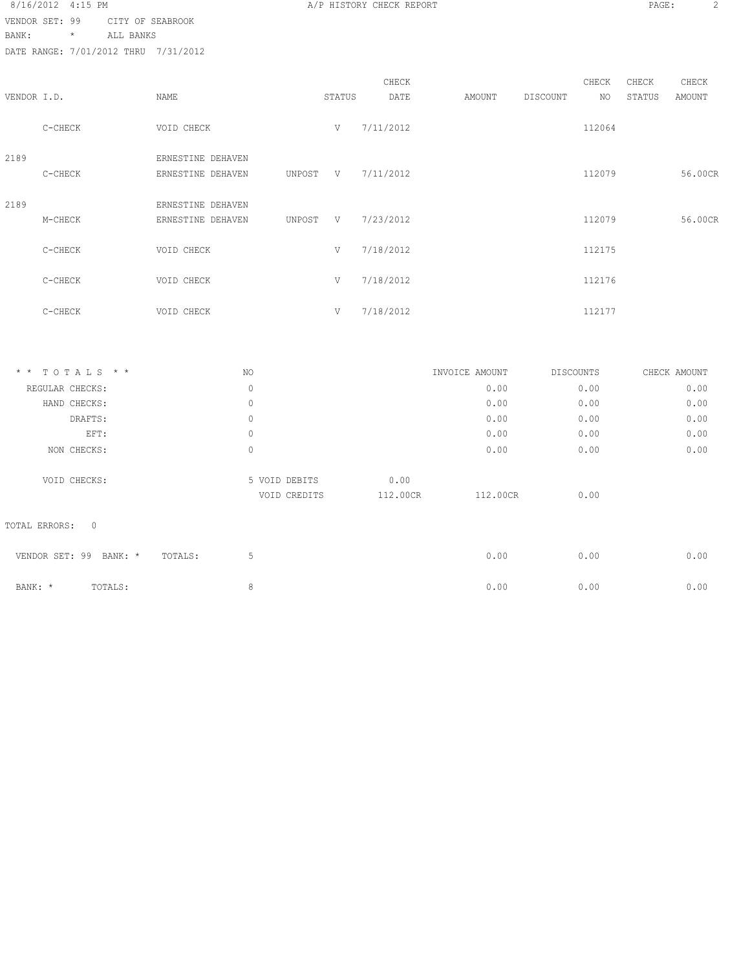8/16/2012 4:15 PM **B A/P HISTORY CHECK REPORT PAGE:** 2 VENDOR SET: 99 CITY OF SEABROOK

BANK: \* ALL BANKS

| VENDOR I.D. |         | NAME                                   |        | STATUS | CHECK<br>DATE | AMOUNT | DISCOUNT | CHECK<br>NO. | CHECK<br>STATUS | CHECK<br>AMOUNT |
|-------------|---------|----------------------------------------|--------|--------|---------------|--------|----------|--------------|-----------------|-----------------|
|             | C-CHECK | VOID CHECK                             |        | V      | 7/11/2012     |        |          | 112064       |                 |                 |
| 2189        | C-CHECK | ERNESTINE DEHAVEN<br>ERNESTINE DEHAVEN | UNPOST | $-V$   | 7/11/2012     |        |          | 112079       |                 | 56.00CR         |
| 2189        | M-CHECK | ERNESTINE DEHAVEN<br>ERNESTINE DEHAVEN | UNPOST | V      | 7/23/2012     |        |          | 112079       |                 | 56.00CR         |
|             | C-CHECK | VOID CHECK                             |        | V      | 7/18/2012     |        |          | 112175       |                 |                 |
|             | C-CHECK | VOID CHECK                             |        | V      | 7/18/2012     |        |          | 112176       |                 |                 |
|             | C-CHECK | VOID CHECK                             |        | V      | 7/18/2012     |        |          | 112177       |                 |                 |

| * * TOTALS * *                  | NO.                           |                  | INVOICE AMOUNT | DISCOUNTS | CHECK AMOUNT |
|---------------------------------|-------------------------------|------------------|----------------|-----------|--------------|
| REGULAR CHECKS:                 | $\circ$                       |                  | 0.00           | 0.00      | 0.00         |
| HAND CHECKS:                    | $\circ$                       |                  | 0.00           | 0.00      | 0.00         |
| DRAFTS:                         | $\circ$                       |                  | 0.00           | 0.00      | 0.00         |
| EFT:                            | $\mathbb O$                   |                  | 0.00           | 0.00      | 0.00         |
| NON CHECKS:                     | $\circ$                       |                  | 0.00           | 0.00      | 0.00         |
| VOID CHECKS:                    | 5 VOID DEBITS<br>VOID CREDITS | 0.00<br>112.00CR | 112.00CR       | 0.00      |              |
| $\overline{0}$<br>TOTAL ERRORS: |                               |                  |                |           |              |
| VENDOR SET: 99<br>BANK: *       | 5<br>TOTALS:                  |                  | 0.00           | 0.00      | 0.00         |
| BANK: *<br>TOTALS:              | 8                             |                  | 0.00           | 0.00      | 0.00         |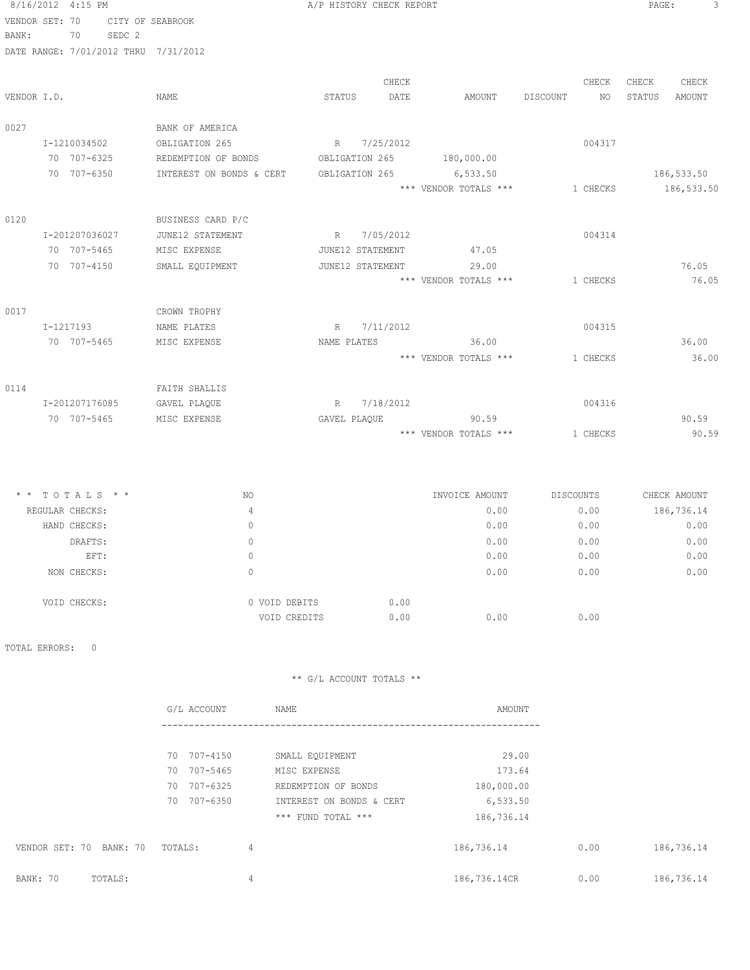| 8/16/2012 4:15 PM |                |        |                                      |              | A/P HISTORY CHECK REPORT |                       |          |          | PAGE:  | 3           |
|-------------------|----------------|--------|--------------------------------------|--------------|--------------------------|-----------------------|----------|----------|--------|-------------|
| VENDOR SET: 70    |                |        | CITY OF SEABROOK                     |              |                          |                       |          |          |        |             |
| BANK:             | 70             | SEDC 2 |                                      |              |                          |                       |          |          |        |             |
|                   |                |        | DATE RANGE: 7/01/2012 THRU 7/31/2012 |              |                          |                       |          |          |        |             |
|                   |                |        |                                      |              | CHECK                    |                       |          | CHECK    | CHECK  | CHECK       |
| VENDOR I.D.       |                |        | NAME                                 | STATUS       | DATE                     | AMOUNT                | DISCOUNT | NO       | STATUS | AMOUNT      |
| 0027              |                |        | BANK OF AMERICA                      |              |                          |                       |          |          |        |             |
|                   | I-1210034502   |        | OBLIGATION 265                       | R            | 7/25/2012                |                       |          | 004317   |        |             |
|                   | 70 707-6325    |        | REDEMPTION OF BONDS                  |              | OBLIGATION 265           | 180,000.00            |          |          |        |             |
|                   | 70 707-6350    |        | INTEREST ON BONDS & CERT             |              | OBLIGATION 265           | 6,533.50              |          |          |        | 186,533.50  |
|                   |                |        |                                      |              |                          | *** VENDOR TOTALS *** |          | 1 CHECKS |        | 186, 533.50 |
| 0120              |                |        | BUSINESS CARD P/C                    |              |                          |                       |          |          |        |             |
|                   | I-201207036027 |        | JUNE12 STATEMENT                     | R            | 7/05/2012                |                       |          | 004314   |        |             |
|                   | 70 707-5465    |        | MISC EXPENSE                         |              | JUNE12 STATEMENT         | 47.05                 |          |          |        |             |
|                   | 70 707-4150    |        | SMALL EQUIPMENT                      |              | JUNE12 STATEMENT         | 29.00                 |          |          |        | 76.05       |
|                   |                |        |                                      |              |                          | *** VENDOR TOTALS *** |          | 1 CHECKS |        | 76.05       |
| 0017              |                |        | CROWN TROPHY                         |              |                          |                       |          |          |        |             |
|                   | I-1217193      |        | NAME PLATES                          | R            | 7/11/2012                |                       |          | 004315   |        |             |
|                   | 70 707-5465    |        | MISC EXPENSE                         | NAME PLATES  |                          | 36.00                 |          |          |        | 36.00       |
|                   |                |        |                                      |              |                          | *** VENDOR TOTALS *** |          | 1 CHECKS |        | 36.00       |
| 0114              |                |        | FAITH SHALLIS                        |              |                          |                       |          |          |        |             |
|                   | I-201207176085 |        | GAVEL PLAQUE                         | R            | 7/18/2012                |                       |          | 004316   |        |             |
|                   | 70 707-5465    |        | MISC EXPENSE                         | GAVEL PLAQUE |                          | 90.59                 |          |          |        | 90.59       |
|                   |                |        |                                      |              |                          | *** VENDOR TOTALS *** |          | 1 CHECKS |        | 90.59       |

| $*$ * TOTALS * * | NO            | INVOICE AMOUNT | DISCOUNTS | CHECK AMOUNT       |
|------------------|---------------|----------------|-----------|--------------------|
| REGULAR CHECKS:  | 4             |                | 0.00      | 186,736.14<br>0.00 |
| HAND CHECKS:     | 0             |                | 0.00      | 0.00<br>0.00       |
| DRAFTS:          | 0             |                | 0.00      | 0.00<br>0.00       |
| EFT:             | 0             |                | 0.00      | 0.00<br>0.00       |
| NON CHECKS:      | 0             |                | 0.00      | 0.00<br>0.00       |
| VOID CHECKS:     | 0 VOID DEBITS | 0.00           |           |                    |
|                  | VOID CREDITS  | 0.00           | 0.00      | 0.00               |

TOTAL ERRORS: 0

|                            | G/L ACCOUNT    | NAME                     | AMOUNT       |      |            |
|----------------------------|----------------|--------------------------|--------------|------|------------|
|                            |                |                          |              |      |            |
|                            | 70 707-4150    | SMALL EQUIPMENT          | 29.00        |      |            |
|                            | 70 707-5465    | MISC EXPENSE             | 173.64       |      |            |
|                            | 70<br>707-6325 | REDEMPTION OF BONDS      | 180,000.00   |      |            |
|                            | 707-6350<br>70 | INTEREST ON BONDS & CERT | 6, 533.50    |      |            |
|                            |                | *** FUND TOTAL ***       | 186,736.14   |      |            |
| VENDOR SET: 70<br>BANK: 70 | TOTALS:        | 4                        | 186,736.14   | 0.00 | 186,736.14 |
| BANK: 70<br>TOTALS:        |                | 4                        | 186,736.14CR | 0.00 | 186,736.14 |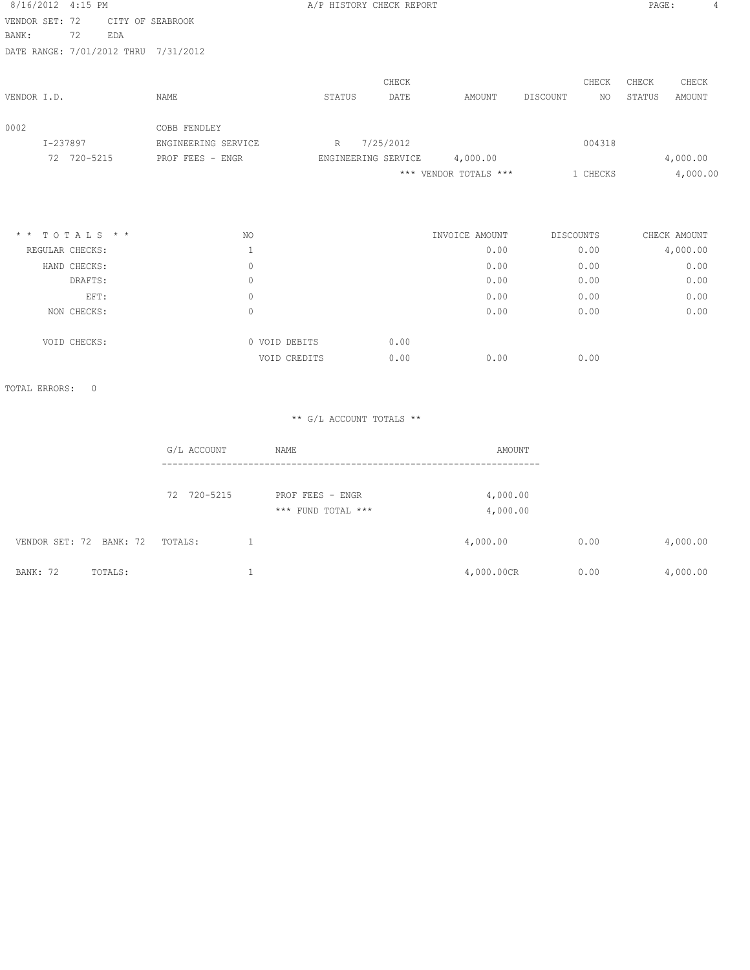| 8/16/2012 4:15 PM                                                                                                                                       |                     | A/P HISTORY CHECK REPORT |           |                       |                | PAGE:  |              |
|---------------------------------------------------------------------------------------------------------------------------------------------------------|---------------------|--------------------------|-----------|-----------------------|----------------|--------|--------------|
| VENDOR SET: 72                                                                                                                                          | CITY OF SEABROOK    |                          |           |                       |                |        |              |
| 72<br>BANK:<br>EDA                                                                                                                                      |                     |                          |           |                       |                |        |              |
| DATE RANGE: 7/01/2012 THRU                                                                                                                              | 7/31/2012           |                          |           |                       |                |        |              |
|                                                                                                                                                         |                     |                          | CHECK     |                       | CHECK          | CHECK  | CHECK        |
| VENDOR I.D.                                                                                                                                             | NAME                | STATUS                   | DATE      | AMOUNT                | DISCOUNT<br>NO | STATUS | AMOUNT       |
| 0002                                                                                                                                                    | COBB FENDLEY        |                          |           |                       |                |        |              |
| I-237897                                                                                                                                                | ENGINEERING SERVICE | R                        | 7/25/2012 |                       | 004318         |        |              |
| 72 720-5215                                                                                                                                             | PROF FEES - ENGR    | ENGINEERING SERVICE      |           | 4,000.00              |                |        | 4,000.00     |
|                                                                                                                                                         |                     |                          |           | *** VENDOR TOTALS *** | 1 CHECKS       |        | 4,000.00     |
|                                                                                                                                                         |                     |                          |           |                       |                |        |              |
| $\begin{array}{cccccccccccccc} \star & \star & \texttt{T} & \texttt{O} & \texttt{T} & \texttt{A} & \texttt{L} & \texttt{S} & \star & \star \end{array}$ | NO.                 |                          |           | INVOICE AMOUNT        | DISCOUNTS      |        | CHECK AMOUNT |
| REGULAR CHECKS:                                                                                                                                         |                     |                          |           | 0.00                  | 0.00           |        | 4,000.00     |
| HAND CHECKS:                                                                                                                                            | $\circ$             |                          |           | 0.00                  | 0.00           |        | 0.00         |
| DRAFTS:                                                                                                                                                 | $\circ$             |                          |           | 0.00                  | 0.00           |        | 0.00         |
| EFT:                                                                                                                                                    | $\circ$             |                          |           | 0.00                  | 0.00           |        | 0.00         |
| NON CHECKS:                                                                                                                                             | $\circ$             |                          |           | 0.00                  | 0.00           |        | 0.00         |

| WUN CHECING. |               |      | <u>v.vv</u> | $\vee \cdot \vee \vee$ |
|--------------|---------------|------|-------------|------------------------|
| VOID CHECKS: | 0 VOID DEBITS | 0.00 |             |                        |
|              | VOID CREDITS  | 0.00 | 0.00        | 0.00                   |

TOTAL ERRORS: 0

|                            | G/L ACCOUNT | NAME                                   | AMOUNT               |      |          |
|----------------------------|-------------|----------------------------------------|----------------------|------|----------|
|                            | 72 720-5215 | PROF FEES - ENGR<br>*** FUND TOTAL *** | 4,000.00<br>4,000.00 |      |          |
| VENDOR SET: 72 BANK: 72    | TOTALS:     |                                        | 4,000.00             | 0.00 | 4,000.00 |
| <b>BANK: 72</b><br>TOTALS: |             |                                        | 4,000.00CR           | 0.00 | 4,000.00 |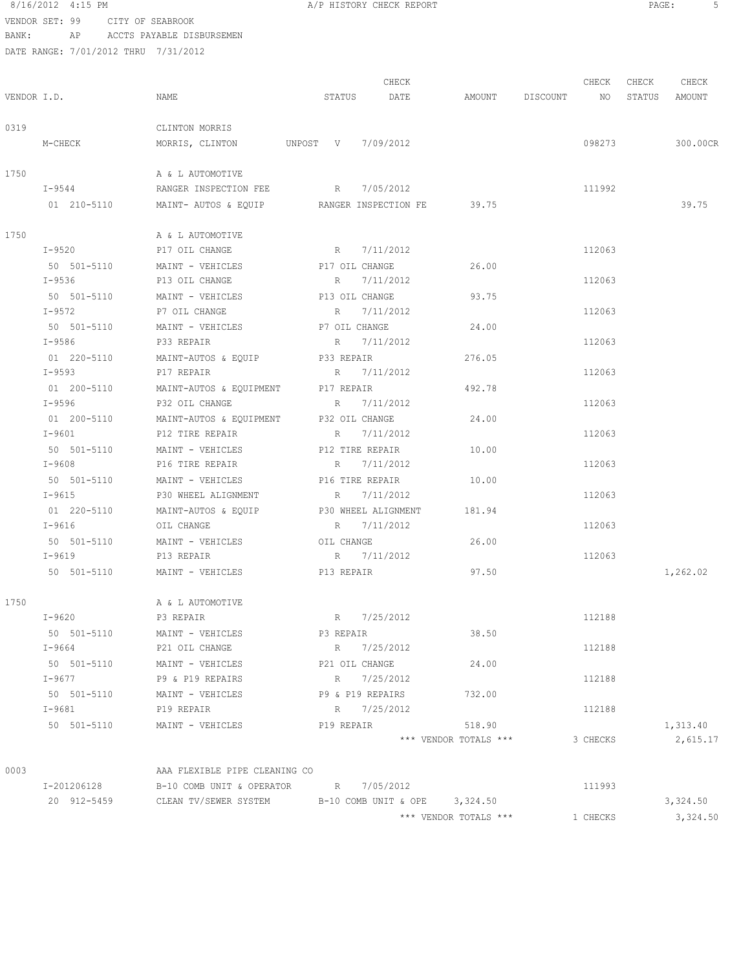VENDOR SET: 99 CITY OF SEABROOK BANK: AP ACCTS PAYABLE DISBURSEMEN

| HISTORY CHECK REPORT |  |  |
|----------------------|--|--|
|                      |  |  |

|             |             |                                                 | CHECK                         |                       | CHECK       | CHECK<br>CHECK   |
|-------------|-------------|-------------------------------------------------|-------------------------------|-----------------------|-------------|------------------|
| VENDOR I.D. |             | NAME                                            | DATE<br>STATUS                | AMOUNT                | DISCOUNT NO | STATUS<br>AMOUNT |
| 0319        |             | CLINTON MORRIS                                  |                               |                       |             |                  |
|             | M-CHECK     | MORRIS, CLINTON UNPOST V 7/09/2012              |                               |                       | 098273      | 300.00CR         |
| 1750        |             | A & L AUTOMOTIVE                                |                               |                       |             |                  |
|             | I-9544      | RANGER INSPECTION FEE                           | R 7/05/2012                   |                       | 111992      |                  |
|             | 01 210-5110 | MAINT- AUTOS & EQUIP RANGER INSPECTION FE 39.75 |                               |                       |             | 39.75            |
| 1750        |             | A & L AUTOMOTIVE                                |                               |                       |             |                  |
|             | I-9520      | P17 OIL CHANGE                                  | R 7/11/2012                   |                       | 112063      |                  |
|             |             | 50 501-5110 MAINT - VEHICLES                    | P17 OIL CHANGE                | 26.00                 |             |                  |
|             | $I - 9536$  | P13 OIL CHANGE                                  | R 7/11/2012                   |                       | 112063      |                  |
|             |             | 50 501-5110 MAINT - VEHICLES                    | P13 OIL CHANGE                | 93.75                 |             |                  |
|             | $I-9572$    | P7 OIL CHANGE                                   | R 7/11/2012                   |                       | 112063      |                  |
|             |             | 50 501-5110 MAINT - VEHICLES                    | P7 OIL CHANGE                 | 24.00                 |             |                  |
|             | I-9586      | P33 REPAIR                                      | R 7/11/2012                   |                       | 112063      |                  |
|             | 01 220-5110 | MAINT-AUTOS & EQUIP                             | P33 REPAIR                    | 276.05                |             |                  |
|             | I-9593      | P17 REPAIR                                      | R 7/11/2012                   |                       | 112063      |                  |
|             | 01 200-5110 | MAINT-AUTOS & EQUIPMENT                         | P17 REPAIR                    | 492.78                |             |                  |
|             | $I - 9596$  | P32 OIL CHANGE                                  | R 7/11/2012                   |                       | 112063      |                  |
|             | 01 200-5110 | MAINT-AUTOS & EQUIPMENT P32 OIL CHANGE          |                               | 24.00                 |             |                  |
|             | I-9601      | P12 TIRE REPAIR                                 | R 7/11/2012                   |                       | 112063      |                  |
|             |             | 50 501-5110 MAINT - VEHICLES P12 TIRE REPAIR    |                               | 10.00                 |             |                  |
|             | I-9608      | P16 TIRE REPAIR                                 | R 7/11/2012                   |                       | 112063      |                  |
|             |             | 50 501-5110 MAINT - VEHICLES P16 TIRE REPAIR    |                               | 10.00                 |             |                  |
|             | $I - 9615$  | P30 WHEEL ALIGNMENT                             | R 7/11/2012                   |                       | 112063      |                  |
|             | 01 220-5110 | MAINT-AUTOS & EQUIP                             | P30 WHEEL ALIGNMENT           | 181.94                |             |                  |
|             | $I-9616$    | OIL CHANGE                                      | R 7/11/2012                   |                       | 112063      |                  |
|             | 50 501-5110 | MAINT - VEHICLES                                | OIL CHANGE                    | 26.00                 |             |                  |
|             | I-9619      | P13 REPAIR                                      | R 7/11/2012                   |                       | 112063      |                  |
|             | 50 501-5110 | MAINT - VEHICLES                                | P13 REPAIR                    | 97.50                 |             | 1,262.02         |
| 1750        |             | A & L AUTOMOTIVE                                |                               |                       |             |                  |
|             | $I-9620$    | P3 REPAIR                                       | R 7/25/2012                   |                       | 112188      |                  |
|             | 50 501-5110 | MAINT - VEHICLES                                | P3 REPAIR                     | 38.50                 |             |                  |
|             | $I - 9664$  | P21 OIL CHANGE                                  | R 7/25/2012                   |                       | 112188      |                  |
|             | 50 501-5110 | MAINT - VEHICLES                                | P21 OIL CHANGE                | 24.00                 |             |                  |
|             | I-9677      | P9 & P19 REPAIRS                                | R 7/25/2012                   |                       | 112188      |                  |
|             | 50 501-5110 | MAINT - VEHICLES                                | P9 & P19 REPAIRS              | 732.00                |             |                  |
|             | I-9681      | P19 REPAIR                                      | R 7/25/2012                   |                       | 112188      |                  |
|             | 50 501-5110 | MAINT - VEHICLES                                | P19 REPAIR                    | 518.90                |             | 1,313.40         |
|             |             |                                                 |                               | *** VENDOR TOTALS *** | 3 CHECKS    | 2,615.17         |
| 0003        |             | AAA FLEXIBLE PIPE CLEANING CO                   |                               |                       |             |                  |
|             | I-201206128 | $B-10$ COMB UNIT & OPERATOR R 7/05/2012         |                               |                       | 111993      |                  |
|             | 20 912-5459 | CLEAN TV/SEWER SYSTEM                           | B-10 COMB UNIT & OPE 3,324.50 |                       |             | 3,324.50         |
|             |             |                                                 |                               | *** VENDOR TOTALS *** | 1 CHECKS    | 3,324.50         |
|             |             |                                                 |                               |                       |             |                  |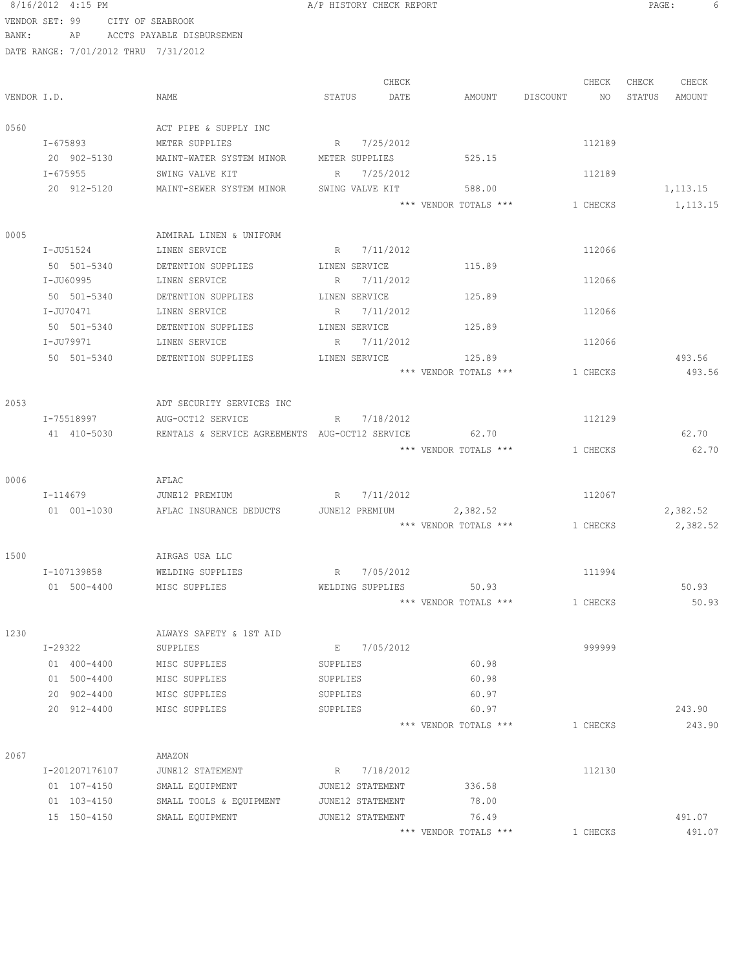|       | VENDOR SET: 99                       | CITY OF SEABROOK                               |          |                              |                                 |             |          |                   |
|-------|--------------------------------------|------------------------------------------------|----------|------------------------------|---------------------------------|-------------|----------|-------------------|
| BANK: | AP                                   | ACCTS PAYABLE DISBURSEMEN                      |          |                              |                                 |             |          |                   |
|       | DATE RANGE: 7/01/2012 THRU 7/31/2012 |                                                |          |                              |                                 |             |          |                   |
|       |                                      |                                                |          |                              |                                 |             |          |                   |
|       |                                      |                                                |          | CHECK                        |                                 |             |          | CHECK CHECK CHECK |
|       | VENDOR I.D.                          | NAME                                           | STATUS   | DATE                         | AMOUNT                          | DISCOUNT NO |          | STATUS AMOUNT     |
|       |                                      |                                                |          |                              |                                 |             |          |                   |
| 0560  |                                      | ACT PIPE & SUPPLY INC                          |          |                              |                                 |             |          |                   |
|       | I-675893                             | METER SUPPLIES                                 |          | R 7/25/2012                  |                                 |             | 112189   |                   |
|       | 20 902-5130                          | MAINT-WATER SYSTEM MINOR METER SUPPLIES        |          |                              | 525.15                          |             |          |                   |
|       | $I - 675955$                         | SWING VALVE KIT                                |          | R 7/25/2012                  |                                 |             | 112189   |                   |
|       | 20 912-5120                          | MAINT-SEWER SYSTEM MINOR                       |          | SWING VALVE KIT              | 588.00                          |             |          | 1,113.15          |
|       |                                      |                                                |          |                              | *** VENDOR TOTALS ***           |             | 1 CHECKS | 1,113.15          |
|       |                                      |                                                |          |                              |                                 |             |          |                   |
| 0005  |                                      | ADMIRAL LINEN & UNIFORM                        |          |                              |                                 |             |          |                   |
|       | I-JU51524                            | LINEN SERVICE                                  |          | R 7/11/2012                  |                                 |             | 112066   |                   |
|       | 50 501-5340                          | DETENTION SUPPLIES                             |          | LINEN SERVICE                | 115.89                          |             |          |                   |
|       | I-JU60995                            | LINEN SERVICE                                  |          | R 7/11/2012                  |                                 |             | 112066   |                   |
|       | 50 501-5340                          | DETENTION SUPPLIES                             |          | LINEN SERVICE                | 125.89                          |             |          |                   |
|       | I-JU70471                            | LINEN SERVICE                                  |          | R 7/11/2012                  |                                 |             | 112066   |                   |
|       | 50 501-5340                          | DETENTION SUPPLIES<br>LINEN SERVICE            |          | LINEN SERVICE<br>R 7/11/2012 | 125.89                          |             | 112066   |                   |
|       | I-JU79971                            |                                                |          |                              |                                 |             |          |                   |
|       | 50 501-5340                          | DETENTION SUPPLIES                             |          | LINEN SERVICE                | 125.89<br>*** VENDOR TOTALS *** |             | 1 CHECKS | 493.56<br>493.56  |
|       |                                      |                                                |          |                              |                                 |             |          |                   |
| 2053  |                                      | ADT SECURITY SERVICES INC                      |          |                              |                                 |             |          |                   |
|       | I-75518997                           | AUG-OCT12 SERVICE                              |          | R 7/18/2012                  |                                 |             | 112129   |                   |
|       | 41 410-5030                          | RENTALS & SERVICE AGREEMENTS AUG-OCT12 SERVICE |          |                              | 62.70                           |             |          | 62.70             |
|       |                                      |                                                |          |                              | *** VENDOR TOTALS ***           |             | 1 CHECKS | 62.70             |
|       |                                      |                                                |          |                              |                                 |             |          |                   |
| 0006  |                                      | AFLAC                                          |          |                              |                                 |             |          |                   |
|       | I-114679                             | JUNE12 PREMIUM                                 |          | R 7/11/2012                  |                                 |             | 112067   |                   |
|       | 01 001-1030                          | AFLAC INSURANCE DEDUCTS                        |          | JUNE12 PREMIUM               | 2,382.52                        |             |          | 2,382.52          |
|       |                                      |                                                |          |                              | *** VENDOR TOTALS *** 1 CHECKS  |             |          | 2,382.52          |
|       |                                      |                                                |          |                              |                                 |             |          |                   |
| 1500  |                                      | AIRGAS USA LLC                                 |          |                              |                                 |             |          |                   |
|       | I-107139858                          | WELDING SUPPLIES                               | R        | 7/05/2012                    |                                 |             | 111994   |                   |
|       | 01 500-4400                          | MISC SUPPLIES                                  |          | WELDING SUPPLIES             | 50.93                           |             |          | 50.93             |
|       |                                      |                                                |          |                              | *** VENDOR TOTALS ***           |             | 1 CHECKS | 50.93             |
|       |                                      |                                                |          |                              |                                 |             |          |                   |
| 1230  |                                      | ALWAYS SAFETY & 1ST AID                        |          |                              |                                 |             |          |                   |
|       | I-29322                              | SUPPLIES                                       |          | E 7/05/2012                  |                                 |             | 999999   |                   |
|       | 01 400-4400                          | MISC SUPPLIES                                  | SUPPLIES |                              | 60.98                           |             |          |                   |
|       | 01 500-4400                          | MISC SUPPLIES                                  | SUPPLIES |                              | 60.98                           |             |          |                   |
|       | 20 902-4400                          | MISC SUPPLIES                                  | SUPPLIES |                              | 60.97                           |             |          |                   |
|       | 20 912-4400                          | MISC SUPPLIES                                  | SUPPLIES |                              | 60.97                           |             |          | 243.90            |
|       |                                      |                                                |          |                              | *** VENDOR TOTALS ***           |             | 1 CHECKS | 243.90            |
|       |                                      |                                                |          |                              |                                 |             |          |                   |
| 2067  |                                      | AMAZON                                         |          |                              |                                 |             |          |                   |
|       | I-201207176107                       | JUNE12 STATEMENT                               |          | R 7/18/2012                  |                                 |             | 112130   |                   |
|       | 01 107-4150                          | SMALL EQUIPMENT                                |          | JUNE12 STATEMENT             | 336.58                          |             |          |                   |
|       | 01 103-4150                          | SMALL TOOLS & EQUIPMENT                        |          | JUNE12 STATEMENT             | 78.00                           |             |          |                   |
|       | 15 150-4150                          | SMALL EQUIPMENT                                |          | JUNE12 STATEMENT             | 76.49                           |             |          | 491.07            |
|       |                                      |                                                |          |                              | *** VENDOR TOTALS ***           |             | 1 CHECKS | 491.07            |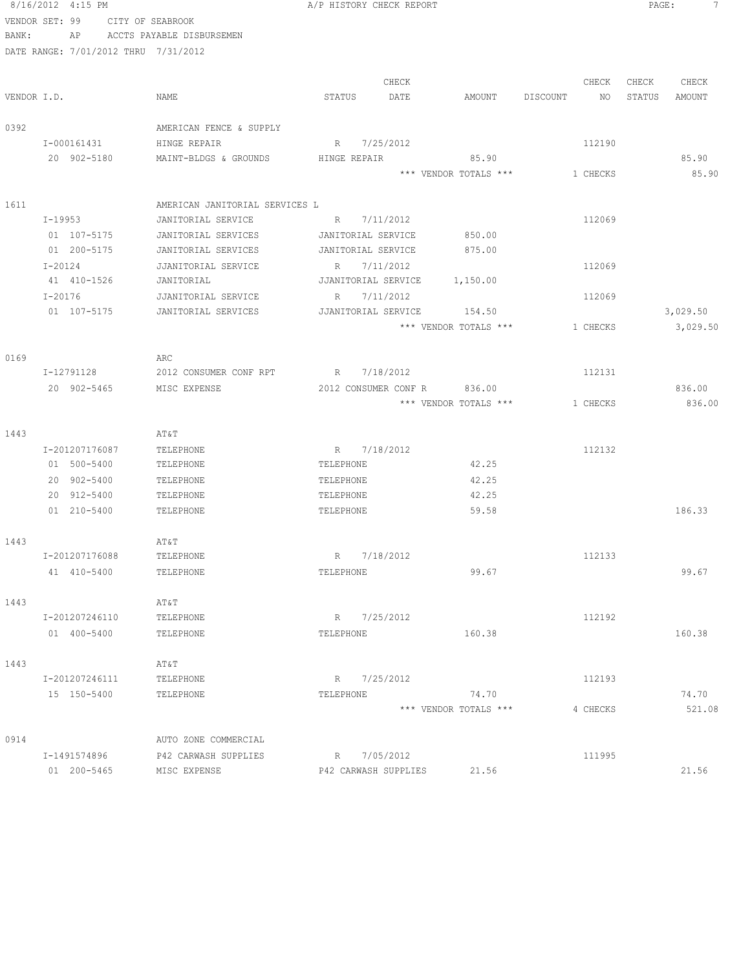|       | 8/16/2012 4:15 PM                    |                                | A/P HISTORY CHECK REPORT     |                       |                       | PAGE:<br>-7      |
|-------|--------------------------------------|--------------------------------|------------------------------|-----------------------|-----------------------|------------------|
|       | VENDOR SET: 99 CITY OF SEABROOK      |                                |                              |                       |                       |                  |
| BANK: |                                      | AP ACCTS PAYABLE DISBURSEMEN   |                              |                       |                       |                  |
|       | DATE RANGE: 7/01/2012 THRU 7/31/2012 |                                |                              |                       |                       |                  |
|       |                                      |                                |                              |                       |                       |                  |
|       |                                      |                                | CHECK                        |                       | CHECK                 | CHECK<br>CHECK   |
|       | VENDOR I.D.                          | NAME                           | STATUS DATE                  |                       | AMOUNT DISCOUNT<br>NO | STATUS<br>AMOUNT |
|       |                                      |                                |                              |                       |                       |                  |
| 0392  |                                      | AMERICAN FENCE & SUPPLY        |                              |                       |                       |                  |
|       | I-000161431                          | HINGE REPAIR                   | R 7/25/2012                  |                       | 112190                |                  |
|       | 20 902-5180                          | MAINT-BLDGS & GROUNDS          | HINGE REPAIR                 | 85.90                 |                       | 85.90            |
|       |                                      |                                |                              | *** VENDOR TOTALS *** | 1 CHECKS              | 85.90            |
|       |                                      |                                |                              |                       |                       |                  |
| 1611  |                                      | AMERICAN JANITORIAL SERVICES L |                              |                       |                       |                  |
|       | $I-19953$                            | JANITORIAL SERVICE             | R 7/11/2012                  |                       | 112069                |                  |
|       | 01 107-5175                          | JANITORIAL SERVICES            | JANITORIAL SERVICE           | 850.00                |                       |                  |
|       | 01 200-5175                          | JANITORIAL SERVICES            | JANITORIAL SERVICE           | 875.00                |                       |                  |
|       | $I - 20124$                          | JJANITORIAL SERVICE            | R 7/11/2012                  |                       | 112069                |                  |
|       | 41 410-1526                          | JANITORIAL                     | JJANITORIAL SERVICE 1,150.00 |                       |                       |                  |
|       | $I - 20176$                          | JJANITORIAL SERVICE            | R 7/11/2012                  |                       | 112069                |                  |
|       | 01 107-5175                          | JANITORIAL SERVICES            | JJANITORIAL SERVICE 154.50   |                       |                       | 3,029.50         |
|       |                                      |                                |                              | *** VENDOR TOTALS *** | 1 CHECKS              | 3,029.50         |
|       |                                      |                                |                              |                       |                       |                  |
| 0169  |                                      | ARC                            |                              |                       |                       |                  |
|       | I-12791128                           | 2012 CONSUMER CONF RPT         | R 7/18/2012                  |                       | 112131                |                  |
|       | 20 902-5465                          | MISC EXPENSE                   | 2012 CONSUMER CONF R 836.00  |                       |                       | 836.00           |
|       |                                      |                                |                              | *** VENDOR TOTALS *** | 1 CHECKS              | 836.00           |
|       |                                      |                                |                              |                       |                       |                  |
| 1443  |                                      | AT&T                           |                              |                       |                       |                  |
|       | I-201207176087                       | TELEPHONE                      | R 7/18/2012                  |                       | 112132                |                  |
|       | 01 500-5400                          | TELEPHONE                      | TELEPHONE                    | 42.25                 |                       |                  |
|       | 20 902-5400                          | TELEPHONE                      | TELEPHONE                    | 42.25                 |                       |                  |
|       | 20 912-5400                          | TELEPHONE                      | TELEPHONE                    | 42.25                 |                       |                  |
|       | 01 210-5400                          | TELEPHONE                      | TELEPHONE                    | 59.58                 |                       | 186.33           |
|       |                                      |                                |                              |                       |                       |                  |
| 1443  |                                      | AT&T                           |                              |                       |                       |                  |
|       | I-201207176088                       | TELEPHONE                      | R 7/18/2012                  |                       | 112133                |                  |
|       | 41 410-5400                          | TELEPHONE                      | TELEPHONE                    | 99.67                 |                       | 99.67            |
|       |                                      |                                |                              |                       |                       |                  |
| 1443  |                                      | AT&T                           |                              |                       |                       |                  |
|       | I-201207246110                       | TELEPHONE                      | R 7/25/2012                  |                       | 112192                |                  |
|       | 01 400-5400                          | TELEPHONE                      | TELEPHONE                    | 160.38                |                       | 160.38           |
|       |                                      |                                |                              |                       |                       |                  |
| 1443  |                                      | AT&T                           |                              |                       |                       |                  |
|       | I-201207246111                       | TELEPHONE                      | R 7/25/2012                  |                       | 112193                |                  |
|       | 15 150-5400                          | TELEPHONE                      | TELEPHONE                    | 74.70                 |                       | 74.70            |
|       |                                      |                                |                              | *** VENDOR TOTALS *** | 4 CHECKS              | 521.08           |
|       |                                      |                                |                              |                       |                       |                  |
| 0914  |                                      | AUTO ZONE COMMERCIAL           |                              |                       |                       |                  |
|       | I-1491574896                         | P42 CARWASH SUPPLIES           | R 7/05/2012                  |                       | 111995                |                  |
|       | 01 200-5465                          | MISC EXPENSE                   | P42 CARWASH SUPPLIES         | 21.56                 |                       | 21.56            |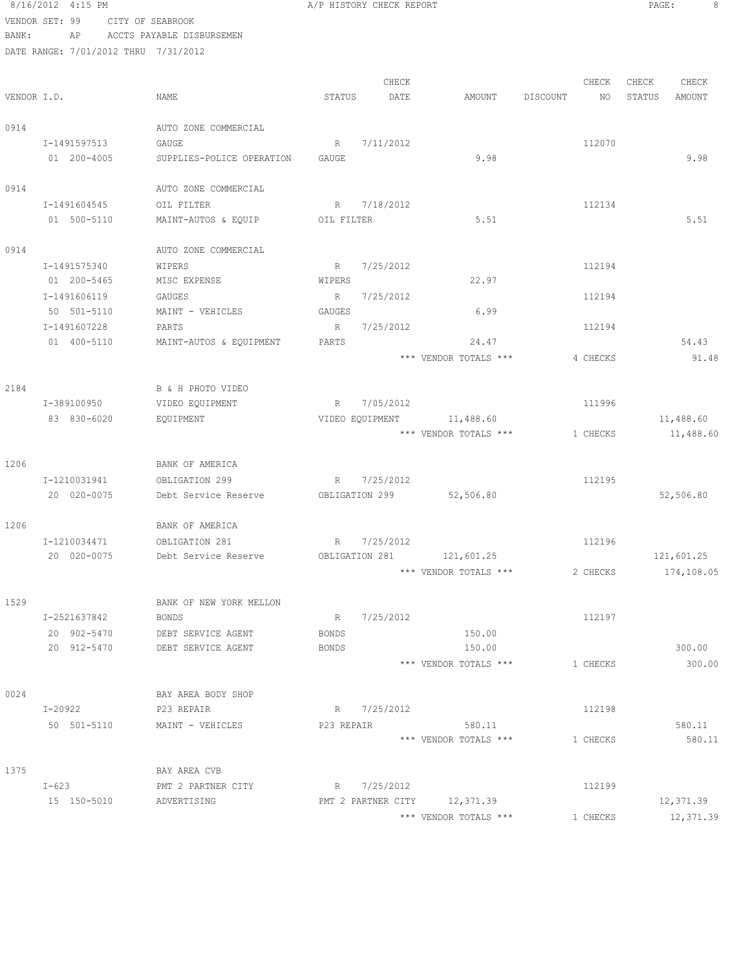### 8/16/2012 4:15 PM **B** A/P HISTORY CHECK REPORT **PAGE:** 8 VENDOR SET: 99 CITY OF SEABROOK BANK: AP ACCTS PAYABLE DISBURSEMEN

0914

1206

1206

0024

DATE RANG

|             | DATE RANGE: 7/01/2012 THRU 7/31/2012 |                           |                |             |                           |          |              |            |
|-------------|--------------------------------------|---------------------------|----------------|-------------|---------------------------|----------|--------------|------------|
|             |                                      |                           |                | CHECK       |                           | CHECK    | CHECK        | CHECK      |
| VENDOR I.D. |                                      | NAME                      | STATUS         | DATE        | AMOUNT                    | DISCOUNT | NO<br>STATUS | AMOUNT     |
| 0914        |                                      | AUTO ZONE COMMERCIAL      |                |             |                           |          |              |            |
|             | I-1491597513                         | GAUGE                     | R              | 7/11/2012   |                           | 112070   |              |            |
|             | 01 200-4005                          | SUPPLIES-POLICE OPERATION | GAUGE          |             | 9.98                      |          |              | 9.98       |
| 0914        |                                      | AUTO ZONE COMMERCIAL      |                |             |                           |          |              |            |
|             | I-1491604545                         | OIL FILTER                |                | R 7/18/2012 |                           | 112134   |              |            |
|             | 01 500-5110                          | MAINT-AUTOS & EQUIP       | OIL FILTER     |             | 5.51                      |          |              | 5.51       |
| 0914        |                                      | AUTO ZONE COMMERCIAL      |                |             |                           |          |              |            |
|             | I-1491575340                         | WIPERS                    |                | R 7/25/2012 |                           | 112194   |              |            |
|             | 01 200-5465                          | MISC EXPENSE              | WIPERS         |             | 22.97                     |          |              |            |
|             | I-1491606119                         | GAUGES                    |                | R 7/25/2012 |                           | 112194   |              |            |
|             | 50 501-5110                          | MAINT - VEHICLES          | GAUGES         |             | 6.99                      |          |              |            |
|             | I-1491607228                         | PARTS                     | R              | 7/25/2012   |                           | 112194   |              |            |
|             | 01 400-5110                          | MAINT-AUTOS & EQUIPMENT   | PARTS          |             | 24.47                     |          |              | 54.43      |
|             |                                      |                           |                |             | *** VENDOR TOTALS ***     | 4 CHECKS |              | 91.48      |
| 2184        |                                      | B & H PHOTO VIDEO         |                |             |                           |          |              |            |
|             | I-389100950                          | VIDEO EQUIPMENT           |                | R 7/05/2012 |                           | 111996   |              |            |
|             | 83 830-6020                          | EQUIPMENT                 |                |             | VIDEO EQUIPMENT 11,488.60 |          |              | 11,488.60  |
|             |                                      |                           |                |             | *** VENDOR TOTALS ***     | 1 CHECKS |              | 11,488.60  |
| 1206        |                                      | BANK OF AMERICA           |                |             |                           |          |              |            |
|             | I-1210031941                         | OBLIGATION 299            |                | R 7/25/2012 |                           | 112195   |              |            |
|             | 20 020-0075                          | Debt Service Reserve      | OBLIGATION 299 |             | 52,506.80                 |          |              | 52,506.80  |
| 1206        |                                      | BANK OF AMERICA           |                |             |                           |          |              |            |
|             | I-1210034471                         | OBLIGATION 281            |                | R 7/25/2012 |                           | 112196   |              |            |
|             | 20 020-0075                          | Debt Service Reserve      |                |             | OBLIGATION 281 121,601.25 |          |              | 121,601.25 |
|             |                                      |                           |                |             | *** VENDOR TOTALS ***     | 2 CHECKS |              | 174,108.05 |
| 1529        |                                      | BANK OF NEW YORK MELLON   |                |             |                           |          |              |            |
|             | I-2521637842                         | <b>BONDS</b>              | R              | 7/25/2012   |                           | 112197   |              |            |
|             | 20 902-5470                          | DEBT SERVICE AGENT        | BONDS          |             | 150.00                    |          |              |            |
|             | 20 912-5470                          | DEBT SERVICE AGENT        | <b>BONDS</b>   |             | 150.00                    |          |              | 300.00     |
|             |                                      |                           |                |             | *** VENDOR TOTALS ***     | 1 CHECKS |              | 300.00     |
| 0024        |                                      | BAY AREA BODY SHOP        |                |             |                           |          |              |            |
|             | I-20922                              | P23 REPAIR                |                | R 7/25/2012 |                           | 112198   |              |            |
|             | 50 501-5110                          | MAINT - VEHICLES          | P23 REPAIR     |             | 580.11                    |          |              | 580.11     |
|             |                                      |                           |                |             | *** VENDOR TOTALS ***     | 1 CHECKS |              | 580.11     |
| 1375        |                                      | BAY AREA CVB              |                |             |                           |          |              |            |

| $I - 623$   | PMT 2 PARTNER CITY | 7/25/2012                       | 112199 |           |
|-------------|--------------------|---------------------------------|--------|-----------|
| 15 150-5010 | ADVERTISING        | 12,371.39<br>PMT 2 PARTNER CITY |        | 12,371.39 |
|             |                    | *** VENDOR TOTALS ***           | CHECKS | 12,371.39 |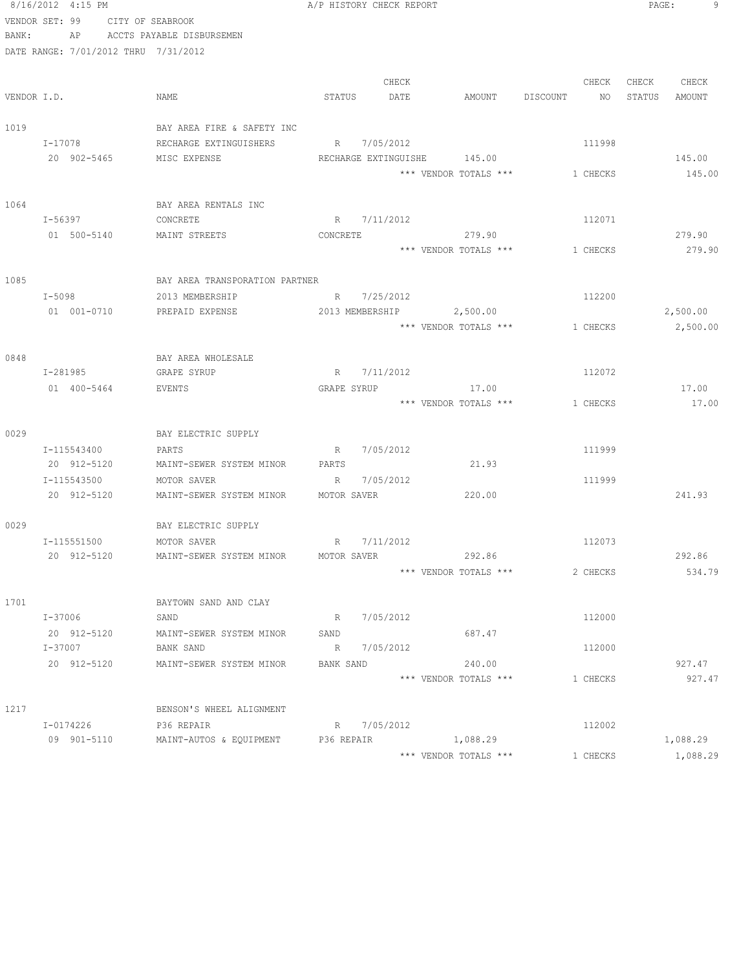|                | 8/16/2012 4:15 PM |                        |                  | A/P HISTORY CHECK REPORT               |             |  |             |                             | 9<br>PAGE:      |          |        |          |
|----------------|-------------------|------------------------|------------------|----------------------------------------|-------------|--|-------------|-----------------------------|-----------------|----------|--------|----------|
| VENDOR SET: 99 |                   |                        | CITY OF SEABROOK |                                        |             |  |             |                             |                 |          |        |          |
| BANK:          |                   |                        |                  | AP ACCTS PAYABLE DISBURSEMEN           |             |  |             |                             |                 |          |        |          |
|                |                   |                        |                  | DATE RANGE: 7/01/2012 THRU 7/31/2012   |             |  |             |                             |                 |          |        |          |
|                |                   |                        |                  |                                        |             |  |             |                             |                 |          |        |          |
|                |                   |                        |                  |                                        |             |  | CHECK       |                             |                 | CHECK    | CHECK  | CHECK    |
| VENDOR I.D.    |                   |                        |                  | NAME                                   | STATUS      |  | DATE        |                             | AMOUNT DISCOUNT | NO       | STATUS | AMOUNT   |
| 1019           |                   |                        |                  | BAY AREA FIRE & SAFETY INC             |             |  |             |                             |                 |          |        |          |
|                |                   |                        |                  |                                        |             |  |             |                             |                 | 111998   |        |          |
|                |                   | I-17078<br>20 902-5465 |                  | RECHARGE EXTINGUISHERS<br>MISC EXPENSE |             |  | R 7/05/2012 | RECHARGE EXTINGUISHE 145.00 |                 |          |        | 145.00   |
|                |                   |                        |                  |                                        |             |  |             | *** VENDOR TOTALS ***       |                 | 1 CHECKS |        | 145.00   |
|                |                   |                        |                  |                                        |             |  |             |                             |                 |          |        |          |
| 1064           |                   |                        |                  | BAY AREA RENTALS INC                   |             |  |             |                             |                 |          |        |          |
|                |                   | I-56397                |                  | CONCRETE                               |             |  | R 7/11/2012 |                             |                 | 112071   |        |          |
|                |                   | 01 500-5140            |                  | MAINT STREETS                          | CONCRETE    |  |             | 279.90                      |                 |          |        | 279.90   |
|                |                   |                        |                  |                                        |             |  |             | *** VENDOR TOTALS ***       |                 | 1 CHECKS |        | 279.90   |
|                |                   |                        |                  |                                        |             |  |             |                             |                 |          |        |          |
| 1085           |                   |                        |                  | BAY AREA TRANSPORATION PARTNER         |             |  |             |                             |                 |          |        |          |
|                | I-5098            |                        |                  | 2013 MEMBERSHIP                        |             |  | R 7/25/2012 |                             |                 | 112200   |        |          |
|                |                   | 01 001-0710            |                  | PREPAID EXPENSE                        |             |  |             | 2013 MEMBERSHIP 2,500.00    |                 |          |        | 2,500.00 |
|                |                   |                        |                  |                                        |             |  |             | *** VENDOR TOTALS ***       |                 | 1 CHECKS |        | 2,500.00 |
|                |                   |                        |                  |                                        |             |  |             |                             |                 |          |        |          |
| 0848           |                   |                        |                  | BAY AREA WHOLESALE                     |             |  |             |                             |                 |          |        |          |
|                |                   | I-281985               |                  | GRAPE SYRUP                            |             |  | R 7/11/2012 |                             |                 | 112072   |        |          |
|                |                   | 01 400-5464            |                  | EVENTS                                 | GRAPE SYRUP |  |             | 17.00                       |                 |          |        | 17.00    |
|                |                   |                        |                  |                                        |             |  |             | *** VENDOR TOTALS ***       |                 | 1 CHECKS |        | 17.00    |
| 0029           |                   |                        |                  | BAY ELECTRIC SUPPLY                    |             |  |             |                             |                 |          |        |          |
|                |                   | I-115543400            |                  | PARTS                                  |             |  | R 7/05/2012 |                             |                 | 111999   |        |          |
|                |                   | 20 912-5120            |                  | MAINT-SEWER SYSTEM MINOR               | PARTS       |  |             | 21.93                       |                 |          |        |          |
|                |                   | I-115543500            |                  | MOTOR SAVER                            |             |  | R 7/05/2012 |                             |                 | 111999   |        |          |
|                |                   | 20 912-5120            |                  | MAINT-SEWER SYSTEM MINOR               | MOTOR SAVER |  |             | 220.00                      |                 |          |        | 241.93   |
|                |                   |                        |                  |                                        |             |  |             |                             |                 |          |        |          |
| 0029           |                   |                        |                  | BAY ELECTRIC SUPPLY                    |             |  |             |                             |                 |          |        |          |
|                |                   | I-115551500            |                  | MOTOR SAVER                            |             |  | R 7/11/2012 |                             |                 | 112073   |        |          |
|                |                   | 20 912-5120            |                  | MAINT-SEWER SYSTEM MINOR MOTOR SAVER   |             |  |             | 292.86                      |                 |          |        | 292.86   |
|                |                   |                        |                  |                                        |             |  |             | *** VENDOR TOTALS ***       |                 | 2 CHECKS |        | 534.79   |
|                |                   |                        |                  |                                        |             |  |             |                             |                 |          |        |          |
| 1701           |                   |                        |                  | BAYTOWN SAND AND CLAY                  |             |  |             |                             |                 |          |        |          |
|                |                   | I-37006                |                  | SAND                                   |             |  | R 7/05/2012 |                             |                 | 112000   |        |          |
|                |                   | 20 912-5120            |                  | MAINT-SEWER SYSTEM MINOR               | SAND        |  |             | 687.47                      |                 |          |        |          |
|                |                   | I-37007                |                  | BANK SAND                              |             |  | R 7/05/2012 |                             |                 | 112000   |        |          |
|                |                   | 20 912-5120            |                  | MAINT-SEWER SYSTEM MINOR               | BANK SAND   |  |             | 240.00                      |                 |          |        | 927.47   |
|                |                   |                        |                  |                                        |             |  |             | *** VENDOR TOTALS ***       |                 | 1 CHECKS |        | 927.47   |
|                |                   |                        |                  |                                        |             |  |             |                             |                 |          |        |          |
| 1217           |                   |                        |                  | BENSON'S WHEEL ALIGNMENT               |             |  |             |                             |                 |          |        |          |
|                |                   | I-0174226              |                  | P36 REPAIR                             |             |  | R 7/05/2012 |                             |                 | 112002   |        |          |
|                |                   | 09 901-5110            |                  | MAINT-AUTOS & EQUIPMENT P36 REPAIR     |             |  |             | 1,088.29                    |                 |          |        | 1,088.29 |
|                |                   |                        |                  |                                        |             |  |             | *** VENDOR TOTALS ***       |                 | 1 CHECKS |        | 1,088.29 |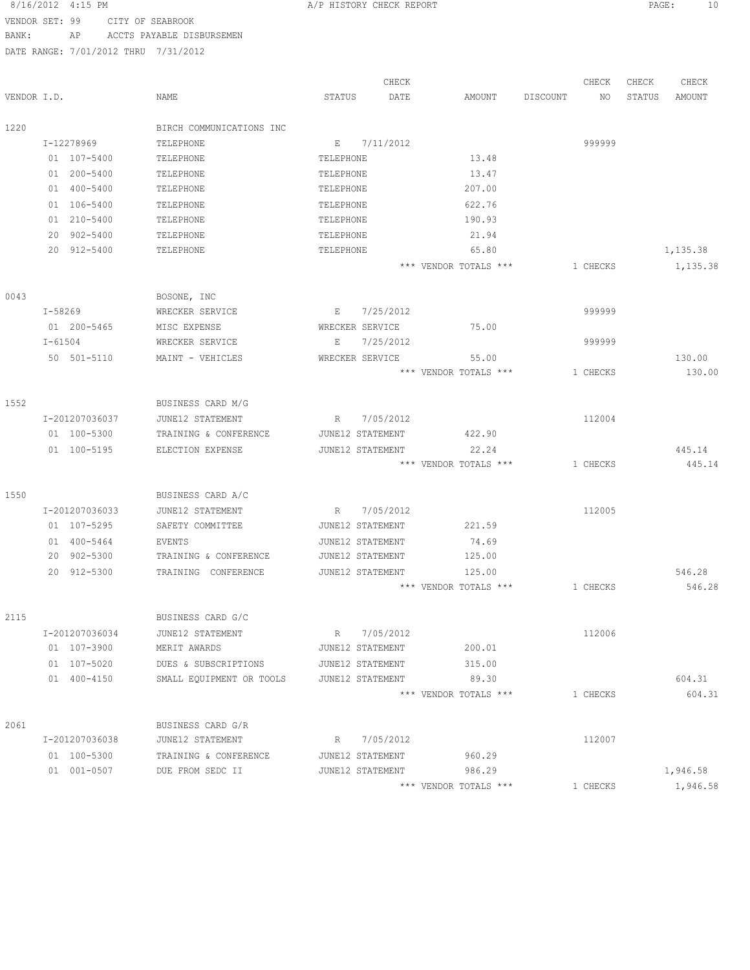VENDOR SET: 99 CITY OF SEABROOK BANK: AP ACCTS PAYABLE DISBURSEMEN

|             |                               |                                  |                  | CHECK       |                       |          | CHECK    | CHECK  | CHECK    |
|-------------|-------------------------------|----------------------------------|------------------|-------------|-----------------------|----------|----------|--------|----------|
| VENDOR I.D. |                               | <b>NAME</b>                      | STATUS           | DATE        | AMOUNT                | DISCOUNT | NO.      | STATUS | AMOUNT   |
|             |                               |                                  |                  |             |                       |          |          |        |          |
| 1220        |                               | BIRCH COMMUNICATIONS INC         |                  |             |                       |          |          |        |          |
|             | I-12278969                    | TELEPHONE                        | Е                | 7/11/2012   |                       |          | 999999   |        |          |
|             | 01 107-5400                   | TELEPHONE                        | TELEPHONE        |             | 13.48                 |          |          |        |          |
|             | 01 200-5400                   | TELEPHONE                        | TELEPHONE        |             | 13.47                 |          |          |        |          |
|             | 01 400-5400                   | TELEPHONE                        | TELEPHONE        |             | 207.00                |          |          |        |          |
|             | 01 106-5400                   | TELEPHONE                        | TELEPHONE        |             | 622.76                |          |          |        |          |
|             | 01 210-5400                   | TELEPHONE                        | TELEPHONE        |             | 190.93                |          |          |        |          |
|             | 20 902-5400                   | TELEPHONE                        | TELEPHONE        |             | 21.94                 |          |          |        |          |
|             | 20 912-5400                   | TELEPHONE                        | TELEPHONE        |             | 65.80                 |          |          |        | 1,135.38 |
|             |                               |                                  |                  |             | *** VENDOR TOTALS *** |          | 1 CHECKS |        | 1,135.38 |
| 0043        |                               | BOSONE, INC                      |                  |             |                       |          |          |        |          |
|             | I-58269                       | WRECKER SERVICE                  | E.               | 7/25/2012   |                       |          | 999999   |        |          |
|             | 01 200-5465                   | MISC EXPENSE                     | WRECKER SERVICE  |             | 75.00                 |          |          |        |          |
|             | $I - 61504$                   | WRECKER SERVICE                  | Е                | 7/25/2012   |                       |          | 999999   |        |          |
|             | 50 501-5110                   | MAINT - VEHICLES                 | WRECKER SERVICE  |             | 55.00                 |          |          |        | 130.00   |
|             |                               |                                  |                  |             | *** VENDOR TOTALS *** |          | 1 CHECKS |        | 130.00   |
|             |                               |                                  |                  |             |                       |          |          |        |          |
| 1552        |                               | BUSINESS CARD M/G                |                  |             |                       |          |          |        |          |
|             | I-201207036037                | JUNE12 STATEMENT                 | R                | 7/05/2012   |                       |          | 112004   |        |          |
|             | 01 100-5300                   | TRAINING & CONFERENCE            | JUNE12 STATEMENT |             | 422.90                |          |          |        |          |
|             | 01 100-5195                   | ELECTION EXPENSE                 | JUNE12 STATEMENT |             | 22.24                 |          |          |        | 445.14   |
|             |                               |                                  |                  |             | *** VENDOR TOTALS *** |          | 1 CHECKS |        | 445.14   |
| 1550        |                               | BUSINESS CARD A/C                |                  |             |                       |          |          |        |          |
|             | I-201207036033                | JUNE12 STATEMENT                 | R                | 7/05/2012   |                       |          | 112005   |        |          |
|             | 01 107-5295                   | SAFETY COMMITTEE                 | JUNE12 STATEMENT |             | 221.59                |          |          |        |          |
|             | 01 400-5464                   | EVENTS                           | JUNE12 STATEMENT |             | 74.69                 |          |          |        |          |
|             | 20 902-5300                   | TRAINING & CONFERENCE            | JUNE12 STATEMENT |             | 125.00                |          |          |        |          |
|             | 20 912-5300                   | TRAINING CONFERENCE              | JUNE12 STATEMENT |             | 125.00                |          |          |        | 546.28   |
|             |                               |                                  |                  |             | *** VENDOR TOTALS *** |          | 1 CHECKS |        | 546.28   |
| 2115        |                               | BUSINESS CARD G/C                |                  |             |                       |          |          |        |          |
|             |                               |                                  |                  |             |                       |          |          |        |          |
|             | I-201207036034<br>01 107-3900 | JUNE12 STATEMENT<br>MERIT AWARDS | JUNE12 STATEMENT | R 7/05/2012 | 200.01                |          | 112006   |        |          |
|             |                               |                                  |                  |             |                       |          |          |        |          |
|             | 01 107-5020                   | DUES & SUBSCRIPTIONS             | JUNE12 STATEMENT |             | 315.00                |          |          |        |          |
|             | 01 400-4150                   | SMALL EQUIPMENT OR TOOLS         | JUNE12 STATEMENT |             | 89.30                 |          |          |        | 604.31   |
|             |                               |                                  |                  |             | *** VENDOR TOTALS *** |          | 1 CHECKS |        | 604.31   |
| 2061        |                               | BUSINESS CARD G/R                |                  |             |                       |          |          |        |          |
|             | I-201207036038                | JUNE12 STATEMENT                 |                  | R 7/05/2012 |                       |          | 112007   |        |          |
|             | 01 100-5300                   | TRAINING & CONFERENCE            | JUNE12 STATEMENT |             | 960.29                |          |          |        |          |
|             | 01 001-0507                   | DUE FROM SEDC II                 | JUNE12 STATEMENT |             | 986.29                |          |          |        | 1,946.58 |
|             |                               |                                  |                  |             | *** VENDOR TOTALS *** |          | 1 CHECKS |        | 1,946.58 |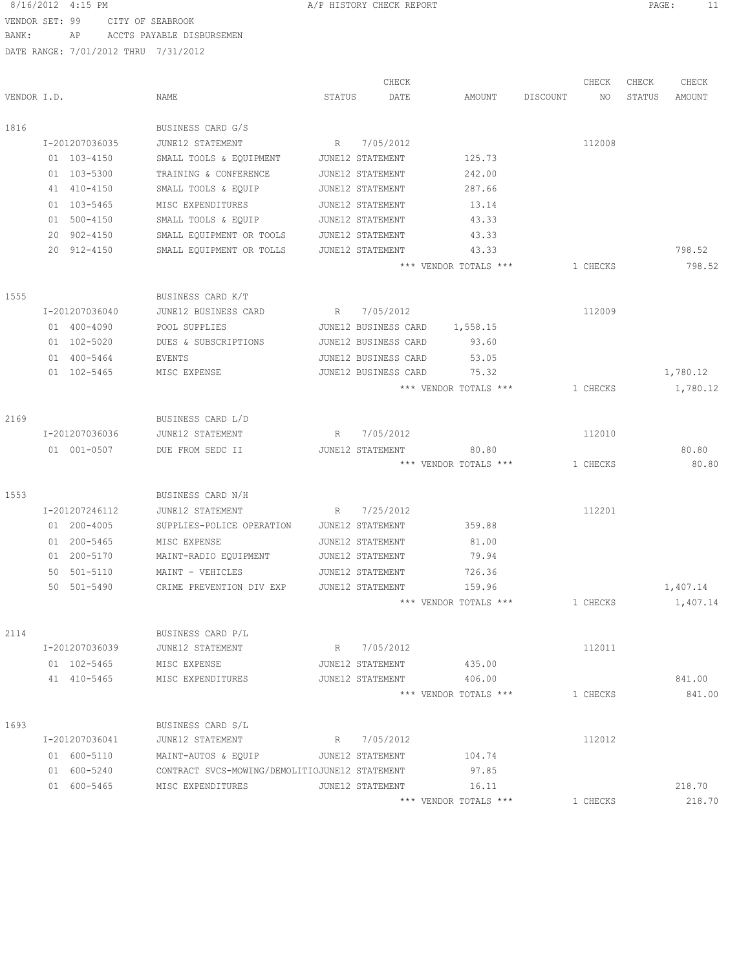### 8/16/2012 4:15 PM **A/P HISTORY CHECK REPORT PAGE:** 11 VENDOR SET: 99 CITY OF SEABROOK

BANK: AP ACCTS PAYABLE DISBURSEMEN

|             |                |                                                |                 | CHECK                |                       |          | CHECK    | CHECK  | CHECK    |
|-------------|----------------|------------------------------------------------|-----------------|----------------------|-----------------------|----------|----------|--------|----------|
| VENDOR I.D. |                | NAME                                           | STATUS          | DATE                 | AMOUNT                | DISCOUNT | NO       | STATUS | AMOUNT   |
| 1816        |                | BUSINESS CARD G/S                              |                 |                      |                       |          |          |        |          |
|             | I-201207036035 | JUNE12 STATEMENT                               | $R_{\parallel}$ | 7/05/2012            |                       |          | 112008   |        |          |
|             | 01 103-4150    | SMALL TOOLS & EQUIPMENT                        |                 | JUNE12 STATEMENT     | 125.73                |          |          |        |          |
|             | 01 103-5300    | TRAINING & CONFERENCE                          |                 | JUNE12 STATEMENT     | 242.00                |          |          |        |          |
|             | 41 410-4150    | SMALL TOOLS & EQUIP                            |                 | JUNE12 STATEMENT     | 287.66                |          |          |        |          |
|             | 01 103-5465    | MISC EXPENDITURES                              |                 | JUNE12 STATEMENT     | 13.14                 |          |          |        |          |
|             | 01 500-4150    | SMALL TOOLS & EQUIP                            |                 | JUNE12 STATEMENT     | 43.33                 |          |          |        |          |
|             | 902-4150<br>20 | SMALL EQUIPMENT OR TOOLS                       |                 | JUNE12 STATEMENT     | 43.33                 |          |          |        |          |
|             | 20 912-4150    | SMALL EQUIPMENT OR TOLLS                       |                 | JUNE12 STATEMENT     | 43.33                 |          |          |        | 798.52   |
|             |                |                                                |                 |                      | *** VENDOR TOTALS *** |          | 1 CHECKS |        | 798.52   |
| 1555        |                | BUSINESS CARD K/T                              |                 |                      |                       |          |          |        |          |
|             | I-201207036040 | JUNE12 BUSINESS CARD                           | R               | 7/05/2012            |                       |          | 112009   |        |          |
|             | 01 400-4090    | POOL SUPPLIES                                  |                 | JUNE12 BUSINESS CARD | 1,558.15              |          |          |        |          |
|             | 01 102-5020    | DUES & SUBSCRIPTIONS                           |                 | JUNE12 BUSINESS CARD | 93.60                 |          |          |        |          |
|             | 01 400-5464    | EVENTS                                         |                 | JUNE12 BUSINESS CARD | 53.05                 |          |          |        |          |
|             | 01 102-5465    | MISC EXPENSE                                   |                 | JUNE12 BUSINESS CARD | 75.32                 |          |          |        | 1,780.12 |
|             |                |                                                |                 |                      | *** VENDOR TOTALS *** |          | 1 CHECKS |        | 1,780.12 |
|             |                |                                                |                 |                      |                       |          |          |        |          |
| 2169        |                | BUSINESS CARD L/D                              |                 |                      |                       |          |          |        |          |
|             | I-201207036036 | JUNE12 STATEMENT                               | $R_{\parallel}$ | 7/05/2012            |                       |          | 112010   |        |          |
|             | 01 001-0507    | DUE FROM SEDC II                               |                 | JUNE12 STATEMENT     | 80.80                 |          |          |        | 80.80    |
|             |                |                                                |                 |                      | *** VENDOR TOTALS *** |          | 1 CHECKS |        | 80.80    |
| 1553        |                | BUSINESS CARD N/H                              |                 |                      |                       |          |          |        |          |
|             | I-201207246112 | JUNE12 STATEMENT                               | R               | 7/25/2012            |                       |          | 112201   |        |          |
|             | 01 200-4005    | SUPPLIES-POLICE OPERATION                      |                 | JUNE12 STATEMENT     | 359.88                |          |          |        |          |
|             | 01 200-5465    | MISC EXPENSE                                   |                 | JUNE12 STATEMENT     | 81.00                 |          |          |        |          |
|             | 01 200-5170    | MAINT-RADIO EQUIPMENT                          |                 | JUNE12 STATEMENT     | 79.94                 |          |          |        |          |
|             | 50 501-5110    | MAINT - VEHICLES                               |                 | JUNE12 STATEMENT     | 726.36                |          |          |        |          |
|             | 50 501-5490    | CRIME PREVENTION DIV EXP                       |                 | JUNE12 STATEMENT     | 159.96                |          |          |        | 1,407.14 |
|             |                |                                                |                 |                      | *** VENDOR TOTALS *** |          | 1 CHECKS |        | 1,407.14 |
|             |                |                                                |                 |                      |                       |          |          |        |          |
| 2114        |                | BUSINESS CARD P/L                              |                 |                      |                       |          |          |        |          |
|             | I-201207036039 | JUNE12 STATEMENT                               |                 | R 7/05/2012          |                       |          | 112011   |        |          |
|             | 01 102-5465    | MISC EXPENSE                                   |                 | JUNE12 STATEMENT     | 435.00                |          |          |        |          |
|             | 41 410-5465    | MISC EXPENDITURES                              |                 | JUNE12 STATEMENT     | 406.00                |          |          |        | 841.00   |
|             |                |                                                |                 |                      | *** VENDOR TOTALS *** |          | 1 CHECKS |        | 841.00   |
| 1693        |                | BUSINESS CARD S/L                              |                 |                      |                       |          |          |        |          |
|             | I-201207036041 | JUNE12 STATEMENT                               |                 | R 7/05/2012          |                       |          | 112012   |        |          |
|             | 01 600-5110    | MAINT-AUTOS & EQUIP                            |                 | JUNE12 STATEMENT     | 104.74                |          |          |        |          |
|             | 01 600-5240    | CONTRACT SVCS-MOWING/DEMOLITIOJUNE12 STATEMENT |                 |                      | 97.85                 |          |          |        |          |
|             | 01 600-5465    | MISC EXPENDITURES                              |                 | JUNE12 STATEMENT     | 16.11                 |          |          |        | 218.70   |
|             |                |                                                |                 |                      | *** VENDOR TOTALS *** |          | 1 CHECKS |        | 218.70   |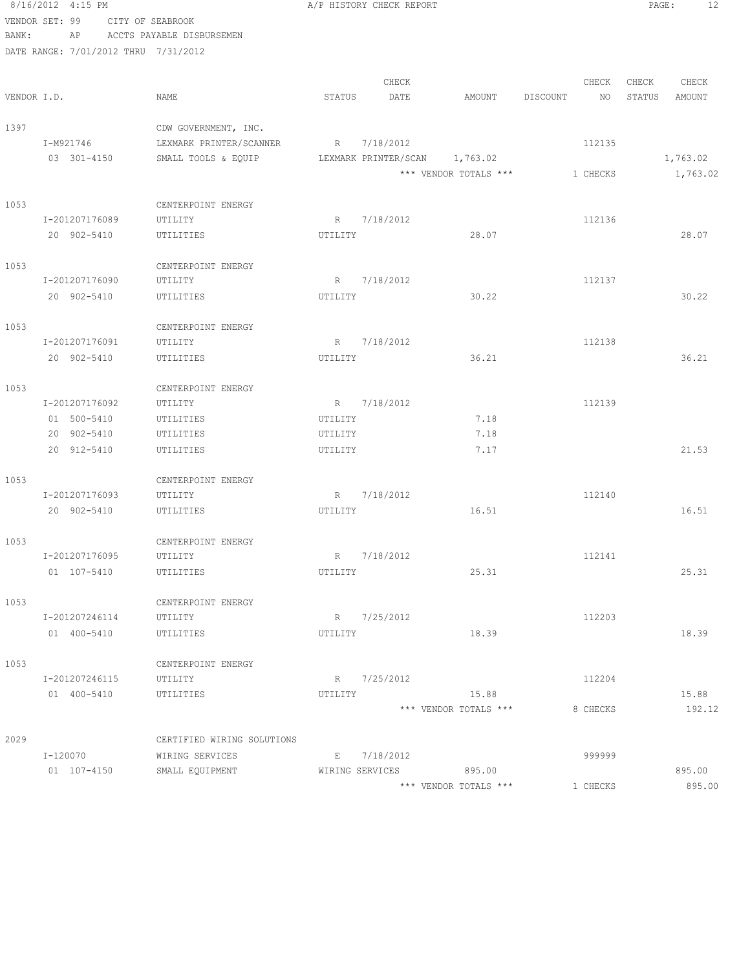|       | 8/16/2012 4:15 PM                    |                                    |         | A/P HISTORY CHECK REPORT       |                       |                 | PAGE:<br>12      |
|-------|--------------------------------------|------------------------------------|---------|--------------------------------|-----------------------|-----------------|------------------|
|       | VENDOR SET: 99 CITY OF SEABROOK      |                                    |         |                                |                       |                 |                  |
| BANK: | AP                                   | ACCTS PAYABLE DISBURSEMEN          |         |                                |                       |                 |                  |
|       | DATE RANGE: 7/01/2012 THRU 7/31/2012 |                                    |         |                                |                       |                 |                  |
|       |                                      |                                    |         |                                |                       |                 |                  |
|       |                                      |                                    |         | CHECK                          |                       | CHECK           | CHECK<br>CHECK   |
|       | VENDOR I.D.                          | NAME                               | STATUS  | DATE                           | AMOUNT                | DISCOUNT<br>NO. | STATUS<br>AMOUNT |
|       |                                      |                                    |         |                                |                       |                 |                  |
| 1397  |                                      | CDW GOVERNMENT, INC.               |         |                                |                       |                 |                  |
|       | I-M921746                            | LEXMARK PRINTER/SCANNER            |         | R 7/18/2012                    |                       | 112135          |                  |
|       | 03 301-4150                          | SMALL TOOLS & EQUIP                |         | LEXMARK PRINTER/SCAN 1,763.02  |                       |                 | 1,763.02         |
|       |                                      |                                    |         |                                | *** VENDOR TOTALS *** | 1 CHECKS        | 1,763.02         |
| 1053  |                                      |                                    |         |                                |                       |                 |                  |
|       | I-201207176089                       | CENTERPOINT ENERGY<br>UTILITY      |         | R 7/18/2012                    |                       | 112136          |                  |
|       | 20 902-5410                          | UTILITIES                          | UTILITY |                                | 28.07                 |                 | 28.07            |
|       |                                      |                                    |         |                                |                       |                 |                  |
| 1053  |                                      | CENTERPOINT ENERGY                 |         |                                |                       |                 |                  |
|       | I-201207176090                       | UTILITY                            | R       | 7/18/2012                      |                       | 112137          |                  |
|       | 20 902-5410                          | UTILITIES                          | UTILITY |                                | 30.22                 |                 | 30.22            |
|       |                                      |                                    |         |                                |                       |                 |                  |
| 1053  |                                      | CENTERPOINT ENERGY                 |         |                                |                       |                 |                  |
|       | I-201207176091                       | UTILITY                            | R       | 7/18/2012                      |                       | 112138          |                  |
|       | 20 902-5410                          | UTILITIES                          | UTILITY |                                | 36.21                 |                 | 36.21            |
|       |                                      |                                    |         |                                |                       |                 |                  |
| 1053  |                                      | CENTERPOINT ENERGY                 |         |                                |                       |                 |                  |
|       | I-201207176092                       | UTILITY                            |         | R 7/18/2012                    |                       | 112139          |                  |
|       | 01 500-5410                          | UTILITIES                          | UTILITY |                                | 7.18                  |                 |                  |
|       | 20 902-5410                          | UTILITIES                          | UTILITY |                                | 7.18                  |                 |                  |
|       | 20 912-5410                          | UTILITIES                          | UTILITY |                                | 7.17                  |                 | 21.53            |
| 1053  |                                      | CENTERPOINT ENERGY                 |         |                                |                       |                 |                  |
|       | I-201207176093                       | UTILITY                            |         | R 7/18/2012                    |                       | 112140          |                  |
|       | 20 902-5410                          | UTILITIES                          | UTILITY |                                | 16.51                 |                 | 16.51            |
|       |                                      |                                    |         |                                |                       |                 |                  |
| 1053  |                                      | CENTERPOINT ENERGY                 |         |                                |                       |                 |                  |
|       | I-201207176095                       | UTILITY                            |         | R 7/18/2012                    |                       | 112141          |                  |
|       | 01 107-5410                          | UTILITIES                          | UTILITY |                                | 25.31                 |                 | 25.31            |
|       |                                      |                                    |         |                                |                       |                 |                  |
| 1053  |                                      | CENTERPOINT ENERGY                 |         |                                |                       |                 |                  |
|       | I-201207246114                       | UTILITY                            |         | R 7/25/2012                    |                       | 112203          |                  |
|       | 01 400-5410                          | UTILITIES                          | UTILITY |                                | 18.39                 |                 | 18.39            |
|       |                                      |                                    |         |                                |                       |                 |                  |
| 1053  |                                      | CENTERPOINT ENERGY                 |         |                                |                       |                 |                  |
|       | I-201207246115                       | UTILITY                            |         | R 7/25/2012                    |                       | 112204          |                  |
|       | 01 400-5410                          | UTILITIES                          | UTILITY |                                | 15.88                 |                 | 15.88            |
|       |                                      |                                    |         |                                | *** VENDOR TOTALS *** | 8 CHECKS        | 192.12           |
|       |                                      |                                    |         |                                |                       |                 |                  |
| 2029  |                                      | CERTIFIED WIRING SOLUTIONS         |         |                                |                       |                 |                  |
|       | I-120070<br>01 107-4150              | WIRING SERVICES<br>SMALL EQUIPMENT |         | E 7/18/2012<br>WIRING SERVICES | 895.00                | 999999          | 895.00           |
|       |                                      |                                    |         |                                | *** VENDOR TOTALS *** | 1 CHECKS        | 895.00           |
|       |                                      |                                    |         |                                |                       |                 |                  |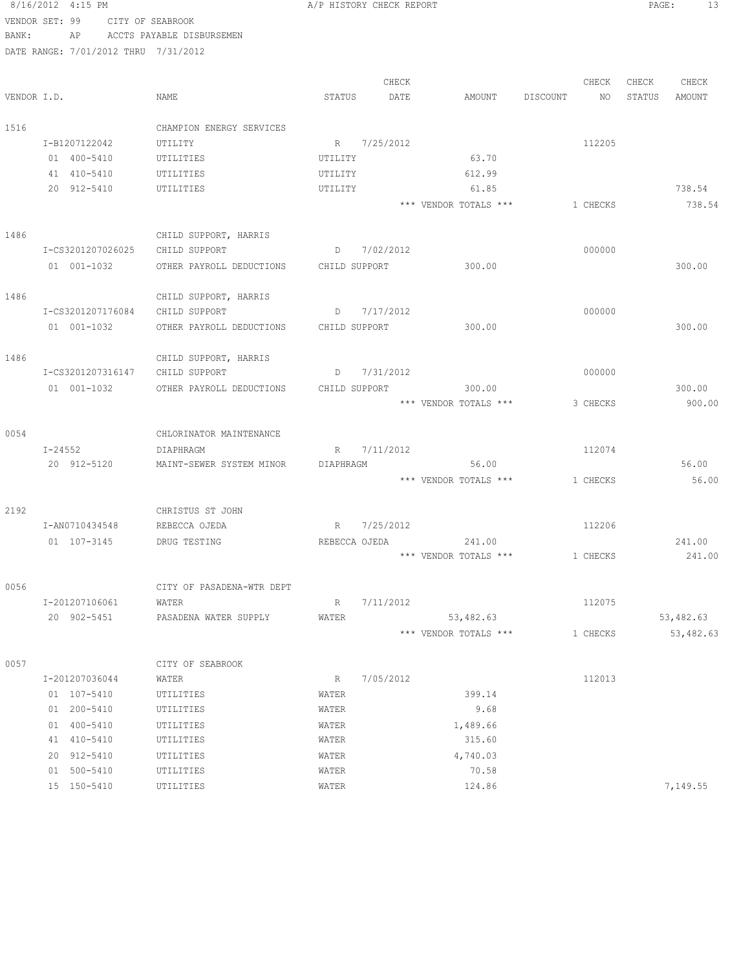|       | 8/16/2012 4:15 PM                    |                           | A/P HISTORY CHECK REPORT |           |                       |                | PAGE:  | 13         |
|-------|--------------------------------------|---------------------------|--------------------------|-----------|-----------------------|----------------|--------|------------|
|       | VENDOR SET: 99                       | CITY OF SEABROOK          |                          |           |                       |                |        |            |
| BANK: | ΑP                                   | ACCTS PAYABLE DISBURSEMEN |                          |           |                       |                |        |            |
|       | DATE RANGE: 7/01/2012 THRU 7/31/2012 |                           |                          |           |                       |                |        |            |
|       |                                      |                           |                          |           |                       |                |        |            |
|       |                                      |                           |                          | CHECK     |                       | CHECK          | CHECK  | CHECK      |
|       | VENDOR I.D.                          | NAME                      | STATUS                   | DATE      | AMOUNT                | DISCOUNT<br>NO | STATUS | AMOUNT     |
|       |                                      |                           |                          |           |                       |                |        |            |
| 1516  |                                      | CHAMPION ENERGY SERVICES  |                          |           |                       |                |        |            |
|       | I-B1207122042                        | UTILITY                   | R 7/25/2012              |           |                       | 112205         |        |            |
|       | 01 400-5410                          | UTILITIES                 | UTILITY                  |           | 63.70                 |                |        |            |
|       | 41 410-5410                          | UTILITIES                 | UTILITY                  |           | 612.99                |                |        |            |
|       | 20 912-5410                          | UTILITIES                 | UTILITY                  |           | 61.85                 |                |        | 738.54     |
|       |                                      |                           |                          |           | *** VENDOR TOTALS *** | 1 CHECKS       |        | 738.54     |
|       |                                      |                           |                          |           |                       |                |        |            |
| 1486  |                                      | CHILD SUPPORT, HARRIS     |                          |           |                       |                |        |            |
|       | I-CS3201207026025                    | CHILD SUPPORT             | D                        | 7/02/2012 |                       | 000000         |        |            |
|       | 01 001-1032                          | OTHER PAYROLL DEDUCTIONS  | CHILD SUPPORT            |           | 300.00                |                |        | 300.00     |
|       |                                      |                           |                          |           |                       |                |        |            |
| 1486  |                                      | CHILD SUPPORT, HARRIS     |                          |           |                       |                |        |            |
|       | I-CS3201207176084                    | CHILD SUPPORT             | D                        | 7/17/2012 |                       | 000000         |        |            |
|       | 01 001-1032                          | OTHER PAYROLL DEDUCTIONS  | CHILD SUPPORT            |           | 300.00                |                |        | 300.00     |
|       |                                      |                           |                          |           |                       |                |        |            |
| 1486  |                                      | CHILD SUPPORT, HARRIS     |                          |           |                       |                |        |            |
|       | I-CS3201207316147                    | CHILD SUPPORT             | D                        | 7/31/2012 |                       | 000000         |        |            |
|       | 01 001-1032                          | OTHER PAYROLL DEDUCTIONS  | CHILD SUPPORT            |           | 300.00                |                |        | 300.00     |
|       |                                      |                           |                          |           | *** VENDOR TOTALS *** | 3 CHECKS       |        | 900.00     |
|       |                                      |                           |                          |           |                       |                |        |            |
| 0054  |                                      | CHLORINATOR MAINTENANCE   |                          |           |                       |                |        |            |
|       | I-24552                              | DIAPHRAGM                 | R                        | 7/11/2012 |                       | 112074         |        |            |
|       | 20 912-5120                          | MAINT-SEWER SYSTEM MINOR  | DIAPHRAGM                |           | 56.00                 |                |        | 56.00      |
|       |                                      |                           |                          |           | *** VENDOR TOTALS *** | 1 CHECKS       |        | 56.00      |
| 2192  |                                      | CHRISTUS ST JOHN          |                          |           |                       |                |        |            |
|       | I-AN0710434548                       | REBECCA OJEDA             | R                        | 7/25/2012 |                       | 112206         |        |            |
|       | 01 107-3145                          | DRUG TESTING              | REBECCA OJEDA            |           | 241.00                |                |        | 241.00     |
|       |                                      |                           |                          |           | *** VENDOR TOTALS *** | 1 CHECKS       |        | 241.00     |
|       |                                      |                           |                          |           |                       |                |        |            |
| 0056  |                                      | CITY OF PASADENA-WTR DEPT |                          |           |                       |                |        |            |
|       | I-201207106061                       | WATER                     | R                        | 7/11/2012 |                       | 112075         |        |            |
|       | 20 902-5451                          | PASADENA WATER SUPPLY     | WATER                    |           | 53,482.63             |                |        | 53,482.63  |
|       |                                      |                           |                          |           | *** VENDOR TOTALS *** | 1 CHECKS       |        | 53, 482.63 |
|       |                                      |                           |                          |           |                       |                |        |            |
| 0057  |                                      | CITY OF SEABROOK          |                          |           |                       |                |        |            |
|       | I-201207036044                       | WATER                     | R                        | 7/05/2012 |                       | 112013         |        |            |
|       | 01 107-5410                          | UTILITIES                 | WATER                    |           | 399.14                |                |        |            |
|       | 01 200-5410                          | UTILITIES                 | WATER                    |           | 9.68                  |                |        |            |
|       | 01 400-5410                          | UTILITIES                 | WATER                    |           | 1,489.66              |                |        |            |
|       | 41 410-5410                          | UTILITIES                 | WATER                    |           | 315.60                |                |        |            |
|       | 20 912-5410                          | UTILITIES                 | WATER                    |           | 4,740.03              |                |        |            |
|       | 01 500-5410                          | UTILITIES                 | WATER                    |           | 70.58                 |                |        |            |
|       | 15 150-5410                          | UTILITIES                 | WATER                    |           | 124.86                |                |        | 7,149.55   |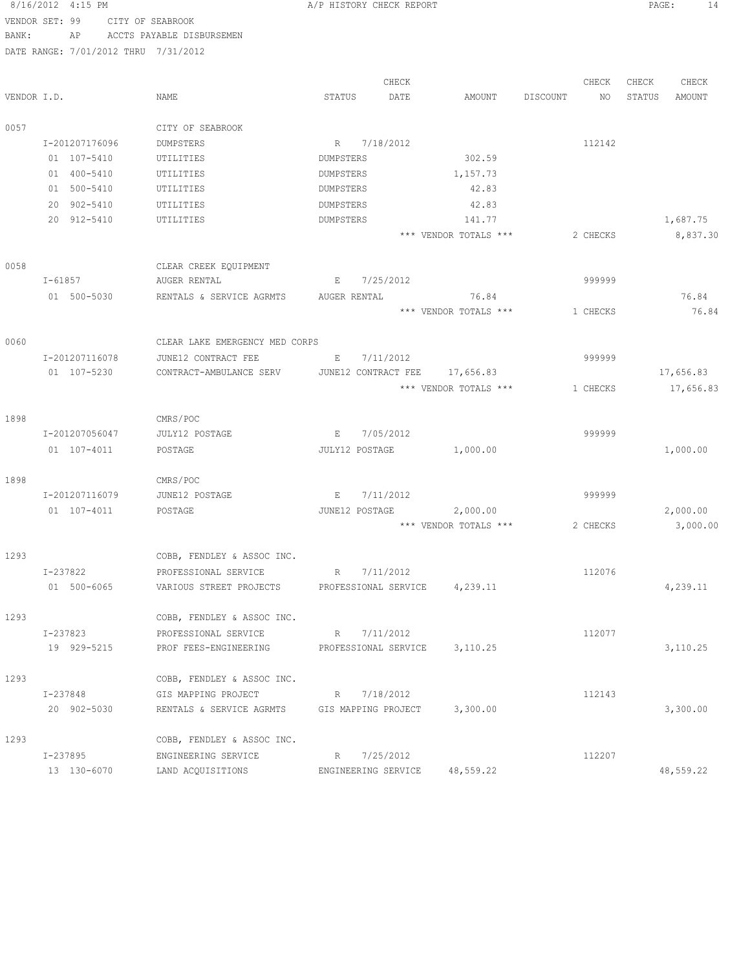| 8/16/2012 4:15 PM |  |                               | A/P HISTORY CHECK REPORT |                                                       |                      |           |                                    | PAGE:    | 14       |        |           |
|-------------------|--|-------------------------------|--------------------------|-------------------------------------------------------|----------------------|-----------|------------------------------------|----------|----------|--------|-----------|
| VENDOR SET: 99    |  |                               |                          | CITY OF SEABROOK                                      |                      |           |                                    |          |          |        |           |
| BANK:             |  | ΑP                            |                          | ACCTS PAYABLE DISBURSEMEN                             |                      |           |                                    |          |          |        |           |
|                   |  |                               |                          | DATE RANGE: 7/01/2012 THRU 7/31/2012                  |                      |           |                                    |          |          |        |           |
|                   |  |                               |                          |                                                       |                      |           |                                    |          |          |        |           |
|                   |  |                               |                          |                                                       |                      | CHECK     |                                    |          | CHECK    | CHECK  | CHECK     |
| VENDOR I.D.       |  |                               |                          | NAME                                                  | STATUS               | DATE      | AMOUNT                             | DISCOUNT | NO       | STATUS | AMOUNT    |
|                   |  |                               |                          |                                                       |                      |           |                                    |          |          |        |           |
| 0057              |  |                               |                          | CITY OF SEABROOK                                      |                      |           |                                    |          |          |        |           |
|                   |  | I-201207176096                |                          | DUMPSTERS                                             | R 7/18/2012          |           |                                    |          | 112142   |        |           |
|                   |  | 01 107-5410                   |                          | UTILITIES                                             | DUMPSTERS            |           | 302.59                             |          |          |        |           |
|                   |  | 01 400-5410                   |                          | UTILITIES                                             | DUMPSTERS            |           | 1,157.73                           |          |          |        |           |
|                   |  | 01 500-5410                   |                          | UTILITIES                                             | DUMPSTERS            |           | 42.83                              |          |          |        |           |
|                   |  | 20 902-5410                   |                          | UTILITIES                                             | DUMPSTERS            |           | 42.83                              |          |          |        |           |
|                   |  | 20 912-5410                   |                          | UTILITIES                                             | DUMPSTERS            |           | 141.77                             |          |          |        | 1,687.75  |
|                   |  |                               |                          |                                                       |                      |           | *** VENDOR TOTALS ***              |          | 2 CHECKS |        | 8,837.30  |
|                   |  |                               |                          |                                                       |                      |           |                                    |          |          |        |           |
| 0058              |  |                               |                          | CLEAR CREEK EQUIPMENT                                 |                      |           |                                    |          |          |        |           |
|                   |  | $I - 61857$                   |                          | AUGER RENTAL                                          | $\mathbf{E}$         | 7/25/2012 |                                    |          | 999999   |        |           |
|                   |  | 01 500-5030                   |                          | RENTALS & SERVICE AGRMTS                              | AUGER RENTAL         |           | 76.84                              |          |          |        | 76.84     |
|                   |  |                               |                          |                                                       |                      |           | *** VENDOR TOTALS ***              |          | 1 CHECKS |        | 76.84     |
|                   |  |                               |                          |                                                       |                      |           |                                    |          |          |        |           |
| 0060              |  |                               |                          | CLEAR LAKE EMERGENCY MED CORPS                        |                      |           |                                    |          |          |        |           |
|                   |  | I-201207116078<br>01 107-5230 |                          | JUNE12 CONTRACT FEE                                   | Е                    | 7/11/2012 |                                    |          | 999999   |        | 17,656.83 |
|                   |  |                               |                          | CONTRACT-AMBULANCE SERV                               | JUNE12 CONTRACT FEE  |           | 17,656.83<br>*** VENDOR TOTALS *** | 1 CHECKS |          |        | 17,656.83 |
|                   |  |                               |                          |                                                       |                      |           |                                    |          |          |        |           |
| 1898              |  |                               |                          | CMRS/POC                                              |                      |           |                                    |          |          |        |           |
|                   |  | I-201207056047                |                          | JULY12 POSTAGE                                        | $E$ and $E$          | 7/05/2012 |                                    |          | 999999   |        |           |
|                   |  | 01 107-4011                   |                          | POSTAGE                                               | JULY12 POSTAGE       |           | 1,000.00                           |          |          |        | 1,000.00  |
|                   |  |                               |                          |                                                       |                      |           |                                    |          |          |        |           |
| 1898              |  |                               |                          | CMRS/POC                                              |                      |           |                                    |          |          |        |           |
|                   |  | I-201207116079                |                          | JUNE12 POSTAGE                                        | E                    | 7/11/2012 |                                    |          | 999999   |        |           |
|                   |  | 01 107-4011                   |                          | POSTAGE                                               | JUNE12 POSTAGE       |           | 2,000.00                           |          |          |        | 2,000.00  |
|                   |  |                               |                          |                                                       |                      |           | *** VENDOR TOTALS ***              | 2 CHECKS |          |        | 3,000.00  |
|                   |  |                               |                          |                                                       |                      |           |                                    |          |          |        |           |
| 1293              |  |                               |                          | COBB, FENDLEY & ASSOC INC.                            |                      |           |                                    |          |          |        |           |
|                   |  | I-237822                      |                          | PROFESSIONAL SERVICE                                  | R 7/11/2012          |           |                                    |          | 112076   |        |           |
|                   |  |                               | 01 500-6065              | VARIOUS STREET PROJECTS PROFESSIONAL SERVICE 4,239.11 |                      |           |                                    |          |          |        | 4,239.11  |
|                   |  |                               |                          |                                                       |                      |           |                                    |          |          |        |           |
| 1293              |  |                               |                          | COBB, FENDLEY & ASSOC INC.                            |                      |           |                                    |          |          |        |           |
|                   |  | I-237823                      |                          | PROFESSIONAL SERVICE                                  | R 7/11/2012          |           |                                    |          | 112077   |        |           |
|                   |  | 19 929-5215                   |                          | PROF FEES-ENGINEERING                                 | PROFESSIONAL SERVICE |           | 3,110.25                           |          |          |        | 3,110.25  |
|                   |  |                               |                          |                                                       |                      |           |                                    |          |          |        |           |
| 1293              |  |                               |                          | COBB, FENDLEY & ASSOC INC.                            |                      |           |                                    |          |          |        |           |
|                   |  | I-237848                      |                          | GIS MAPPING PROJECT                                   | R 7/18/2012          |           |                                    |          | 112143   |        |           |
|                   |  | 20 902-5030                   |                          | RENTALS & SERVICE AGRMTS GIS MAPPING PROJECT 3,300.00 |                      |           |                                    |          |          |        | 3,300.00  |
|                   |  |                               |                          |                                                       |                      |           |                                    |          |          |        |           |
| 1293              |  |                               |                          | COBB, FENDLEY & ASSOC INC.                            |                      |           |                                    |          |          |        |           |
|                   |  | I-237895                      |                          | ENGINEERING SERVICE                                   | R 7/25/2012          |           |                                    |          | 112207   |        |           |
|                   |  | 13 130-6070                   |                          | LAND ACQUISITIONS                                     |                      |           | ENGINEERING SERVICE 48,559.22      |          |          |        | 48,559.22 |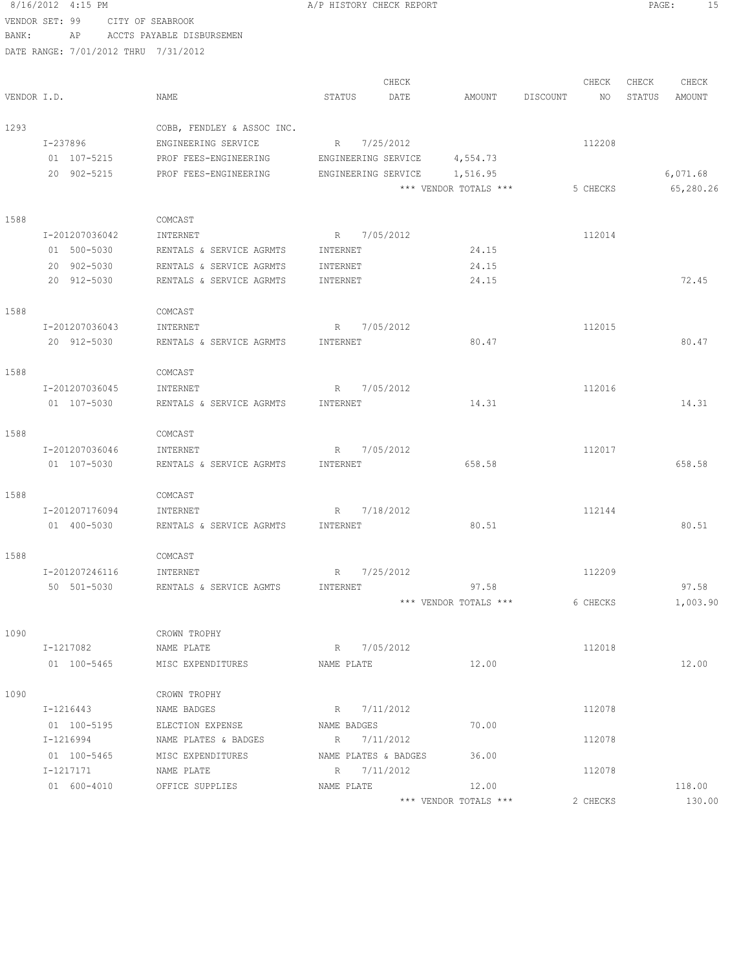8/16/2012 4:15 PM **A/P HISTORY CHECK REPORT PAGE:** 15 VENDOR SET: 99 CITY OF SEABROOK BANK: AP ACCTS PAYABLE DISBURSEMEN DATE RANGE: 7/01/2012 THRU 7/31/2012 CHECK CHECK CHECK CHECK VENDOR I.D. NAME STATUS DATE AMOUNT DISCOUNT NO STATUS AMOUNT 1293 COBB, FENDLEY & ASSOC INC. I-237896 ENGINEERING SERVICE R 7/25/2012 112208 01 107-5215 PROF FEES-ENGINEERING ENGINEERING SERVICE 4,554.73 20 902-5215 PROF FEES-ENGINEERING ENGINEERING SERVICE 1,516.95 6,071.68 \*\*\* VENDOR TOTALS \*\*\* 5 CHECKS 65,280.26 1588 COMCAST I-201207036042 INTERNET R 7/05/2012 112014 01 500-5030 RENTALS & SERVICE AGRMTS INTERNET 24.15 20 902-5030 RENTALS & SERVICE AGRMTS INTERNET 24.15 20 912-5030 RENTALS & SERVICE AGRMTS INTERNET 24.15 72.45 1588 COMCAST I-201207036043 INTERNET R 7/05/2012 112015 20 912-5030 RENTALS & SERVICE AGRMTS INTERNET 80.47 80.47 1588 COMCAST I-201207036045 INTERNET R 7/05/2012 112016 01 107-5030 RENTALS & SERVICE AGRMTS INTERNET 14.31 14.31 14.31 1588 COMCAST I-201207036046 INTERNET R 7/05/2012 112017 01 107-5030 RENTALS & SERVICE AGRMTS INTERNET 658.58 658.58 658.58 658.58 1588 COMCAST I-201207176094 INTERNET R 7/18/2012 112144 01 400-5030 RENTALS & SERVICE AGRMTS INTERNET 80.51 80.51 80.51 1588 COMCAST I-201207246116 INTERNET R 7/25/2012 112209 50 501-5030 RENTALS & SERVICE AGMTS INTERNET 97.58 97.58 \*\*\* VENDOR TOTALS \*\*\* 6 CHECKS 1,003.90 1090 CROWN TROPHY I-1217082 NAME PLATE R 7/05/2012 112018 01 100-5465 MISC EXPENDITURES NAME PLATE 12.00 12.00 12.00 12.00 1090 CROWN TROPHY I-1216443 NAME BADGES R 7/11/2012 112078 01 100-5195 ELECTION EXPENSE NAME BADGES 70.00 I-1216994 NAME PLATES & BADGES R 7/11/2012 112078 01 100-5465 MISC EXPENDITURES NAME PLATES & BADGES 36.00 I-1217171 NAME PLATE R 7/11/2012 112078 01 600-4010 OFFICE SUPPLIES NAME PLATE 12.00 118.00 118.00

\*\*\* VENDOR TOTALS \*\*\* 2 CHECKS 130.00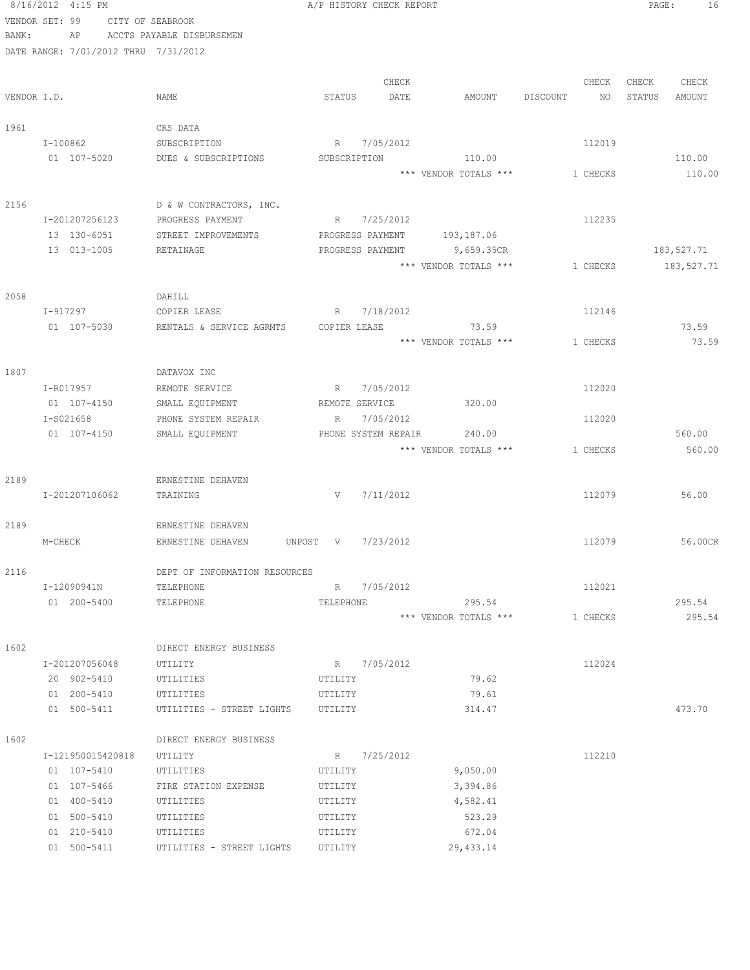|       | 8/16/2012 4:15 PM                    |                                      |                     | A/P HISTORY CHECK REPORT |                             |                | PAGE:<br>16      |
|-------|--------------------------------------|--------------------------------------|---------------------|--------------------------|-----------------------------|----------------|------------------|
|       | VENDOR SET: 99                       | CITY OF SEABROOK                     |                     |                          |                             |                |                  |
| BANK: | AP                                   | ACCTS PAYABLE DISBURSEMEN            |                     |                          |                             |                |                  |
|       | DATE RANGE: 7/01/2012 THRU 7/31/2012 |                                      |                     |                          |                             |                |                  |
|       |                                      |                                      |                     |                          |                             |                |                  |
|       |                                      |                                      |                     | CHECK                    |                             | CHECK          | CHECK<br>CHECK   |
|       | VENDOR I.D.                          | NAME                                 | STATUS              | DATE                     | AMOUNT                      | DISCOUNT<br>NO | STATUS<br>AMOUNT |
|       |                                      | CRS DATA                             |                     |                          |                             |                |                  |
| 1961  | I-100862                             |                                      |                     | R 7/05/2012              |                             | 112019         |                  |
|       | 01 107-5020                          | SUBSCRIPTION<br>DUES & SUBSCRIPTIONS | SUBSCRIPTION        |                          | 110.00                      |                | 110.00           |
|       |                                      |                                      |                     |                          | *** VENDOR TOTALS ***       | 1 CHECKS       | 110.00           |
|       |                                      |                                      |                     |                          |                             |                |                  |
| 2156  |                                      | D & W CONTRACTORS, INC.              |                     |                          |                             |                |                  |
|       | I-201207256123                       | PROGRESS PAYMENT                     | R                   | 7/25/2012                |                             | 112235         |                  |
|       | 13 130-6051                          | STREET IMPROVEMENTS                  |                     |                          | PROGRESS PAYMENT 193,187.06 |                |                  |
|       | 13 013-1005                          | RETAINAGE                            |                     | PROGRESS PAYMENT         | 9,659.35CR                  |                | 183,527.71       |
|       |                                      |                                      |                     |                          | *** VENDOR TOTALS ***       | 1 CHECKS       | 183,527.71       |
|       |                                      |                                      |                     |                          |                             |                |                  |
| 2058  |                                      | DAHILL                               |                     |                          |                             |                |                  |
|       | I-917297                             | COPIER LEASE                         | R                   | 7/18/2012                |                             | 112146         |                  |
|       | 01 107-5030                          | RENTALS & SERVICE AGRMTS             |                     | COPIER LEASE             | 73.59                       |                | 73.59            |
|       |                                      |                                      |                     |                          | *** VENDOR TOTALS ***       | 1 CHECKS       | 73.59            |
|       |                                      |                                      |                     |                          |                             |                |                  |
| 1807  |                                      | DATAVOX INC                          |                     | 7/05/2012                |                             |                |                  |
|       | I-R017957<br>01 107-4150             | REMOTE SERVICE<br>SMALL EQUIPMENT    | R<br>REMOTE SERVICE |                          | 320.00                      | 112020         |                  |
|       | I-S021658                            | PHONE SYSTEM REPAIR                  | R                   | 7/05/2012                |                             | 112020         |                  |
|       | 01 107-4150                          | SMALL EQUIPMENT                      |                     | PHONE SYSTEM REPAIR      | 240.00                      |                | 560.00           |
|       |                                      |                                      |                     |                          | *** VENDOR TOTALS ***       | 1 CHECKS       | 560.00           |
|       |                                      |                                      |                     |                          |                             |                |                  |
| 2189  |                                      | ERNESTINE DEHAVEN                    |                     |                          |                             |                |                  |
|       | I-201207106062                       | TRAINING                             |                     | $V$ 7/11/2012            |                             | 112079         | 56.00            |
|       |                                      |                                      |                     |                          |                             |                |                  |
| 2189  |                                      | ERNESTINE DEHAVEN                    |                     |                          |                             |                |                  |
|       | M-CHECK                              | ERNESTINE DEHAVEN<br>UNPOST V        |                     | 7/23/2012                |                             | 112079         | 56.00CR          |
|       |                                      |                                      |                     |                          |                             |                |                  |
| 2116  |                                      | DEPT OF INFORMATION RESOURCES        |                     |                          |                             |                |                  |
|       | I-12090941N                          | TELEPHONE                            |                     | R 7/05/2012              |                             | 112021         |                  |
|       | 01 200-5400                          | TELEPHONE                            | TELEPHONE           |                          | 295.54                      |                | 295.54           |
|       |                                      |                                      |                     |                          | *** VENDOR TOTALS ***       | 1 CHECKS       | 295.54           |
| 1602  |                                      | DIRECT ENERGY BUSINESS               |                     |                          |                             |                |                  |
|       | I-201207056048                       | UTILITY                              |                     | R 7/05/2012              |                             | 112024         |                  |
|       | 20 902-5410                          | UTILITIES                            | UTILITY             |                          | 79.62                       |                |                  |
|       | 01 200-5410                          | UTILITIES                            | UTILITY             |                          | 79.61                       |                |                  |
|       | 01 500-5411                          | UTILITIES - STREET LIGHTS UTILITY    |                     |                          | 314.47                      |                | 473.70           |
|       |                                      |                                      |                     |                          |                             |                |                  |
| 1602  |                                      | DIRECT ENERGY BUSINESS               |                     |                          |                             |                |                  |
|       | I-121950015420818                    | UTILITY                              |                     | R 7/25/2012              |                             | 112210         |                  |
|       | 01 107-5410                          | UTILITIES                            | UTILITY             |                          | 9,050.00                    |                |                  |
|       | 01 107-5466                          | FIRE STATION EXPENSE                 | UTILITY             |                          | 3,394.86                    |                |                  |
|       | 01 400-5410                          | UTILITIES                            | UTILITY             |                          | 4,582.41                    |                |                  |
|       | 01 500-5410                          | UTILITIES                            | UTILITY             |                          | 523.29                      |                |                  |
|       | 01 210-5410                          | UTILITIES                            | UTILITY             |                          | 672.04                      |                |                  |
|       | 01 500-5411                          | UTILITIES - STREET LIGHTS            | UTILITY             |                          | 29, 433.14                  |                |                  |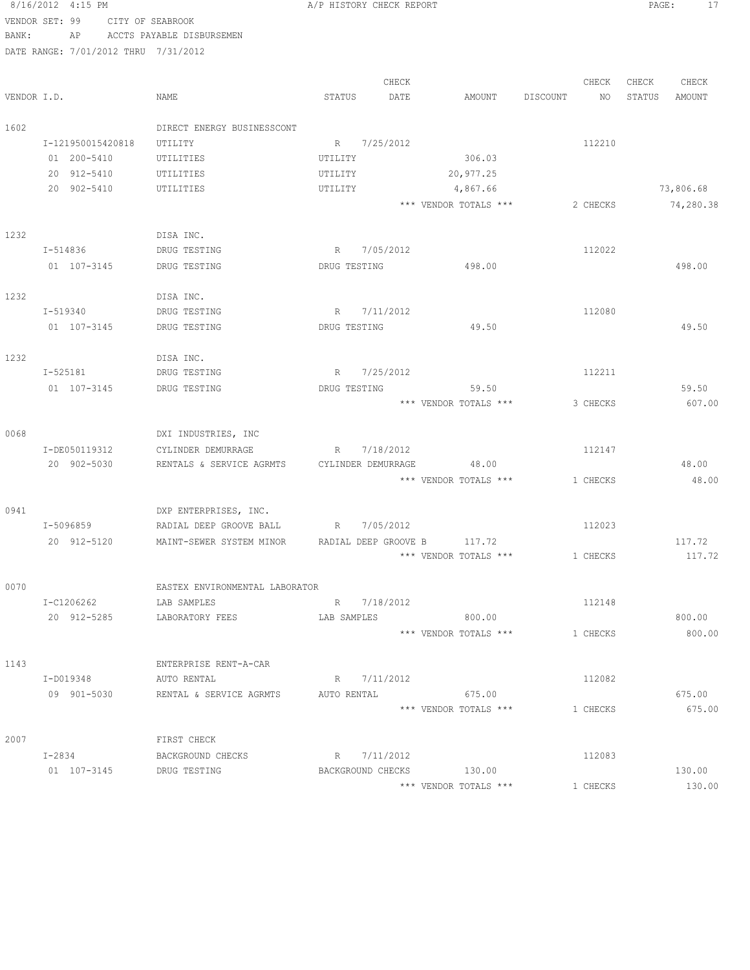8/16/2012 4:15 PM **B** A/P HISTORY CHECK REPORT **PAGE:** 17 VENDOR SET: 99 CITY OF SEABROOK BANK: AP ACCTS PAYABLE DISBURSEMEN DATE RANGE: 7/01/2012 THRU 7/31/2012 CHECK CHECK CHECK CHECK VENDOR I.D. NAME STATUS DATE AMOUNT DISCOUNT NO STATUS AMOUNT 1602 DIRECT ENERGY BUSINESSCONT I-121950015420818 UTILITY R 7/25/2012 R 112210 01 200-5410 UTILITIES UTILITY 306.03 20 912-5410 UTILITIES UTILITY 20,977.25 20 902-5410 UTILITIES UTILITY 4,867.66 73,806.68 \*\*\* VENDOR TOTALS \*\*\* 2 CHECKS 74,280.38 1232 DISA INC. I-514836 DRUG TESTING R 7/05/2012 112022 01 107-3145 DRUG TESTING DRUG TESTING 498.00 498.00 1232 DISA INC. I-519340 DRUG TESTING R 7/11/2012 R 112080 01 107-3145 DRUG TESTING DRUG TESTING 49.50 49.50 1232 DISA INC. I-525181 DRUG TESTING R 7/25/2012 R 112211 01 107-3145 DRUG TESTING DRUG TESTING 59.50 59.50 \*\*\* VENDOR TOTALS \*\*\* 3 CHECKS 607.00 0068 DXI INDUSTRIES, INC I-DE050119312 CYLINDER DEMURRAGE R 7/18/2012 112147 20 902-5030 RENTALS & SERVICE AGRMTS CYLINDER DEMURRAGE 48.00 48.00 \*\*\* VENDOR TOTALS \*\*\* 1 CHECKS 48.00 0941 DXP ENTERPRISES, INC. I-5096859 RADIAL DEEP GROOVE BALL R 7/05/2012 112023 20 912-5120 MAINT-SEWER SYSTEM MINOR RADIAL DEEP GROOVE B 117.72 117.72 117.72 \*\*\* VENDOR TOTALS \*\*\* 1 CHECKS 117.72 0070 EASTEX ENVIRONMENTAL LABORATOR I-C1206262 LAB SAMPLES R 7/18/2012 112148 20 912-5285 LABORATORY FEES LAB SAMPLES 800.00 800.00 \*\*\* VENDOR TOTALS \*\*\* 1 CHECKS 800.00 1143 ENTERPRISE RENT-A-CAR I-D019348 AUTO RENTAL R 7/11/2012 R 112082 09 901-5030 RENTAL & SERVICE AGRMTS AUTO RENTAL 675.00 675.00 \*\*\* VENDOR TOTALS \*\*\* 1 CHECKS 675.00 2007 FIRST CHECK I-2834 BACKGROUND CHECKS R 7/11/2012 112083

01 107-3145 DRUG TESTING BACKGROUND CHECKS 130.00 130.00 130.00

\*\*\* VENDOR TOTALS \*\*\* 1 CHECKS 130.00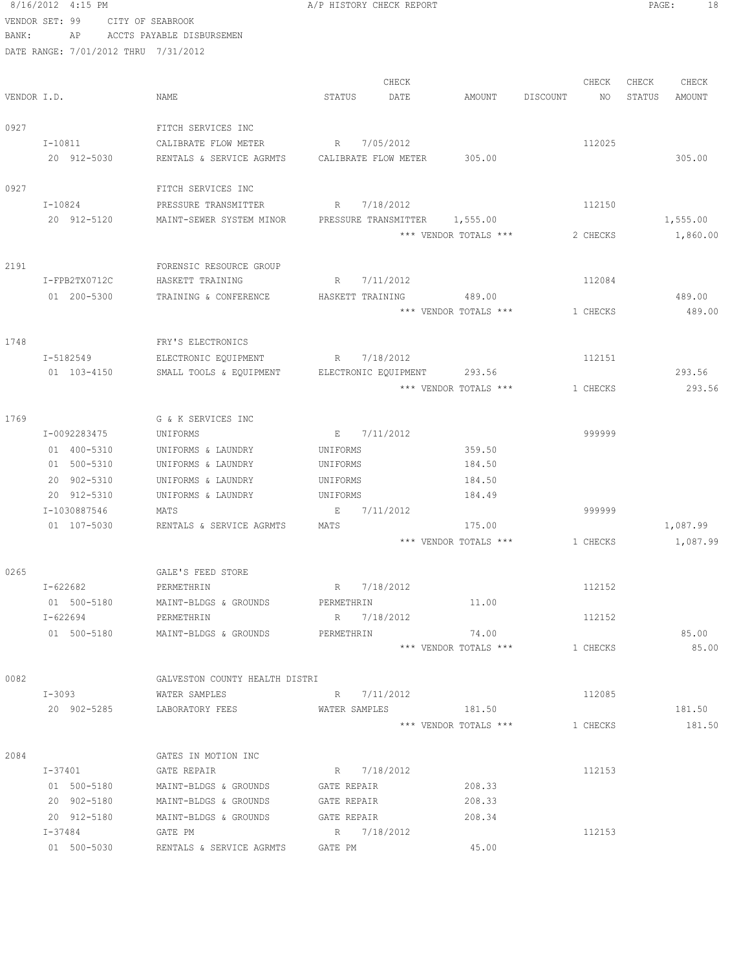8/16/2012 4:15 PM **B** A/P HISTORY CHECK REPORT **PAGE:** 18 VENDOR SET: 99 CITY OF SEABROOK BANK: AP ACCTS PAYABLE DISBURSEMEN DATE RANGE: 7/01/2012 THRU 7/31/2012 CHECK CHECK CHECK CHECK VENDOR I.D. NAME STATUS DATE AMOUNT DISCOUNT NO STATUS AMOUNT 0927 FITCH SERVICES INC I-10811 CALIBRATE FLOW METER R 7/05/2012 112025 20 912-5030 RENTALS & SERVICE AGRMTS CALIBRATE FLOW METER 305.00 305.00 0927 FITCH SERVICES INC I-10824 **PRESSURE TRANSMITTER** R 7/18/2012 112150 20 912-5120 MAINT-SEWER SYSTEM MINOR PRESSURE TRANSMITTER 1,555.00 1,555.00 \*\*\* VENDOR TOTALS \*\*\* 2 CHECKS 1,860.00 2191 FORENSIC RESOURCE GROUP I-FPB2TX0712C HASKETT TRAINING R 7/11/2012 112084 01 200-5300 TRAINING & CONFERENCE HASKETT TRAINING 489.00 489.00 489.00 \*\*\* VENDOR TOTALS \*\*\* 1 CHECKS 489.00 1748 FRY'S ELECTRONICS I-5182549 ELECTRONIC EQUIPMENT R 7/18/2012 112151 01 103-4150 SMALL TOOLS & EQUIPMENT ELECTRONIC EQUIPMENT 293.56 293.56 \*\*\* VENDOR TOTALS \*\*\* 1 CHECKS 293.56 1769 G & K SERVICES INC I-0092283475 UNIFORMS E 7/11/2012 999999 01 400-5310 UNIFORMS & LAUNDRY UNIFORMS 359.50 01 500-5310 UNIFORMS & LAUNDRY UNIFORMS 184.50 20 902-5310 UNIFORMS & LAUNDRY UNIFORMS 184.50 20 912-5310 UNIFORMS & LAUNDRY UNIFORMS 184.49 I-1030887546 MATS E 7/11/2012 999999 01 107-5030 RENTALS & SERVICE AGRMTS MATS 175.00 175.00 \*\*\* VENDOR TOTALS \*\*\* 1 CHECKS 1,087.99 0265 GALE'S FEED STORE I-622682 PERMETHRIN R 7/18/2012 112152 01 500-5180 MAINT-BLDGS & GROUNDS PERMETHRIN 11.00 I-622694 PERMETHRIN R 7/18/2012 112152 01 500-5180 MAINT-BLDGS & GROUNDS PERMETHRIN 74.00 85.00 \*\*\* VENDOR TOTALS \*\*\* 1 CHECKS 85.00 0082 GALVESTON COUNTY HEALTH DISTRI I-3093 WATER SAMPLES R 7/11/2012 112085 20 902-5285 LABORATORY FEES WATER SAMPLES 181.50 181.50 \*\*\* VENDOR TOTALS \*\*\* 1 CHECKS 181.50 2084 GATES IN MOTION INC I-37401 GATE REPAIR 6 (GATE REPAIR ) R 7/18/2012 112153 01 500-5180 MAINT-BLDGS & GROUNDS GATE REPAIR 208.33 20 902-5180 MAINT-BLDGS & GROUNDS GATE REPAIR 208.33 20 912-5180 MAINT-BLDGS & GROUNDS GATE REPAIR 208.34 I-37484 GATE PM R 7/18/2012 112153 01 500-5030 RENTALS & SERVICE AGRMTS GATE PM 45.00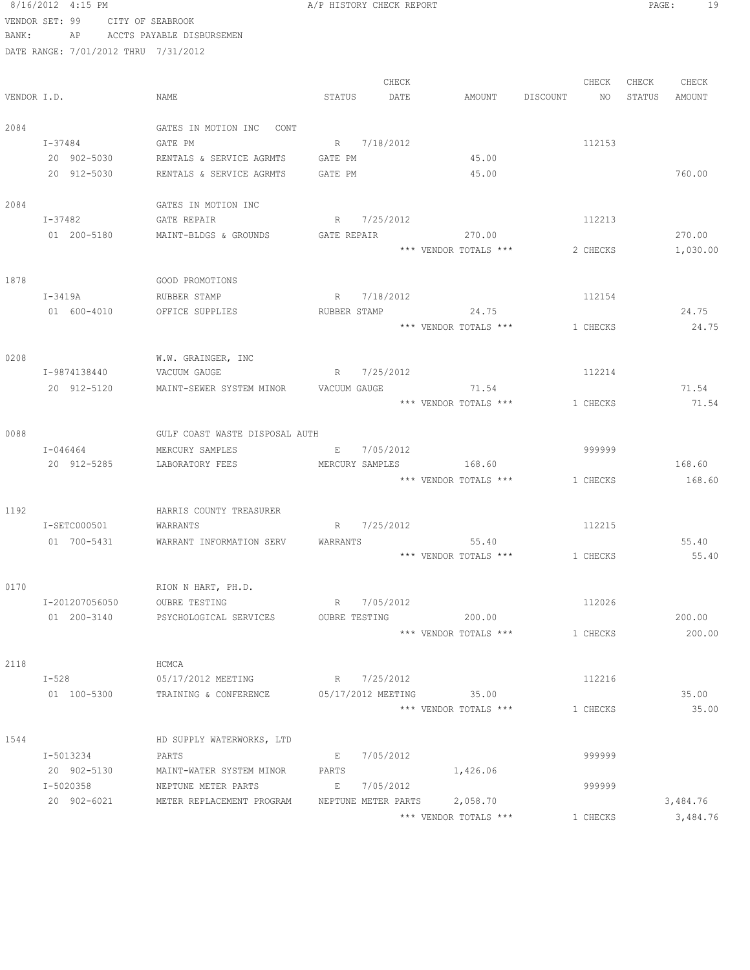### 8/16/2012 4:15 PM **A**/P HISTORY CHECK REPORT **PAGE:** 19 VENDOR SET: 99 CITY OF SEABROOK

BANK: AP ACCTS PAYABLE DISBURSEMEN

|             |                |                                             |                                                                                                                                                                                                                                | CHECK       |                              |                    | CHECK    | CHECK | CHECK    |
|-------------|----------------|---------------------------------------------|--------------------------------------------------------------------------------------------------------------------------------------------------------------------------------------------------------------------------------|-------------|------------------------------|--------------------|----------|-------|----------|
| VENDOR I.D. |                | NAME                                        | STATUS                                                                                                                                                                                                                         | DATE        | AMOUNT                       | DISCOUNT NO STATUS |          |       | AMOUNT   |
| 2084        |                | GATES IN MOTION INC CONT                    |                                                                                                                                                                                                                                |             |                              |                    |          |       |          |
|             | $I - 37484$    | GATE PM                                     | R 7/18/2012                                                                                                                                                                                                                    |             |                              |                    | 112153   |       |          |
|             | 20 902-5030    | RENTALS & SERVICE AGRMTS                    | GATE PM                                                                                                                                                                                                                        |             | 45.00                        |                    |          |       |          |
|             | 20 912-5030    | RENTALS & SERVICE AGRMTS                    | GATE PM                                                                                                                                                                                                                        |             | 45.00                        |                    |          |       | 760.00   |
| 2084        |                | GATES IN MOTION INC                         |                                                                                                                                                                                                                                |             |                              |                    |          |       |          |
|             | I-37482        | GATE REPAIR                                 | R 7/25/2012                                                                                                                                                                                                                    |             |                              |                    | 112213   |       |          |
|             | 01 200-5180    | MAINT-BLDGS & GROUNDS                       | GATE REPAIR THE STATE OF THE STATE OF THE STATE OF THE STATE OF THE STATE OF THE STATE OF THE STATE OF THE STATE OF THE STATE OF THE STATE OF THE STATE OF THE STATE OF THE STATE OF THE STATE OF THE STATE OF THE STATE OF TH |             | 270.00                       |                    |          |       | 270.00   |
|             |                |                                             |                                                                                                                                                                                                                                |             | *** VENDOR TOTALS ***        |                    | 2 CHECKS |       | 1,030.00 |
| 1878        |                | GOOD PROMOTIONS                             |                                                                                                                                                                                                                                |             |                              |                    |          |       |          |
|             | I-3419A        | RUBBER STAMP                                | R 7/18/2012                                                                                                                                                                                                                    |             |                              |                    | 112154   |       |          |
|             | 01 600-4010    | OFFICE SUPPLIES                             | RUBBER STAMP                                                                                                                                                                                                                   |             | 24.75                        |                    |          |       | 24.75    |
|             |                |                                             |                                                                                                                                                                                                                                |             | *** VENDOR TOTALS ***        |                    | 1 CHECKS |       | 24.75    |
| 0208        |                | W.W. GRAINGER, INC                          |                                                                                                                                                                                                                                |             |                              |                    |          |       |          |
|             | I-9874138440   | VACUUM GAUGE                                | R 7/25/2012                                                                                                                                                                                                                    |             |                              |                    | 112214   |       |          |
|             | 20 912-5120    | MAINT-SEWER SYSTEM MINOR                    | VACUUM GAUGE                                                                                                                                                                                                                   |             | 71.54                        |                    |          |       | 71.54    |
|             |                |                                             |                                                                                                                                                                                                                                |             | *** VENDOR TOTALS ***        |                    | 1 CHECKS |       | 71.54    |
| 0088        |                | GULF COAST WASTE DISPOSAL AUTH              |                                                                                                                                                                                                                                |             |                              |                    |          |       |          |
|             | I-046464       | MERCURY SAMPLES                             | E 7/05/2012                                                                                                                                                                                                                    |             |                              |                    | 999999   |       |          |
|             | 20 912-5285    | LABORATORY FEES                             |                                                                                                                                                                                                                                |             | MERCURY SAMPLES 168.60       |                    |          |       | 168.60   |
|             |                |                                             |                                                                                                                                                                                                                                |             | *** VENDOR TOTALS ***        |                    | 1 CHECKS |       | 168.60   |
| 1192        |                | HARRIS COUNTY TREASURER                     |                                                                                                                                                                                                                                |             |                              |                    |          |       |          |
|             | I-SETC000501   | WARRANTS                                    | R 7/25/2012                                                                                                                                                                                                                    |             |                              |                    | 112215   |       |          |
|             | 01 700-5431    | WARRANT INFORMATION SERV                    | WARRANTS                                                                                                                                                                                                                       |             | 55.40                        |                    |          |       | 55.40    |
|             |                |                                             |                                                                                                                                                                                                                                |             | *** VENDOR TOTALS ***        |                    | 1 CHECKS |       | 55.40    |
| 0170        |                | RION N HART, PH.D.                          |                                                                                                                                                                                                                                |             |                              |                    |          |       |          |
|             | I-201207056050 | <b>OUBRE TESTING</b>                        |                                                                                                                                                                                                                                | R 7/05/2012 |                              |                    | 112026   |       |          |
|             | 01 200-3140    | PSYCHOLOGICAL SERVICES OUBRE TESTING 200.00 |                                                                                                                                                                                                                                |             |                              |                    |          |       | 200.00   |
|             |                |                                             |                                                                                                                                                                                                                                |             | *** VENDOR TOTALS ***        |                    | 1 CHECKS |       | 200.00   |
| 2118        |                | HCMCA                                       |                                                                                                                                                                                                                                |             |                              |                    |          |       |          |
|             | $I-528$        | 05/17/2012 MEETING                          | R 7/25/2012                                                                                                                                                                                                                    |             |                              |                    | 112216   |       |          |
|             | 01 100-5300    | TRAINING & CONFERENCE                       |                                                                                                                                                                                                                                |             | 05/17/2012 MEETING 35.00     |                    |          |       | 35.00    |
|             |                |                                             |                                                                                                                                                                                                                                |             | *** VENDOR TOTALS ***        |                    | 1 CHECKS |       | 35.00    |
| 1544        |                | HD SUPPLY WATERWORKS, LTD                   |                                                                                                                                                                                                                                |             |                              |                    |          |       |          |
|             | I-5013234      | PARTS                                       | E                                                                                                                                                                                                                              | 7/05/2012   |                              |                    | 999999   |       |          |
|             | 20 902-5130    | MAINT-WATER SYSTEM MINOR                    | PARTS                                                                                                                                                                                                                          |             | 1,426.06                     |                    |          |       |          |
|             | I-5020358      | NEPTUNE METER PARTS                         | <b>Experience</b>                                                                                                                                                                                                              | 7/05/2012   |                              |                    | 999999   |       |          |
|             | 20 902-6021    | METER REPLACEMENT PROGRAM                   |                                                                                                                                                                                                                                |             | NEPTUNE METER PARTS 2,058.70 |                    |          |       | 3,484.76 |
|             |                |                                             |                                                                                                                                                                                                                                |             | *** VENDOR TOTALS ***        |                    | 1 CHECKS |       | 3,484.76 |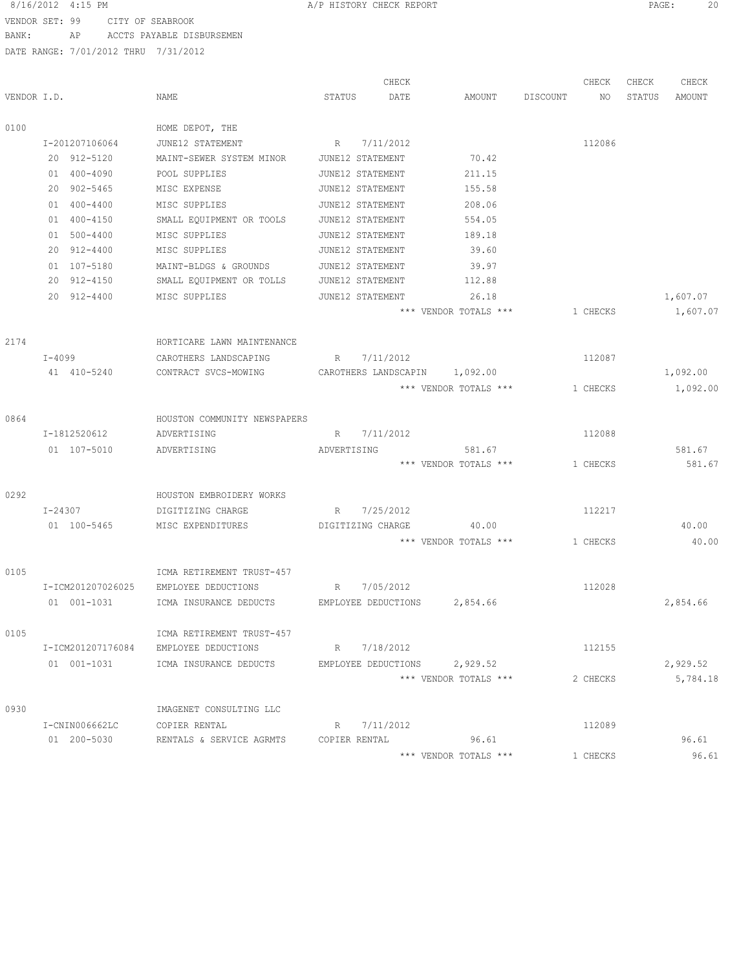### 8/16/2012 4:15 PM **A**/P HISTORY CHECK REPORT **PAGE:** 20 VENDOR SET: 99 CITY OF SEABROOK

BANK: AP ACCTS PAYABLE DISBURSEMEN

|             |                   |                                                  |                   | CHECK                |                              |          | CHECK    | CHECK  | CHECK    |
|-------------|-------------------|--------------------------------------------------|-------------------|----------------------|------------------------------|----------|----------|--------|----------|
| VENDOR I.D. |                   | NAME                                             | STATUS            | DATE                 | AMOUNT                       | DISCOUNT | ΝO       | STATUS | AMOUNT   |
| 0100        |                   | HOME DEPOT, THE                                  |                   |                      |                              |          |          |        |          |
|             | I-201207106064    | JUNE12 STATEMENT                                 | R                 | 7/11/2012            |                              |          | 112086   |        |          |
|             | 20 912-5120       | MAINT-SEWER SYSTEM MINOR                         | JUNE12 STATEMENT  |                      | 70.42                        |          |          |        |          |
|             | 01 400-4090       | POOL SUPPLIES                                    | JUNE12 STATEMENT  |                      | 211.15                       |          |          |        |          |
|             | 20 902-5465       | MISC EXPENSE                                     | JUNE12 STATEMENT  |                      | 155.58                       |          |          |        |          |
|             | 01 400-4400       | MISC SUPPLIES                                    | JUNE12 STATEMENT  |                      | 208.06                       |          |          |        |          |
|             | 01 400-4150       | SMALL EQUIPMENT OR TOOLS                         | JUNE12 STATEMENT  |                      | 554.05                       |          |          |        |          |
|             | 01 500-4400       | MISC SUPPLIES                                    | JUNE12 STATEMENT  |                      | 189.18                       |          |          |        |          |
|             | 20 912-4400       | MISC SUPPLIES                                    | JUNE12 STATEMENT  |                      | 39.60                        |          |          |        |          |
|             | 01 107-5180       | MAINT-BLDGS & GROUNDS                            | JUNE12 STATEMENT  |                      | 39.97                        |          |          |        |          |
|             | 20 912-4150       | SMALL EQUIPMENT OR TOLLS                         | JUNE12 STATEMENT  |                      | 112.88                       |          |          |        |          |
|             | 20 912-4400       | MISC SUPPLIES                                    | JUNE12 STATEMENT  |                      | 26.18                        |          |          |        | 1,607.07 |
|             |                   |                                                  |                   |                      | *** VENDOR TOTALS ***        |          | 1 CHECKS |        | 1,607.07 |
| 2174        |                   | HORTICARE LAWN MAINTENANCE                       |                   |                      |                              |          |          |        |          |
|             | $I-4099$          | CAROTHERS LANDSCAPING                            | R                 | 7/11/2012            |                              |          | 112087   |        |          |
|             | 41 410-5240       | CONTRACT SVCS-MOWING                             |                   | CAROTHERS LANDSCAPIN | 1,092.00                     |          |          |        | 1,092.00 |
|             |                   |                                                  |                   |                      | *** VENDOR TOTALS ***        |          | 1 CHECKS |        | 1,092.00 |
| 0864        |                   | HOUSTON COMMUNITY NEWSPAPERS                     |                   |                      |                              |          |          |        |          |
|             | I-1812520612      | ADVERTISING                                      |                   | R 7/11/2012          |                              |          | 112088   |        |          |
|             | 01 107-5010       | ADVERTISING                                      | ADVERTISING       |                      | 581.67                       |          |          |        | 581.67   |
|             |                   |                                                  |                   |                      | *** VENDOR TOTALS ***        |          | 1 CHECKS |        | 581.67   |
| 0292        |                   | HOUSTON EMBROIDERY WORKS                         |                   |                      |                              |          |          |        |          |
|             | I-24307           | DIGITIZING CHARGE                                | R                 | 7/25/2012            |                              |          | 112217   |        |          |
|             | 01 100-5465       | MISC EXPENDITURES                                | DIGITIZING CHARGE |                      | 40.00                        |          |          |        | 40.00    |
|             |                   |                                                  |                   |                      | *** VENDOR TOTALS ***        |          | 1 CHECKS |        | 40.00    |
|             |                   |                                                  |                   |                      |                              |          |          |        |          |
| 0105        | I-ICM201207026025 | ICMA RETIREMENT TRUST-457<br>EMPLOYEE DEDUCTIONS | R                 | 7/05/2012            |                              |          | 112028   |        |          |
|             |                   |                                                  |                   |                      |                              |          |          |        |          |
|             | 01 001-1031       | ICMA INSURANCE DEDUCTS                           |                   | EMPLOYEE DEDUCTIONS  | 2,854.66                     |          |          |        | 2,854.66 |
| 0105        |                   | ICMA RETIREMENT TRUST-457                        |                   |                      |                              |          |          |        |          |
|             | I-ICM201207176084 | EMPLOYEE DEDUCTIONS                              |                   | R 7/18/2012          |                              |          | 112155   |        |          |
|             | 01 001-1031       | ICMA INSURANCE DEDUCTS                           |                   |                      | EMPLOYEE DEDUCTIONS 2,929.52 |          |          |        | 2,929.52 |
|             |                   |                                                  |                   |                      | *** VENDOR TOTALS ***        |          | 2 CHECKS |        | 5,784.18 |
| 0930        |                   | IMAGENET CONSULTING LLC                          |                   |                      |                              |          |          |        |          |
|             | I-CNIN006662LC    | COPIER RENTAL                                    |                   | R 7/11/2012          |                              |          | 112089   |        |          |
|             | 01 200-5030       | RENTALS & SERVICE AGRMTS                         | COPIER RENTAL     |                      | 96.61                        |          |          |        | 96.61    |
|             |                   |                                                  |                   |                      | *** VENDOR TOTALS ***        |          | 1 CHECKS |        | 96.61    |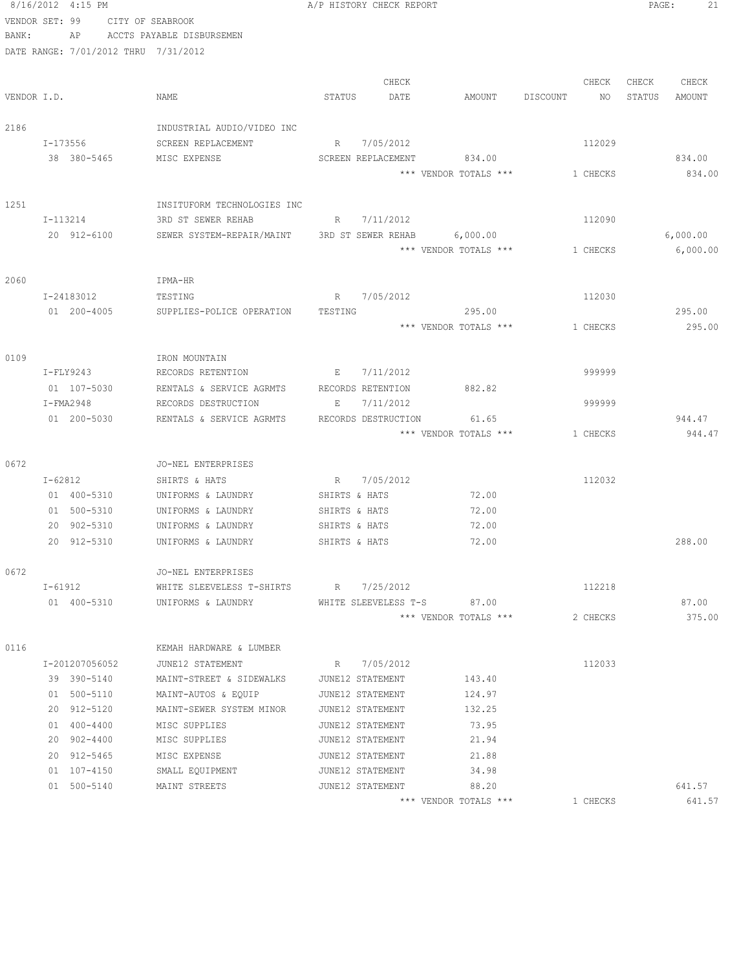|                | 8/16/2012 4:15 PM                    |                                                       | A/P HISTORY CHECK REPORT |                                |                | PAGE:<br>21      |
|----------------|--------------------------------------|-------------------------------------------------------|--------------------------|--------------------------------|----------------|------------------|
| VENDOR SET: 99 |                                      | CITY OF SEABROOK                                      |                          |                                |                |                  |
| BANK:          | AP                                   | ACCTS PAYABLE DISBURSEMEN                             |                          |                                |                |                  |
|                | DATE RANGE: 7/01/2012 THRU 7/31/2012 |                                                       |                          |                                |                |                  |
|                |                                      |                                                       |                          |                                |                |                  |
|                |                                      |                                                       | CHECK                    |                                | CHECK          | CHECK<br>CHECK   |
| VENDOR I.D.    |                                      | NAME                                                  | STATUS<br>DATE           | AMOUNT                         | DISCOUNT<br>NO | STATUS<br>AMOUNT |
| 2186           |                                      | INDUSTRIAL AUDIO/VIDEO INC                            |                          |                                |                |                  |
|                | I-173556                             | SCREEN REPLACEMENT                                    | R 7/05/2012              |                                | 112029         |                  |
|                | 38 380-5465                          | MISC EXPENSE                                          | SCREEN REPLACEMENT       | 834.00                         |                | 834.00           |
|                |                                      |                                                       |                          | *** VENDOR TOTALS ***          | 1 CHECKS       | 834.00           |
|                |                                      |                                                       |                          |                                |                |                  |
| 1251           |                                      | INSITUFORM TECHNOLOGIES INC                           |                          |                                |                |                  |
|                | I-113214                             | 3RD ST SEWER REHAB                                    | R 7/11/2012              |                                | 112090         |                  |
|                | 20 912-6100                          | SEWER SYSTEM-REPAIR/MAINT 3RD ST SEWER REHAB 6,000.00 |                          |                                |                | 6,000.00         |
|                |                                      |                                                       |                          | *** VENDOR TOTALS ***          | 1 CHECKS       | 6,000.00         |
|                |                                      |                                                       |                          |                                |                |                  |
| 2060           |                                      | IPMA-HR                                               |                          |                                |                |                  |
|                | I-24183012                           | TESTING                                               | R 7/05/2012              |                                | 112030         |                  |
|                | 01 200-4005                          | SUPPLIES-POLICE OPERATION                             | TESTING                  | 295.00                         |                | 295.00           |
|                |                                      |                                                       |                          | *** VENDOR TOTALS ***          | 1 CHECKS       | 295.00           |
|                |                                      |                                                       |                          |                                |                |                  |
| 0109           | I-FLY9243                            | IRON MOUNTAIN<br>RECORDS RETENTION                    | E 7/11/2012              |                                | 999999         |                  |
|                | 01 107-5030                          | RENTALS & SERVICE AGRMTS                              | RECORDS RETENTION        | 882.82                         |                |                  |
|                | $I-FMA2948$                          | RECORDS DESTRUCTION                                   | 7/11/2012<br>E           |                                | 999999         |                  |
|                | 01 200-5030                          | RENTALS & SERVICE AGRMTS                              | RECORDS DESTRUCTION      | 61.65                          |                | 944.47           |
|                |                                      |                                                       |                          | *** VENDOR TOTALS ***          | 1 CHECKS       | 944.47           |
|                |                                      |                                                       |                          |                                |                |                  |
| 0672           |                                      | JO-NEL ENTERPRISES                                    |                          |                                |                |                  |
|                | I-62812                              | SHIRTS & HATS                                         | R 7/05/2012              |                                | 112032         |                  |
|                | 01 400-5310                          | UNIFORMS & LAUNDRY                                    | SHIRTS & HATS            | 72.00                          |                |                  |
|                | 01 500-5310                          | UNIFORMS & LAUNDRY                                    | SHIRTS & HATS            | 72.00                          |                |                  |
|                | 20 902-5310                          | UNIFORMS & LAUNDRY                                    | SHIRTS & HATS            | 72.00                          |                |                  |
|                | 20 912-5310                          | UNIFORMS & LAUNDRY                                    | SHIRTS & HATS            | 72.00                          |                | 288.00           |
| 0672           |                                      | JO-NEL ENTERPRISES                                    |                          |                                |                |                  |
|                | $I - 61912$                          | WHITE SLEEVELESS T-SHIRTS R 7/25/2012                 |                          |                                | 112218         |                  |
|                | 01 400-5310                          | UNIFORMS & LAUNDRY                                    |                          | WHITE SLEEVELESS T-S 87.00     |                | 87.00            |
|                |                                      |                                                       |                          | *** VENDOR TOTALS ***          | 2 CHECKS       | 375.00           |
|                |                                      |                                                       |                          |                                |                |                  |
| 0116           |                                      | KEMAH HARDWARE & LUMBER                               |                          |                                |                |                  |
|                | I-201207056052                       | JUNE12 STATEMENT                                      | R 7/05/2012              |                                | 112033         |                  |
|                | 39 390-5140                          | MAINT-STREET & SIDEWALKS                              | JUNE12 STATEMENT         | 143.40                         |                |                  |
|                | 01 500-5110                          | MAINT-AUTOS & EQUIP                                   | JUNE12 STATEMENT         | 124.97                         |                |                  |
|                | 20 912-5120                          | MAINT-SEWER SYSTEM MINOR                              | JUNE12 STATEMENT         | 132.25                         |                |                  |
|                | 01 400-4400                          | MISC SUPPLIES                                         | JUNE12 STATEMENT         | 73.95                          |                |                  |
|                | 20 902-4400                          | MISC SUPPLIES                                         | JUNE12 STATEMENT         | 21.94                          |                |                  |
|                | 20 912-5465                          | MISC EXPENSE                                          | JUNE12 STATEMENT         | 21.88                          |                |                  |
|                | 01 107-4150                          | SMALL EQUIPMENT                                       | JUNE12 STATEMENT         | 34.98                          |                |                  |
|                | 01 500-5140                          | MAINT STREETS                                         | JUNE12 STATEMENT         | 88.20<br>*** VENDOR TOTALS *** | 1 CHECKS       | 641.57<br>641.57 |
|                |                                      |                                                       |                          |                                |                |                  |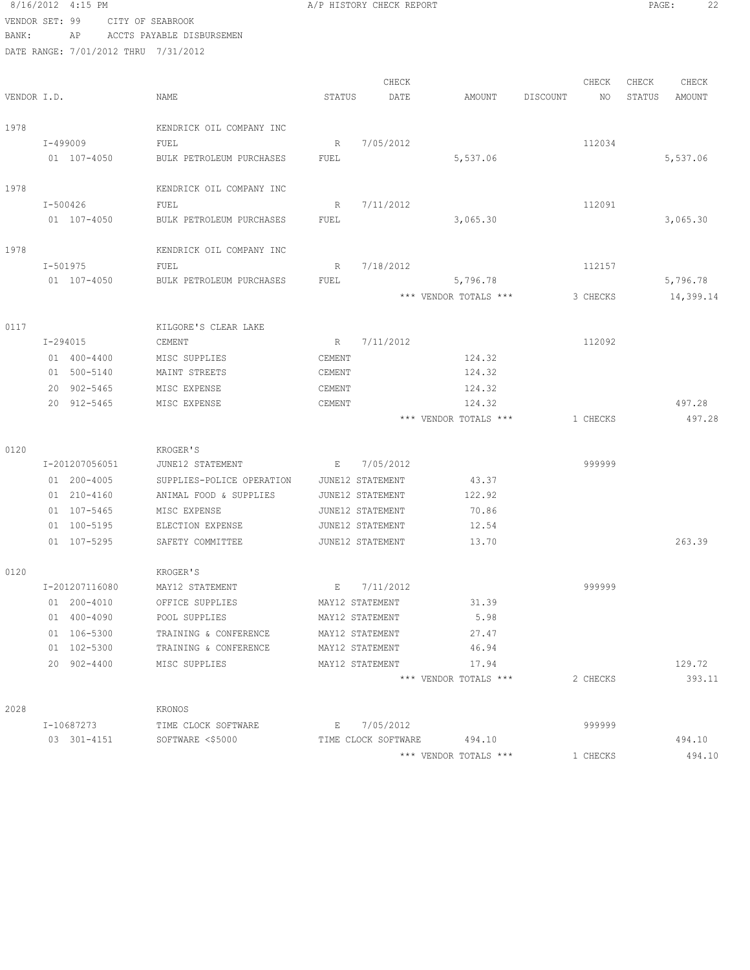### 8/16/2012 4:15 PM **A**/P HISTORY CHECK REPORT **PAGE:** 22 VENDOR SET: 99 CITY OF SEABROOK BANK: AP ACCTS PAYABLE DISBURSEMEN

0120

 $0120$ 

2028

| VENDOR I.D. |                 | NAME                      | STATUS      | CHECK<br>DATE    | AMOUNT                | CHECK<br>DISCOUNT<br>NO | CHECK<br>CHECK<br>STATUS<br>AMOUNT |
|-------------|-----------------|---------------------------|-------------|------------------|-----------------------|-------------------------|------------------------------------|
| 1978        |                 | KENDRICK OIL COMPANY INC  |             |                  |                       |                         |                                    |
|             | I-499009        | FUEL                      | R           | 7/05/2012        |                       | 112034                  |                                    |
|             | 01 107-4050     | BULK PETROLEUM PURCHASES  | FUEL        |                  | 5,537.06              |                         | 5,537.06                           |
| 1978        |                 | KENDRICK OIL COMPANY INC  |             |                  |                       |                         |                                    |
|             | I-500426        | FUEL                      | R           | 7/11/2012        |                       | 112091                  |                                    |
|             | 01 107-4050     | BULK PETROLEUM PURCHASES  | FUEL        |                  | 3,065.30              |                         | 3,065.30                           |
| 1978        |                 | KENDRICK OIL COMPANY INC  |             |                  |                       |                         |                                    |
|             | I-501975        | FUEL                      | R           | 7/18/2012        |                       | 112157                  |                                    |
|             | 01 107-4050     | BULK PETROLEUM PURCHASES  | <b>FUEL</b> |                  | 5,796.78              |                         | 5,796.78                           |
|             |                 |                           |             |                  | *** VENDOR TOTALS *** | 3 CHECKS                | 14,399.14                          |
| 0117        |                 | KILGORE'S CLEAR LAKE      |             |                  |                       |                         |                                    |
|             | I-294015        | CEMENT                    | R           | 7/11/2012        |                       | 112092                  |                                    |
|             | 01 400-4400     | MISC SUPPLIES             | CEMENT      |                  | 124.32                |                         |                                    |
|             | 01 500-5140     | MAINT STREETS             | CEMENT      |                  | 124.32                |                         |                                    |
|             | 20 902-5465     | MISC EXPENSE              | CEMENT      |                  | 124.32                |                         |                                    |
|             | 20 912-5465     | MISC EXPENSE              | CEMENT      |                  | 124.32                |                         | 497.28                             |
|             |                 |                           |             |                  | *** VENDOR TOTALS *** | 1 CHECKS                | 497.28                             |
| 0120        |                 | KROGER'S                  |             |                  |                       |                         |                                    |
|             | I-201207056051  | JUNE12 STATEMENT          | E           | 7/05/2012        |                       | 999999                  |                                    |
|             | 01 200-4005     | SUPPLIES-POLICE OPERATION |             | JUNE12 STATEMENT | 43.37                 |                         |                                    |
|             | 01 210-4160     | ANIMAL FOOD & SUPPLIES    |             | JUNE12 STATEMENT | 122.92                |                         |                                    |
|             | 01 107-5465     | MISC EXPENSE              |             | JUNE12 STATEMENT | 70.86                 |                         |                                    |
|             | 01 100-5195     | ELECTION EXPENSE          |             | JUNE12 STATEMENT | 12.54                 |                         |                                    |
|             | 01 107-5295     | SAFETY COMMITTEE          |             | JUNE12 STATEMENT | 13.70                 |                         | 263.39                             |
| 0120        |                 | KROGER'S                  |             |                  |                       |                         |                                    |
|             | I-201207116080  | MAY12 STATEMENT           | Е           | 7/11/2012        |                       | 999999                  |                                    |
|             | 01 200-4010     | OFFICE SUPPLIES           |             | MAY12 STATEMENT  | 31.39                 |                         |                                    |
|             | $01 400 - 4090$ | POOL SUPPLIES             |             | MAY12 STATEMENT  | 5.98                  |                         |                                    |
|             | 01 106-5300     | TRAINING & CONFERENCE     |             | MAY12 STATEMENT  | 27.47                 |                         |                                    |
|             | 01 102-5300     | TRAINING & CONFERENCE     |             | MAY12 STATEMENT  | 46.94                 |                         |                                    |
|             | 20 902-4400     | MISC SUPPLIES             |             | MAY12 STATEMENT  | 17.94                 |                         | 129.72                             |
|             |                 |                           |             |                  | *** VENDOR TOTALS *** | 2 CHECKS                | 393.11                             |
| 2028        |                 | KRONOS                    |             |                  |                       |                         |                                    |
|             |                 |                           |             |                  |                       |                         |                                    |

| I-10687273  | TIME CLOCK SOFTWARE | 7/05/2012           |                       | 999999 |        |
|-------------|---------------------|---------------------|-----------------------|--------|--------|
| 03 301-4151 | SOFTWARE <\$5000    | TIME CLOCK SOFTWARE | 49410                 |        | 494.10 |
|             |                     |                     | *** VENDOR TOTALS *** | CHECKS | 494.10 |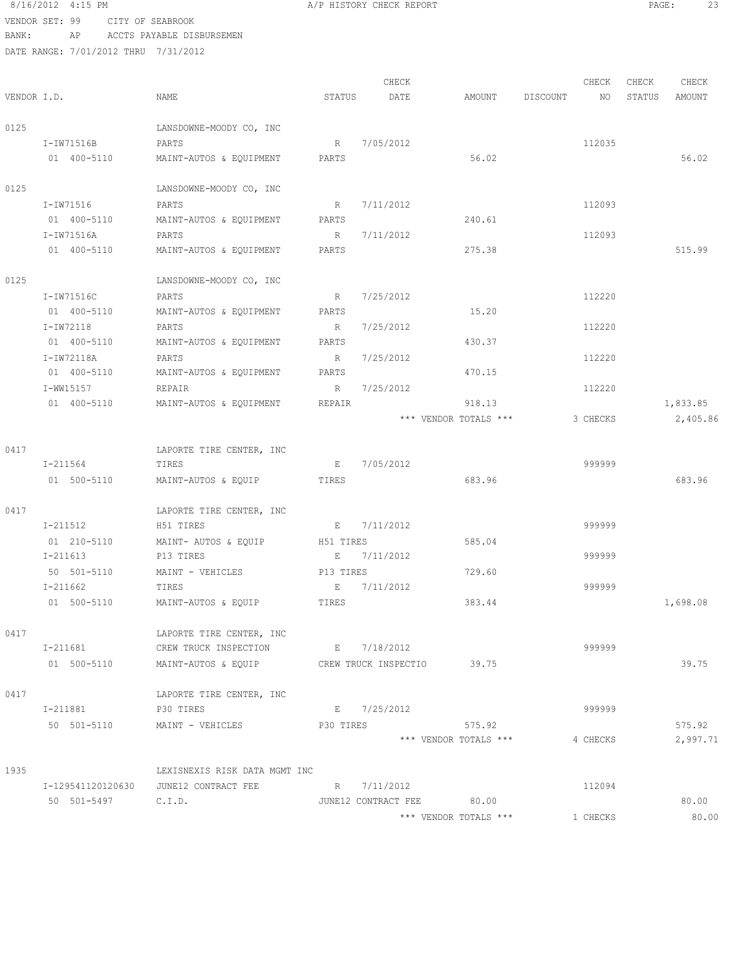### 8/16/2012 4:15 PM **A/P HISTORY CHECK REPORT PAGE:** 23 VENDOR SET: 99 CITY OF SEABROOK

BANK: AP ACCTS PAYABLE DISBURSEMEN

|             |                    |                                                   |                | CHECK       |                           |          | CHECK    | CHECK  | CHECK    |
|-------------|--------------------|---------------------------------------------------|----------------|-------------|---------------------------|----------|----------|--------|----------|
| VENDOR I.D. |                    | NAME                                              | STATUS         | DATE        | AMOUNT                    | DISCOUNT | NO       | STATUS | AMOUNT   |
| 0125        |                    | LANSDOWNE-MOODY CO, INC                           |                |             |                           |          |          |        |          |
|             | I-IW71516B         | PARTS                                             |                | R 7/05/2012 |                           |          | 112035   |        |          |
|             | 01 400-5110        | MAINT-AUTOS & EQUIPMENT                           | PARTS          |             | 56.02                     |          |          |        | 56.02    |
| 0125        |                    | LANSDOWNE-MOODY CO, INC                           |                |             |                           |          |          |        |          |
|             | I-IW71516          | PARTS                                             | R              | 7/11/2012   |                           |          | 112093   |        |          |
|             | 01 400-5110        | MAINT-AUTOS & EQUIPMENT                           | PARTS          |             | 240.61                    |          |          |        |          |
|             | I-IW71516A         | PARTS                                             | R              | 7/11/2012   |                           |          | 112093   |        |          |
|             | 01 400-5110        | MAINT-AUTOS & EQUIPMENT                           | PARTS          |             | 275.38                    |          |          |        | 515.99   |
| 0125        |                    | LANSDOWNE-MOODY CO, INC                           |                |             |                           |          |          |        |          |
|             | I-IW71516C         | PARTS                                             | R              | 7/25/2012   |                           |          | 112220   |        |          |
|             | 01 400-5110        | MAINT-AUTOS & EQUIPMENT                           | PARTS          |             | 15.20                     |          |          |        |          |
|             | I-IW72118          | PARTS                                             | R              | 7/25/2012   |                           |          | 112220   |        |          |
|             | 01 400-5110        | MAINT-AUTOS & EQUIPMENT                           | PARTS          |             | 430.37                    |          |          |        |          |
|             | I-IW72118A         | PARTS                                             | $R_{\rm{max}}$ | 7/25/2012   |                           |          | 112220   |        |          |
|             | 01 400-5110        | MAINT-AUTOS & EQUIPMENT                           | PARTS          |             | 470.15                    |          |          |        |          |
|             | I-WW15157          | REPAIR                                            | R              | 7/25/2012   |                           |          | 112220   |        |          |
|             | 01 400-5110        | MAINT-AUTOS & EQUIPMENT                           | REPAIR         |             | 918.13                    |          |          |        | 1,833.85 |
|             |                    |                                                   |                |             | *** VENDOR TOTALS ***     |          | 3 CHECKS |        | 2,405.86 |
| 0417        |                    | LAPORTE TIRE CENTER, INC                          |                |             |                           |          |          |        |          |
|             | I-211564           | TIRES                                             | Е              | 7/05/2012   |                           |          | 999999   |        |          |
|             | 01 500-5110        | MAINT-AUTOS & EQUIP                               | TIRES          |             | 683.96                    |          |          |        | 683.96   |
| 0417        |                    | LAPORTE TIRE CENTER, INC                          |                |             |                           |          |          |        |          |
|             | I-211512           | H51 TIRES                                         |                | E 7/11/2012 |                           |          | 999999   |        |          |
|             | 01 210-5110        | MAINT- AUTOS & EQUIP                              | H51 TIRES      |             | 585.04                    |          |          |        |          |
|             | I-211613           | P13 TIRES                                         | E              | 7/11/2012   |                           |          | 999999   |        |          |
|             | 50 501-5110        | MAINT - VEHICLES                                  | P13 TIRES      |             | 729.60                    |          |          |        |          |
|             | I-211662           | TIRES                                             | E              | 7/11/2012   |                           |          | 999999   |        |          |
|             | 01 500-5110        | MAINT-AUTOS & EQUIP                               | TIRES          |             | 383.44                    |          |          |        | 1,698.08 |
| 0417        |                    | LAPORTE TIRE CENTER, INC                          |                |             |                           |          |          |        |          |
|             | I-211681           | CREW TRUCK INSPECTION E 7/18/2012                 |                |             |                           |          | 999999   |        |          |
|             | 01 500-5110        | MAINT-AUTOS & EQUIP CREW TRUCK INSPECTIO 39.75    |                |             |                           |          |          |        | 39.75    |
| 0417        |                    | LAPORTE TIRE CENTER, INC                          |                |             |                           |          |          |        |          |
|             | I-211881           | P30 TIRES                                         |                | E 7/25/2012 |                           |          | 999999   |        |          |
|             |                    | 50 501-5110 MAINT - VEHICLES                      | P30 TIRES      |             | 575.92                    |          |          |        | 575.92   |
|             |                    |                                                   |                |             | *** VENDOR TOTALS ***     |          | 4 CHECKS |        | 2,997.71 |
| 1935        |                    | LEXISNEXIS RISK DATA MGMT INC                     |                |             |                           |          |          |        |          |
|             |                    | I-129541120120630 JUNE12 CONTRACT FEE R 7/11/2012 |                |             |                           |          | 112094   |        |          |
|             | 50 501-5497 C.I.D. |                                                   |                |             | JUNE12 CONTRACT FEE 80.00 |          |          |        | 80.00    |
|             |                    |                                                   |                |             | *** VENDOR TOTALS ***     |          | 1 CHECKS |        | 80.00    |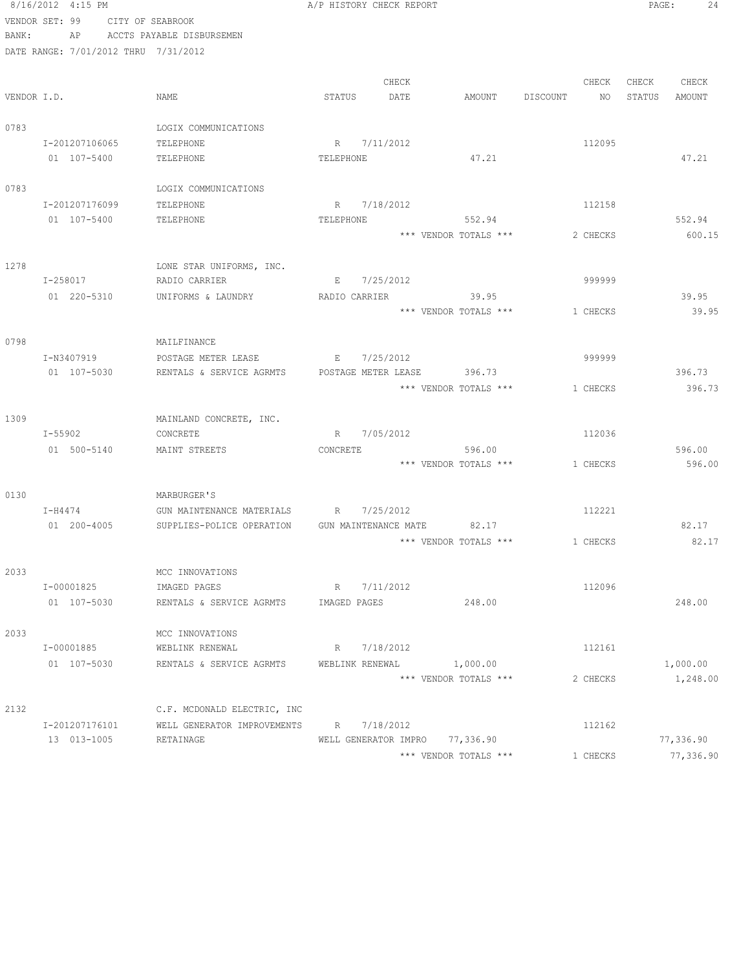|             | 8/16/2012 4:15 PM                    |                             | A/P HISTORY CHECK REPORT       |       |                       |                | PAGE:  | 24        |
|-------------|--------------------------------------|-----------------------------|--------------------------------|-------|-----------------------|----------------|--------|-----------|
|             | VENDOR SET: 99                       | CITY OF SEABROOK            |                                |       |                       |                |        |           |
| BANK:       | AP                                   | ACCTS PAYABLE DISBURSEMEN   |                                |       |                       |                |        |           |
|             | DATE RANGE: 7/01/2012 THRU 7/31/2012 |                             |                                |       |                       |                |        |           |
|             |                                      |                             |                                |       |                       |                |        |           |
|             |                                      |                             |                                | CHECK |                       | CHECK          | CHECK  | CHECK     |
| VENDOR I.D. |                                      | NAME                        | STATUS                         | DATE  | AMOUNT                | DISCOUNT<br>NO | STATUS | AMOUNT    |
| 0783        |                                      | LOGIX COMMUNICATIONS        |                                |       |                       |                |        |           |
|             | I-201207106065                       | TELEPHONE                   | R 7/11/2012                    |       |                       | 112095         |        |           |
|             | 01 107-5400                          | TELEPHONE                   | TELEPHONE                      |       | 47.21                 |                |        | 47.21     |
|             |                                      |                             |                                |       |                       |                |        |           |
| 0783        |                                      | LOGIX COMMUNICATIONS        |                                |       |                       |                |        |           |
|             | I-201207176099                       | TELEPHONE                   | R 7/18/2012                    |       |                       | 112158         |        |           |
|             | 01 107-5400                          | TELEPHONE                   | TELEPHONE                      |       | 552.94                |                |        | 552.94    |
|             |                                      |                             |                                |       | *** VENDOR TOTALS *** | 2 CHECKS       |        | 600.15    |
| 1278        |                                      | LONE STAR UNIFORMS, INC.    |                                |       |                       |                |        |           |
|             | I-258017                             | RADIO CARRIER               | E 7/25/2012                    |       |                       | 999999         |        |           |
|             | 01 220-5310                          | UNIFORMS & LAUNDRY          | RADIO CARRIER                  |       | 39.95                 |                |        | 39.95     |
|             |                                      |                             |                                |       | *** VENDOR TOTALS *** | 1 CHECKS       |        | 39.95     |
|             |                                      |                             |                                |       |                       |                |        |           |
| 0798        |                                      | MAILFINANCE                 |                                |       |                       |                |        |           |
|             | I-N3407919                           | POSTAGE METER LEASE         | 7/25/2012<br>E                 |       |                       | 999999         |        |           |
|             | 01 107-5030                          | RENTALS & SERVICE AGRMTS    | POSTAGE METER LEASE            |       | 396.73                |                |        | 396.73    |
|             |                                      |                             |                                |       | *** VENDOR TOTALS *** | 1 CHECKS       |        | 396.73    |
|             |                                      |                             |                                |       |                       |                |        |           |
| 1309        |                                      | MAINLAND CONCRETE, INC.     |                                |       |                       |                |        |           |
|             | I-55902                              | CONCRETE                    | R 7/05/2012                    |       |                       | 112036         |        |           |
|             | 01 500-5140                          | MAINT STREETS               | CONCRETE                       |       | 596.00                |                |        | 596.00    |
|             |                                      |                             |                                |       | *** VENDOR TOTALS *** | 1 CHECKS       |        | 596.00    |
| 0130        |                                      | MARBURGER'S                 |                                |       |                       |                |        |           |
|             | $I-H4474$                            | GUN MAINTENANCE MATERIALS   | R<br>7/25/2012                 |       |                       | 112221         |        |           |
|             | 01 200-4005                          | SUPPLIES-POLICE OPERATION   | GUN MAINTENANCE MATE 82.17     |       |                       |                |        | 82.17     |
|             |                                      |                             |                                |       | *** VENDOR TOTALS *** | 1 CHECKS       |        | 82.17     |
|             |                                      |                             |                                |       |                       |                |        |           |
| 2033        |                                      | MCC INNOVATIONS             |                                |       |                       |                |        |           |
|             | I-00001825                           | IMAGED PAGES                | R 7/11/2012                    |       |                       | 112096         |        |           |
|             | 01 107-5030                          | RENTALS & SERVICE AGRMTS    | IMAGED PAGES                   |       | 248.00                |                |        | 248.00    |
| 2033        |                                      | MCC INNOVATIONS             |                                |       |                       |                |        |           |
|             | I-00001885                           | WEBLINK RENEWAL             | R 7/18/2012                    |       |                       | 112161         |        |           |
|             | 01 107-5030                          | RENTALS & SERVICE AGRMTS    | WEBLINK RENEWAL                |       | 1,000.00              |                |        | 1,000.00  |
|             |                                      |                             |                                |       | *** VENDOR TOTALS *** | 2 CHECKS       |        | 1,248.00  |
|             |                                      |                             |                                |       |                       |                |        |           |
| 2132        |                                      | C.F. MCDONALD ELECTRIC, INC |                                |       |                       |                |        |           |
|             | I-201207176101                       | WELL GENERATOR IMPROVEMENTS | R 7/18/2012                    |       |                       | 112162         |        |           |
|             | 13 013-1005                          | RETAINAGE                   | WELL GENERATOR IMPRO 77,336.90 |       |                       |                |        | 77,336.90 |
|             |                                      |                             |                                |       | *** VENDOR TOTALS *** | 1 CHECKS       |        | 77,336.90 |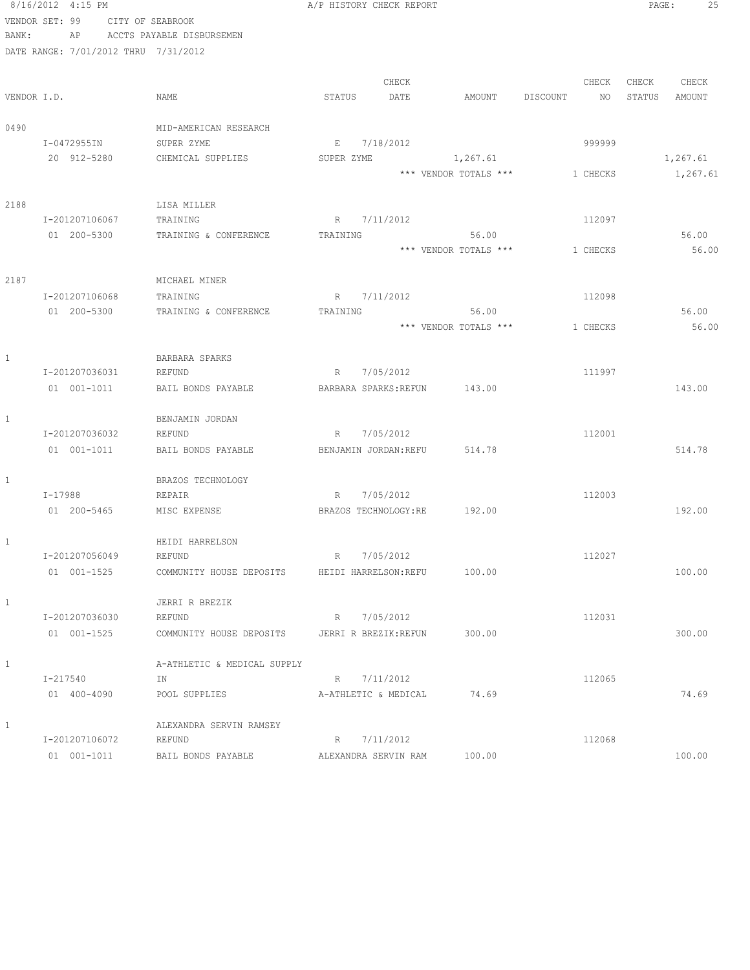|              | 8/16/2012 4:15 PM                    |                             | A/P HISTORY CHECK REPORT     | PAGE:<br>25           |                |                  |
|--------------|--------------------------------------|-----------------------------|------------------------------|-----------------------|----------------|------------------|
|              | VENDOR SET: 99                       | CITY OF SEABROOK            |                              |                       |                |                  |
| BANK:        | AP                                   | ACCTS PAYABLE DISBURSEMEN   |                              |                       |                |                  |
|              | DATE RANGE: 7/01/2012 THRU 7/31/2012 |                             |                              |                       |                |                  |
|              |                                      |                             | CHECK                        |                       | CHECK          | CHECK<br>CHECK   |
|              | VENDOR I.D.                          | NAME                        | STATUS<br>DATE               | AMOUNT                | DISCOUNT<br>NO | STATUS<br>AMOUNT |
| 0490         |                                      | MID-AMERICAN RESEARCH       |                              |                       |                |                  |
|              | I-0472955IN                          | SUPER ZYME                  | 7/18/2012<br>E               |                       | 999999         |                  |
|              | 20 912-5280                          | CHEMICAL SUPPLIES           | SUPER ZYME                   | 1,267.61              |                | 1,267.61         |
|              |                                      |                             |                              | *** VENDOR TOTALS *** | 1 CHECKS       | 1,267.61         |
| 2188         |                                      | LISA MILLER                 |                              |                       |                |                  |
|              | I-201207106067                       | TRAINING                    | 7/11/2012<br>R               |                       | 112097         |                  |
|              | 01 200-5300                          | TRAINING & CONFERENCE       | TRAINING                     | 56.00                 |                | 56.00            |
|              |                                      |                             |                              | *** VENDOR TOTALS *** | 1 CHECKS       | 56.00            |
| 2187         |                                      | MICHAEL MINER               |                              |                       |                |                  |
|              | I-201207106068                       | TRAINING                    | R 7/11/2012                  |                       | 112098         |                  |
|              | 01 200-5300                          | TRAINING & CONFERENCE       | TRAINING                     | 56.00                 |                | 56.00            |
|              |                                      |                             |                              | *** VENDOR TOTALS *** | 1 CHECKS       | 56.00            |
|              |                                      |                             |                              |                       |                |                  |
| $\mathbf{1}$ |                                      | BARBARA SPARKS              |                              |                       |                |                  |
|              | I-201207036031                       | REFUND                      | R 7/05/2012                  |                       | 111997         |                  |
|              | $01 001 - 1011$                      | BAIL BONDS PAYABLE          | BARBARA SPARKS: REFUN 143.00 |                       |                | 143.00           |
| 1            |                                      | BENJAMIN JORDAN             |                              |                       |                |                  |
|              | I-201207036032                       | REFUND                      | R 7/05/2012                  |                       | 112001         |                  |
|              | 01 001-1011                          | BAIL BONDS PAYABLE          | BENJAMIN JORDAN: REFU 514.78 |                       |                | 514.78           |
| 1            |                                      | BRAZOS TECHNOLOGY           |                              |                       |                |                  |
|              | $I - 17988$                          | REPAIR                      | R 7/05/2012                  |                       | 112003         |                  |
|              | 01 200-5465                          | MISC EXPENSE                | BRAZOS TECHNOLOGY:RE 192.00  |                       |                | 192.00           |
| 1            |                                      | HEIDI HARRELSON             |                              |                       |                |                  |
|              | I-201207056049                       | REFUND                      | 7/05/2012<br>R               |                       | 112027         |                  |
|              | 01 001-1525                          | COMMUNITY HOUSE DEPOSITS    | HEIDI HARRELSON: REFU        | 100.00                |                | 100.00           |
| 1            |                                      | JERRI R BREZIK              |                              |                       |                |                  |
|              | I-201207036030                       | REFUND                      | 7/05/2012<br>R               |                       | 112031         |                  |
|              | 01 001-1525                          | COMMUNITY HOUSE DEPOSITS    | JERRI R BREZIK: REFUN        | 300.00                |                | 300.00           |
| 1            |                                      | A-ATHLETIC & MEDICAL SUPPLY |                              |                       |                |                  |
|              | I-217540                             | ΙN                          | 7/11/2012<br>R               |                       | 112065         |                  |
|              | 01 400-4090                          | POOL SUPPLIES               | A-ATHLETIC & MEDICAL         | 74.69                 |                | 74.69            |
| 1            |                                      | ALEXANDRA SERVIN RAMSEY     |                              |                       |                |                  |
|              | I-201207106072                       | REFUND                      | 7/11/2012<br>R               |                       | 112068         |                  |
|              | 01 001-1011                          | BAIL BONDS PAYABLE          | ALEXANDRA SERVIN RAM         | 100.00                |                | 100.00           |
|              |                                      |                             |                              |                       |                |                  |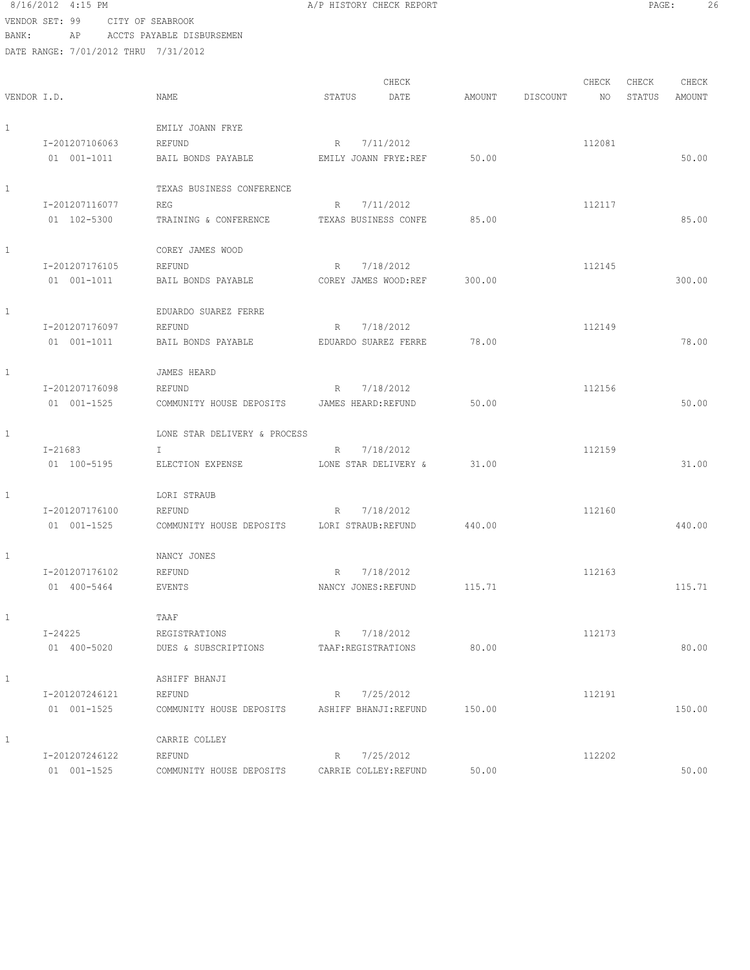8/16/2012 4:15 PM **A**/P HISTORY CHECK REPORT **PAGE:** 26 VENDOR SET: 99 CITY OF SEABROOK

BANK: AP ACCTS PAYABLE DISBURSEMEN

|              |                |                              |                       | CHECK     |        |          | CHECK  | CHECK  | CHECK         |
|--------------|----------------|------------------------------|-----------------------|-----------|--------|----------|--------|--------|---------------|
| VENDOR I.D.  |                | <b>NAME</b>                  | STATUS                | DATE      | AMOUNT | DISCOUNT | NO     | STATUS | <b>AMOUNT</b> |
|              |                |                              |                       |           |        |          |        |        |               |
| $\mathbf{1}$ |                | EMILY JOANN FRYE             |                       |           |        |          |        |        |               |
|              | I-201207106063 | REFUND                       | R                     | 7/11/2012 |        |          | 112081 |        |               |
|              | 01 001-1011    | BAIL BONDS PAYABLE           | EMILY JOANN FRYE:REF  |           | 50.00  |          |        |        | 50.00         |
|              |                |                              |                       |           |        |          |        |        |               |
| $\mathbf{1}$ |                | TEXAS BUSINESS CONFERENCE    |                       |           |        |          |        |        |               |
|              | I-201207116077 | REG                          | R                     | 7/11/2012 |        |          | 112117 |        |               |
|              | 01 102-5300    | TRAINING & CONFERENCE        | TEXAS BUSINESS CONFE  |           | 85.00  |          |        |        | 85.00         |
|              |                |                              |                       |           |        |          |        |        |               |
| $\mathbf{1}$ |                | COREY JAMES WOOD             |                       |           |        |          |        |        |               |
|              | I-201207176105 | REFUND                       | R                     | 7/18/2012 |        |          | 112145 |        |               |
|              | 01 001-1011    | BAIL BONDS PAYABLE           | COREY JAMES WOOD:REF  |           | 300.00 |          |        |        | 300.00        |
| $\mathbf{1}$ |                | EDUARDO SUAREZ FERRE         |                       |           |        |          |        |        |               |
|              | I-201207176097 | REFUND                       | R                     | 7/18/2012 |        |          | 112149 |        |               |
|              | 01 001-1011    | BAIL BONDS PAYABLE           | EDUARDO SUAREZ FERRE  |           | 78.00  |          |        |        | 78.00         |
|              |                |                              |                       |           |        |          |        |        |               |
| $\mathbf{1}$ |                | JAMES HEARD                  |                       |           |        |          |        |        |               |
|              | I-201207176098 | REFUND                       | $R_{\parallel}$       | 7/18/2012 |        |          | 112156 |        |               |
|              | 01 001-1525    | COMMUNITY HOUSE DEPOSITS     | JAMES HEARD: REFUND   |           | 50.00  |          |        |        | 50.00         |
|              |                |                              |                       |           |        |          |        |        |               |
| $\mathbf{1}$ |                | LONE STAR DELIVERY & PROCESS |                       |           |        |          |        |        |               |
|              | $I - 21683$    | $\mathbf{I}$                 | R                     | 7/18/2012 |        |          | 112159 |        |               |
|              | 01 100-5195    | ELECTION EXPENSE             | LONE STAR DELIVERY &  |           | 31.00  |          |        |        | 31.00         |
|              |                |                              |                       |           |        |          |        |        |               |
| $\mathbf{1}$ |                | LORI STRAUB                  |                       |           |        |          |        |        |               |
|              | I-201207176100 | REFUND                       | R                     | 7/18/2012 |        |          | 112160 |        |               |
|              | 01 001-1525    | COMMUNITY HOUSE DEPOSITS     | LORI STRAUB:REFUND    |           | 440.00 |          |        |        | 440.00        |
|              |                |                              |                       |           |        |          |        |        |               |
| $\mathbf{1}$ |                | NANCY JONES                  |                       |           |        |          |        |        |               |
|              | I-201207176102 | REFUND                       | R                     | 7/18/2012 |        |          | 112163 |        |               |
|              | 01 400-5464    | EVENTS                       | NANCY JONES: REFUND   |           | 115.71 |          |        |        | 115.71        |
| 1            |                | TAAF                         |                       |           |        |          |        |        |               |
|              | $I - 24225$    | REGISTRATIONS                | R                     | 7/18/2012 |        |          | 112173 |        |               |
|              | 01 400-5020    | DUES & SUBSCRIPTIONS         | TAAF: REGISTRATIONS   |           | 80.00  |          |        |        | 80.00         |
|              |                |                              |                       |           |        |          |        |        |               |
| $\mathbf{1}$ |                | ASHIFF BHANJI                |                       |           |        |          |        |        |               |
|              | I-201207246121 | REFUND                       | R                     | 7/25/2012 |        |          | 112191 |        |               |
|              | 01 001-1525    | COMMUNITY HOUSE DEPOSITS     | ASHIFF BHANJI:REFUND  |           | 150.00 |          |        |        | 150.00        |
|              |                |                              |                       |           |        |          |        |        |               |
| $\mathbf{1}$ |                | CARRIE COLLEY                |                       |           |        |          |        |        |               |
|              | I-201207246122 | REFUND                       | R                     | 7/25/2012 |        |          | 112202 |        |               |
|              | 01 001-1525    | COMMUNITY HOUSE DEPOSITS     | CARRIE COLLEY: REFUND |           | 50.00  |          |        |        | 50.00         |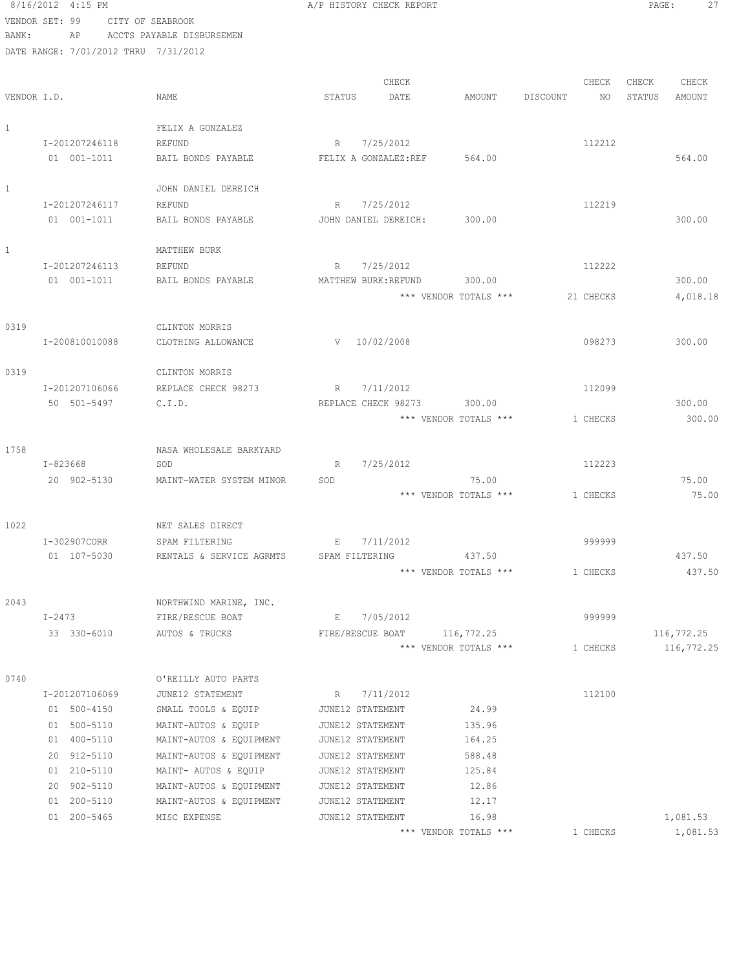8/16/2012 4:15 PM **B** A/P HISTORY CHECK REPORT **PAGE:** 27 VENDOR SET: 99 CITY OF SEABROOK

BANK: AP ACCTS PAYABLE DISBURSEMEN DATE RANGE: 7/01/2012 THRU 7/31/2012 CHECK CHECK CHECK CHECK CHECK CHECK CHECK CHECK CHECK CHECK CHECK CHECK CHECK CHECK CHECK CHECK CHECK CHECK CHECK CHECK CHECK CHECK CHECK CHECK CHECK CHECK CHECK CHECK CHECK CHECK CHECK CHECK CHECK CHECK CHECK CHECK CHECK VENDOR I.D. NAME STATUS DATE AMOUNT DISCOUNT NO STATUS AMOUNT 1 FELIX A GONZALEZ I-201207246118 REFUND R 7/25/2012 R 112212 01 001-1011 BAIL BONDS PAYABLE FELIX A GONZALEZ:REF 564.00 1 JOHN DANIEL DEREICH I-201207246117 REFUND R 7/25/2012 112219 01 001-1011 BAIL BONDS PAYABLE JOHN DANIEL DEREICH: 300.00 300.00 1 MATTHEW BURK I-201207246113 REFUND R 7/25/2012 112222 01 001-1011 BAIL BONDS PAYABLE MATTHEW BURK:REFUND 300.00 300.00 \*\*\* VENDOR TOTALS \*\*\* 21 CHECKS 4,018.18 0319 CLINTON MORRIS I-200810010088 CLOTHING ALLOWANCE V 10/02/2008 098273 300.00 0319 CLINTON MORRIS I-201207106066 REPLACE CHECK 98273 R 7/11/2012 112099 50 501-5497 C.I.D. REPLACE CHECK 98273 300.00 300.00 \*\*\* VENDOR TOTALS \*\*\* 1 CHECKS 300.00 1758 NASA WHOLESALE BARKYARD I-823668 SOD R 7/25/2012 112223 20 902-5130 MAINT-WATER SYSTEM MINOR SOD 75.00 75.00 \*\*\* VENDOR TOTALS \*\*\* 1 CHECKS 75.00 1022 NET SALES DIRECT I-302907CORR SPAM FILTERING E 7/11/2012 999999 01 107-5030 RENTALS & SERVICE AGRMTS SPAM FILTERING 437.50 437.50 437.50 \*\*\* VENDOR TOTALS \*\*\* 1 CHECKS 437.50 2043 NORTHWIND MARINE, INC. I-2473 FIRE/RESCUE BOAT E 7/05/2012 999999 33 330-6010 AUTOS & TRUCKS FIRE/RESCUE BOAT 116,772.25 116,772.25 \*\*\* VENDOR TOTALS \*\*\* 1 CHECKS 116,772.25 0740 O'REILLY AUTO PARTS I-201207106069 JUNE12 STATEMENT R 7/11/2012 112100 01 500-4150 SMALL TOOLS & EQUIP JUNE12 STATEMENT 24.99 01 500-5110 MAINT-AUTOS & EQUIP JUNE12 STATEMENT 135.96 01 400-5110 MAINT-AUTOS & EQUIPMENT JUNE12 STATEMENT 164.25 20 912-5110 MAINT-AUTOS & EQUIPMENT JUNE12 STATEMENT 588.48 01 210-5110 MAINT- AUTOS & EQUIP JUNE12 STATEMENT 125.84 20 902-5110 MAINT-AUTOS & EQUIPMENT JUNE12 STATEMENT 12.86 01 200-5110 MAINT-AUTOS & EQUIPMENT JUNE12 STATEMENT 12.17 01 200-5465 MISC EXPENSE JUNE12 STATEMENT 16.98 16.98 1,081.53

\*\*\* VENDOR TOTALS \*\*\* 1 CHECKS 1,081.53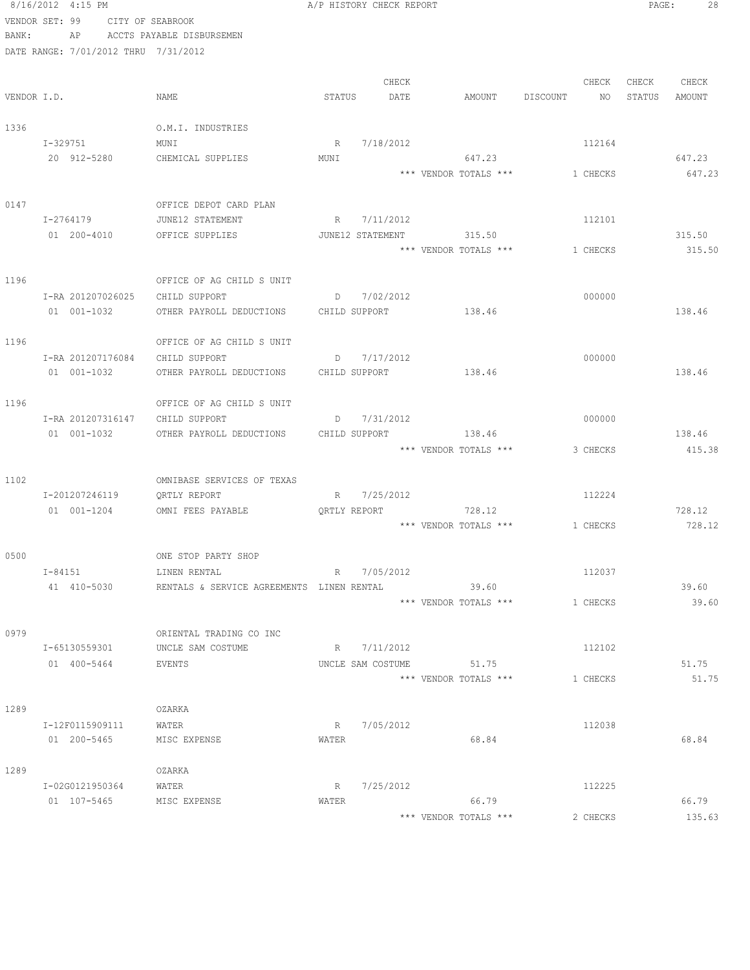```
8/16/2012 4:15 PM A/P HISTORY CHECK REPORT PAGE: 28
VENDOR SET: 99 CITY OF SEABROOK
BANK: AP ACCTS PAYABLE DISBURSEMEN
DATE RANGE: 7/01/2012 THRU 7/31/2012
CHECK CHECK CHECK CHECK CHECK CHECK CHECK CHECK CHECK CHECK CHECK CHECK CHECK CHECK CHECK CHECK CHECK CHECK CHECK CHECK CHECK CHECK CHECK CHECK CHECK CHECK CHECK CHECK CHECK CHECK CHECK CHECK CHECK CHECK CHECK CHECK CHECK 
VENDOR I.D. NAME STATUS DATE AMOUNT DISCOUNT NO STATUS AMOUNT
1336 O.M.I. INDUSTRIES
   I-329751 MUNI MUNI R 7/18/2012 112164
    20 912-5280 CHEMICAL SUPPLIES MUNI 647.23 647.23
                                      *** VENDOR TOTALS *** 1 CHECKS 647.23
0147 OFFICE DEPOT CARD PLAN
   I-2764179 JUNE12 STATEMENT R 7/11/2012 R 112101
   01 200-4010 OFFICE SUPPLIES JUNE12 STATEMENT 315.50 315.50 315.50
                                     *** VENDOR TOTALS *** 1 CHECKS 315.50
1196 OFFICE OF AG CHILD S UNIT
    I-RA 201207026025 CHILD SUPPORT D 7/02/2012 000000
   01 001-1032 OTHER PAYROLL DEDUCTIONS CHILD SUPPORT 138.46 138.46 138.46
1196 OFFICE OF AG CHILD S UNIT
   I-RA 201207176084 CHILD SUPPORT D 7/17/2012
    01 001-1032 OTHER PAYROLL DEDUCTIONS CHILD SUPPORT 138.46 138.46
1196 OFFICE OF AG CHILD S UNIT
    I-RA 201207316147 CHILD SUPPORT D 7/31/2012 000000
    01 001-1032 OTHER PAYROLL DEDUCTIONS CHILD SUPPORT 138.46 138.46
                                      *** VENDOR TOTALS *** 3 CHECKS 415.38
1102 OMNIBASE SERVICES OF TEXAS
    I-201207246119 QRTLY REPORT R 7/25/2012 112224
    01 001-1204 OMNI FEES PAYABLE QRTLY REPORT 728.12 728.12
                                      *** VENDOR TOTALS *** 1 CHECKS 728.12
0500 ONE STOP PARTY SHOP
   I-84151 LINEN RENTAL R 7/05/2012 R 112037
    41 410-5030 RENTALS & SERVICE AGREEMENTS LINEN RENTAL 39.60 39.60
                                      *** VENDOR TOTALS *** 1 CHECKS 39.60
0979 ORIENTAL TRADING CO INC
    I-65130559301 UNCLE SAM COSTUME R 7/11/2012 112102
    01 400-5464 EVENTS UNCLE SAM COSTUME 51.75 51.75
                                      *** VENDOR TOTALS *** 1 CHECKS 51.75
1289 OZARKA
   I-12F0115909111 WATER R 7/05/2012 R 7/05/2012
    01 200-5465 MISC EXPENSE WATER 68.84 68.84
1289 OZARKA
    I-02G0121950364 WATER R 7/25/2012 112225
   01 107-5465 MISC EXPENSE WATER 66.79 66.79
                                       *** VENDOR TOTALS *** 2 CHECKS 135.63
```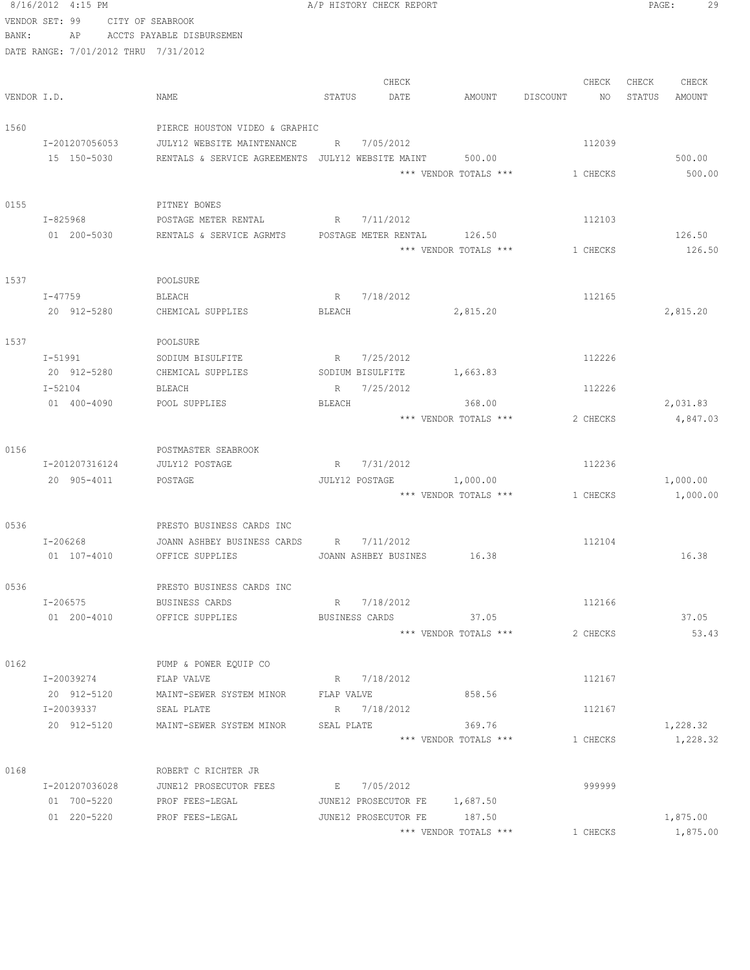|             | 8/16/2012 4:15 PM                    |                                                   |             | A/P HISTORY CHECK REPORT |                               |          |          | PAGE:  | 29       |
|-------------|--------------------------------------|---------------------------------------------------|-------------|--------------------------|-------------------------------|----------|----------|--------|----------|
|             | VENDOR SET: 99                       | CITY OF SEABROOK                                  |             |                          |                               |          |          |        |          |
| BANK:       | AP                                   | ACCTS PAYABLE DISBURSEMEN                         |             |                          |                               |          |          |        |          |
|             | DATE RANGE: 7/01/2012 THRU 7/31/2012 |                                                   |             |                          |                               |          |          |        |          |
|             |                                      |                                                   |             |                          |                               |          |          |        |          |
|             |                                      |                                                   |             | CHECK                    |                               |          | CHECK    | CHECK  | CHECK    |
| VENDOR I.D. |                                      | NAME                                              | STATUS      | DATE                     | AMOUNT                        | DISCOUNT | NO       | STATUS | AMOUNT   |
|             |                                      |                                                   |             |                          |                               |          |          |        |          |
| 1560        |                                      | PIERCE HOUSTON VIDEO & GRAPHIC                    |             |                          |                               |          |          |        |          |
|             | I-201207056053                       | JULY12 WEBSITE MAINTENANCE                        | R           | 7/05/2012                |                               |          | 112039   |        |          |
|             | 15 150-5030                          | RENTALS & SERVICE AGREEMENTS JULY12 WEBSITE MAINT |             |                          | 500.00                        |          |          |        | 500.00   |
|             |                                      |                                                   |             |                          | *** VENDOR TOTALS ***         |          | 1 CHECKS |        | 500.00   |
|             |                                      |                                                   |             |                          |                               |          |          |        |          |
| 0155        |                                      | PITNEY BOWES                                      |             |                          |                               |          |          |        |          |
|             | I-825968                             | POSTAGE METER RENTAL                              |             | R 7/11/2012              |                               |          | 112103   |        |          |
|             | 01 200-5030                          | RENTALS & SERVICE AGRMTS                          |             | POSTAGE METER RENTAL     | 126.50                        |          |          |        | 126.50   |
|             |                                      |                                                   |             |                          | *** VENDOR TOTALS ***         |          | 1 CHECKS |        | 126.50   |
|             |                                      |                                                   |             |                          |                               |          |          |        |          |
| 1537        |                                      | POOLSURE                                          |             |                          |                               |          |          |        |          |
|             | I-47759                              | BLEACH                                            | R           | 7/18/2012                |                               |          | 112165   |        |          |
|             | 20 912-5280                          | CHEMICAL SUPPLIES                                 | BLEACH      |                          | 2,815.20                      |          |          |        | 2,815.20 |
|             |                                      |                                                   |             |                          |                               |          |          |        |          |
| 1537        |                                      | POOLSURE                                          |             |                          |                               |          |          |        |          |
|             | I-51991                              | SODIUM BISULFITE                                  | R           | 7/25/2012                |                               |          | 112226   |        |          |
|             | 20 912-5280                          | CHEMICAL SUPPLIES                                 |             | SODIUM BISULFITE         | 1,663.83                      |          |          |        |          |
|             | I-52104                              | BLEACH                                            |             | R 7/25/2012              |                               |          | 112226   |        |          |
|             | 01 400-4090                          | POOL SUPPLIES                                     | BLEACH      |                          | 368.00                        |          |          |        | 2,031.83 |
|             |                                      |                                                   |             |                          | *** VENDOR TOTALS ***         |          | 2 CHECKS |        | 4,847.03 |
|             |                                      |                                                   |             |                          |                               |          |          |        |          |
| 0156        |                                      | POSTMASTER SEABROOK                               |             |                          |                               |          |          |        |          |
|             | I-201207316124                       | JULY12 POSTAGE                                    | $R_{\perp}$ | 7/31/2012                |                               |          | 112236   |        |          |
|             | 20 905-4011                          | POSTAGE                                           |             | JULY12 POSTAGE           | 1,000.00                      |          |          |        | 1,000.00 |
|             |                                      |                                                   |             |                          | *** VENDOR TOTALS ***         |          | 1 CHECKS |        | 1,000.00 |
|             |                                      |                                                   |             |                          |                               |          |          |        |          |
| 0536        |                                      | PRESTO BUSINESS CARDS INC                         |             |                          |                               |          |          |        |          |
|             | $I - 206268$                         | JOANN ASHBEY BUSINESS CARDS                       | R           | 7/11/2012                |                               |          | 112104   |        |          |
|             | 01 107-4010                          | OFFICE SUPPLIES                                   |             |                          | JOANN ASHBEY BUSINES 16.38    |          |          |        | 16.38    |
|             |                                      |                                                   |             |                          |                               |          |          |        |          |
| 0536        |                                      | PRESTO BUSINESS CARDS INC                         |             |                          |                               |          |          |        |          |
|             | I-206575                             | BUSINESS CARDS                                    |             | R 7/18/2012              |                               |          | 112166   |        |          |
|             | 01 200-4010                          | OFFICE SUPPLIES                                   |             | BUSINESS CARDS           | 37.05                         |          |          |        | 37.05    |
|             |                                      |                                                   |             |                          | *** VENDOR TOTALS ***         |          | 2 CHECKS |        | 53.43    |
|             |                                      |                                                   |             |                          |                               |          |          |        |          |
| 0162        |                                      | PUMP & POWER EQUIP CO                             |             |                          |                               |          |          |        |          |
|             | I-20039274                           | FLAP VALVE                                        |             | R 7/18/2012              |                               |          | 112167   |        |          |
|             | 20 912-5120                          | MAINT-SEWER SYSTEM MINOR FLAP VALVE               |             |                          | 858.56                        |          |          |        |          |
|             | I-20039337                           | SEAL PLATE                                        |             | R 7/18/2012              |                               |          | 112167   |        |          |
|             | 20 912-5120                          | MAINT-SEWER SYSTEM MINOR                          | SEAL PLATE  |                          | 369.76                        |          |          |        | 1,228.32 |
|             |                                      |                                                   |             |                          | *** VENDOR TOTALS ***         |          | 1 CHECKS |        | 1,228.32 |
|             |                                      |                                                   |             |                          |                               |          |          |        |          |
| 0168        |                                      | ROBERT C RICHTER JR                               |             |                          |                               |          |          |        |          |
|             | I-201207036028                       | JUNE12 PROSECUTOR FEES                            |             | E 7/05/2012              |                               |          | 999999   |        |          |
|             | 01 700-5220                          | PROF FEES-LEGAL                                   |             |                          | JUNE12 PROSECUTOR FE 1,687.50 |          |          |        |          |
|             | 01 220-5220                          | PROF FEES-LEGAL                                   |             |                          | JUNE12 PROSECUTOR FE 187.50   |          |          |        | 1,875.00 |
|             |                                      |                                                   |             |                          | *** VENDOR TOTALS ***         |          | 1 CHECKS |        | 1,875.00 |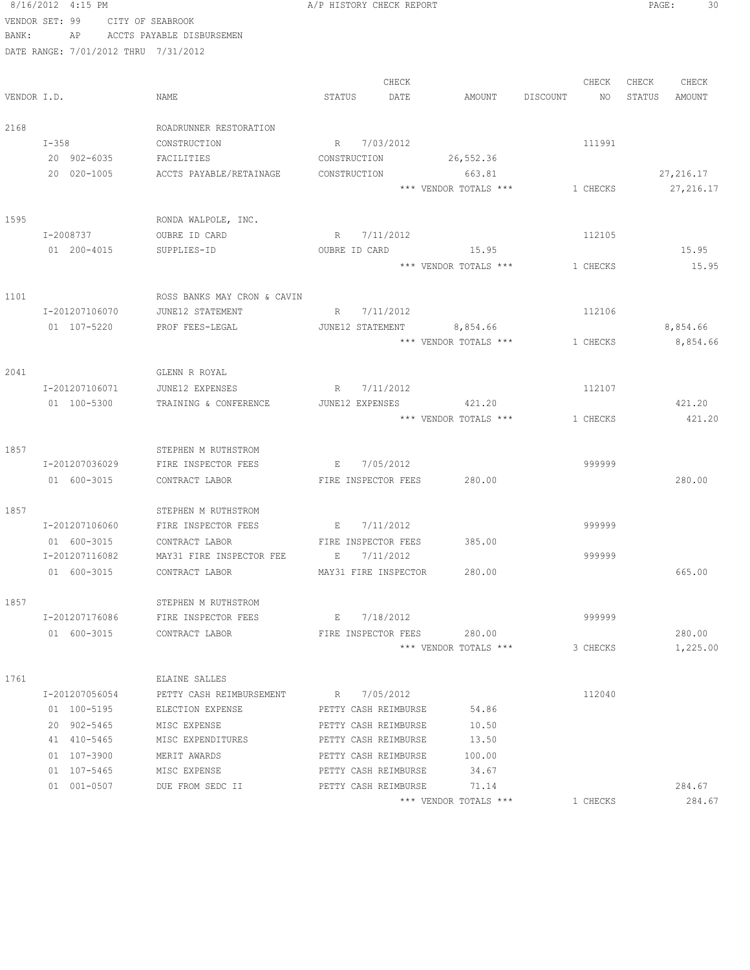8/16/2012 4:15 PM **A/P HISTORY CHECK REPORT PAGE:** 30 VENDOR SET: 99 CITY OF SEABROOK BANK: AP ACCTS PAYABLE DISBURSEMEN DATE RANGE: 7/01/2012 THRU 7/31/2012 CHECK CHECK CHECK CHECK VENDOR I.D. NAME STATUS DATE AMOUNT DISCOUNT NO STATUS AMOUNT 2168 ROADRUNNER RESTORATION I-358 CONSTRUCTION R 7/03/2012 111991 20 902-6035 FACILITIES CONSTRUCTION 26,552.36 20 020-1005 ACCTS PAYABLE/RETAINAGE CONSTRUCTION 663.81 27,216.17 \*\*\* VENDOR TOTALS \*\*\* 1 CHECKS 27,216.17 1595 RONDA WALPOLE, INC. I-2008737 OUBRE ID CARD R 7/11/2012 112105 01 200-4015 SUPPLIES-ID OUBRE ID CARD 15.95 15.95 \*\*\* VENDOR TOTALS \*\*\* 1 CHECKS 15.95 1101 ROSS BANKS MAY CRON & CAVIN I-201207106070 JUNE12 STATEMENT R 7/11/2012 112106 01 107-5220 PROF FEES-LEGAL JUNE12 STATEMENT 8,854.66 8,854.66 8,854.66 \*\*\* VENDOR TOTALS \*\*\*  $1$  CHECKS  $8,854.66$ 2041 GLENN R ROYAL I-201207106071 JUNE12 EXPENSES R 7/11/2012 112107 01 100-5300 TRAINING & CONFERENCE JUNE12 EXPENSES 421.20 421.20 \*\*\* VENDOR TOTALS \*\*\* 1 CHECKS 421.20 1857 STEPHEN M RUTHSTROM I-201207036029 FIRE INSPECTOR FEES E 7/05/2012 999999 01 600-3015 CONTRACT LABOR FIRE INSPECTOR FEES 280.00 1857 STEPHEN M RUTHSTROM I-201207106060 FIRE INSPECTOR FEES E 7/11/2012 999999 01 600-3015 CONTRACT LABOR FIRE INSPECTOR FEES 385.00 I-201207116082 MAY31 FIRE INSPECTOR FEE E 7/11/2012 999999 01 600-3015 CONTRACT LABOR MAY31 FIRE INSPECTOR 280.00 665.00 1857 STEPHEN M RUTHSTROM I-201207176086 FIRE INSPECTOR FEES E 7/18/2012 999999 01 600-3015 CONTRACT LABOR FIRE INSPECTOR FEES 280.00 280.00 \*\*\* VENDOR TOTALS \*\*\* 3 CHECKS 1,225.00 1761 ELAINE SALLES I-201207056054 PETTY CASH REIMBURSEMENT R 7/05/2012 112040 01 100-5195 ELECTION EXPENSE PETTY CASH REIMBURSE 54.86 20 902-5465 MISC EXPENSE PETTY CASH REIMBURSE 10.50 41 410-5465 MISC EXPENDITURES PETTY CASH REIMBURSE 13.50 01 107-3900 MERIT AWARDS PETTY CASH REIMBURSE 100.00 01 107-5465 MISC EXPENSE PETTY CASH REIMBURSE 34.67 01 001-0507 DUE FROM SEDC II PETTY CASH REIMBURSE 71.14 284.67 \*\*\* VENDOR TOTALS \*\*\* 1 CHECKS 284.67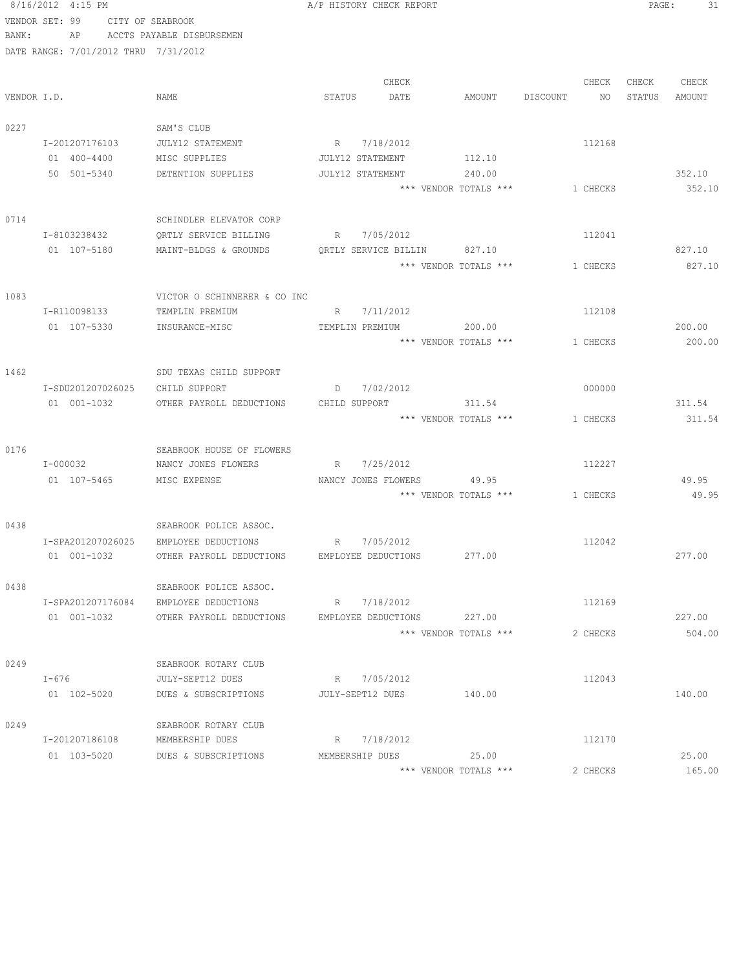8/16/2012 4:15 PM **B** A/P HISTORY CHECK REPORT **PAGE:** 31 VENDOR SET: 99 CITY OF SEABROOK BANK: AP ACCTS PAYABLE DISBURSEMEN DATE RANGE: 7/01/2012 THRU 7/31/2012 CHECK CHECK CHECK CHECK CHECK CHECK CHECK CHECK CHECK CHECK CHECK CHECK CHECK CHECK CHECK CHECK CHECK CHECK CHECK CHECK CHECK CHECK CHECK CHECK CHECK CHECK CHECK CHECK CHECK CHECK CHECK CHECK CHECK CHECK CHECK CHECK CHECK VENDOR I.D. NAME STATUS DATE AMOUNT DISCOUNT NO STATUS AMOUNT 0227 SAM'S CLUB I-201207176103 JULY12 STATEMENT R 7/18/2012 112168 01 400-4400 MISC SUPPLIES JULY12 STATEMENT 112.10 50 501-5340 DETENTION SUPPLIES JULY12 STATEMENT 240.00 352.10 \*\*\* VENDOR TOTALS \*\*\* 1 CHECKS 352.10 0714 SCHINDLER ELEVATOR CORP I-8103238432 QRTLY SERVICE BILLING R 7/05/2012 112041 01 107-5180 MAINT-BLDGS & GROUNDS QRTLY SERVICE BILLIN 827.10 827.10 \*\*\* VENDOR TOTALS \*\*\* 1 CHECKS 827.10 1083 VICTOR O SCHINNERER & CO INC I-R110098133 TEMPLIN PREMIUM R 7/11/2012 112108 01 107-5330 INSURANCE-MISC TEMPLIN PREMIUM 200.00 200.00 200.00 \*\*\* VENDOR TOTALS \*\*\* 1 CHECKS 200.00 1462 SDU TEXAS CHILD SUPPORT I-SDU201207026025 CHILD SUPPORT D 7/02/2012 000000 01 001-1032 OTHER PAYROLL DEDUCTIONS CHILD SUPPORT 311.54 311.54 \*\*\* VENDOR TOTALS \*\*\* 1 CHECKS 311.54 0176 SEABROOK HOUSE OF FLOWERS I-000032 NANCY JONES FLOWERS R 7/25/2012 01 107-5465 MISC EXPENSE NANCY JONES FLOWERS 49.95 49.95 49.95 \*\*\* VENDOR TOTALS \*\*\* 1 CHECKS 49.95 0438 SEABROOK POLICE ASSOC. I-SPA201207026025 EMPLOYEE DEDUCTIONS R 7/05/2012 112042 01 001-1032 OTHER PAYROLL DEDUCTIONS EMPLOYEE DEDUCTIONS 277.00 277.00 0438 SEABROOK POLICE ASSOC. I-SPA201207176084 EMPLOYEE DEDUCTIONS R 7/18/2012 112169 01 001-1032 OTHER PAYROLL DEDUCTIONS EMPLOYEE DEDUCTIONS 227.00 227.00 \*\*\* VENDOR TOTALS \*\*\* 2 CHECKS 504.00 0249 SEABROOK ROTARY CLUB I-676 JULY-SEPT12 DUES R 7/05/2012 112043 01 102-5020 DUES & SUBSCRIPTIONS JULY-SEPT12 DUES 140.00 140.00 0249 SEABROOK ROTARY CLUB I-201207186108 MEMBERSHIP DUES R 7/18/2012<br>
01 103-5020 DUES & SUBSCRIPTIONS MEMBERSHIP DUES 25.00 01 103-5020 DUES & SUBSCRIPTIONS MEMBERSHIP DUES 25.00 25.00 \*\*\* VENDOR TOTALS \*\*\* 2 CHECKS 165.00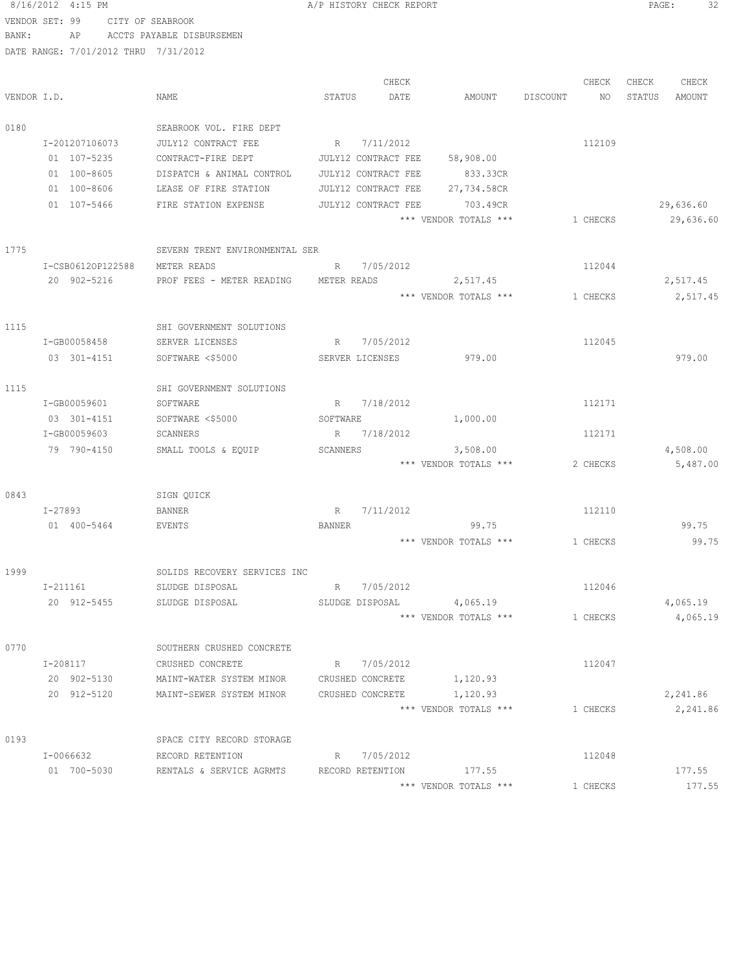8/16/2012 4:15 PM **B** A/P HISTORY CHECK REPORT **PAGE:** 32 VENDOR SET: 99 CITY OF SEABROOK BANK: AP ACCTS PAYABLE DISBURSEMEN DATE RANGE: 7/01/2012 THRU 7/31/2012 CHECK CHECK CHECK CHECK VENDOR I.D. NAME STATUS DATE AMOUNT DISCOUNT NO STATUS AMOUNT 0180 SEABROOK VOL. FIRE DEPT I-201207106073 JULY12 CONTRACT FEE R 7/11/2012 R 112109 01 107-5235 CONTRACT-FIRE DEPT JULY12 CONTRACT FEE 58,908.00 01 100-8605 DISPATCH & ANIMAL CONTROL JULY12 CONTRACT FEE 833.33CR 01 100-8606 LEASE OF FIRE STATION JULY12 CONTRACT FEE 27,734.58CR 01 107-5466 FIRE STATION EXPENSE JULY12 CONTRACT FEE 703.49CR 29,636.60 \*\*\* VENDOR TOTALS \*\*\* 1 CHECKS 29,636.60 1775 SEVERN TRENT ENVIRONMENTAL SER I-CSB0612OP122588 METER READS R 7/05/2012 R 7/05/2012 20 902-5216 PROF FEES - METER READING METER READS 2,517.45 2,517.45 \*\*\* VENDOR TOTALS \*\*\* 1 CHECKS 2,517.45 1115 SHI GOVERNMENT SOLUTIONS I-GB00058458 SERVER LICENSES R 7/05/2012 112045 03 301-4151 SOFTWARE <\$5000 SERVER LICENSES 979.00 979.00 1115 SHI GOVERNMENT SOLUTIONS I-GB00059601 SOFTWARE R 7/18/2012 R 7/18/2012 03 301-4151 SOFTWARE <\$5000 SOFTWARE 1,000.00 I-GB00059603 SCANNERS R 7/18/2012 112171 79 790-4150 SMALL TOOLS & EQUIP SCANNERS 3,508.00 4,508.00 \*\*\* VENDOR TOTALS \*\*\* 2 CHECKS 5,487.00 0843 SIGN QUICK I-27893 BANNER R 7/11/2012 R 112110 01 400-5464 EVENTS BANNER 99.75 99.75 \*\*\* VENDOR TOTALS \*\*\* 1 CHECKS 99.75 1999 SOLIDS RECOVERY SERVICES INC I-211161 SLUDGE DISPOSAL R 7/05/2012 112046 20 912-5455 SLUDGE DISPOSAL SLUDGE DISPOSAL 4,065.19 4,065.19 \*\*\* VENDOR TOTALS \*\*\* 1 CHECKS 4,065.19 0770 SOUTHERN CRUSHED CONCRETE I-208117 CRUSHED CONCRETE R 7/05/2012<br>
20 902-5130 MAINT-WATER SYSTEM MINOR CRUSHED CONCRETE 1,120.93 20 902-5130 MAINT-WATER SYSTEM MINOR CRUSHED CONCRETE 1,120.93 20 912-5120 MAINT-SEWER SYSTEM MINOR CRUSHED CONCRETE 1,120.93 2,241.86 \*\*\* VENDOR TOTALS \*\*\* 1 CHECKS 2,241.86 0193 SPACE CITY RECORD STORAGE I-0066632 RECORD RETENTION R 7/05/2012 R 112048 01 700-5030 RENTALS & SERVICE AGRMTS RECORD RETENTION 177.55 177.55 177.55 \*\*\* VENDOR TOTALS \*\*\* 1 CHECKS 177.55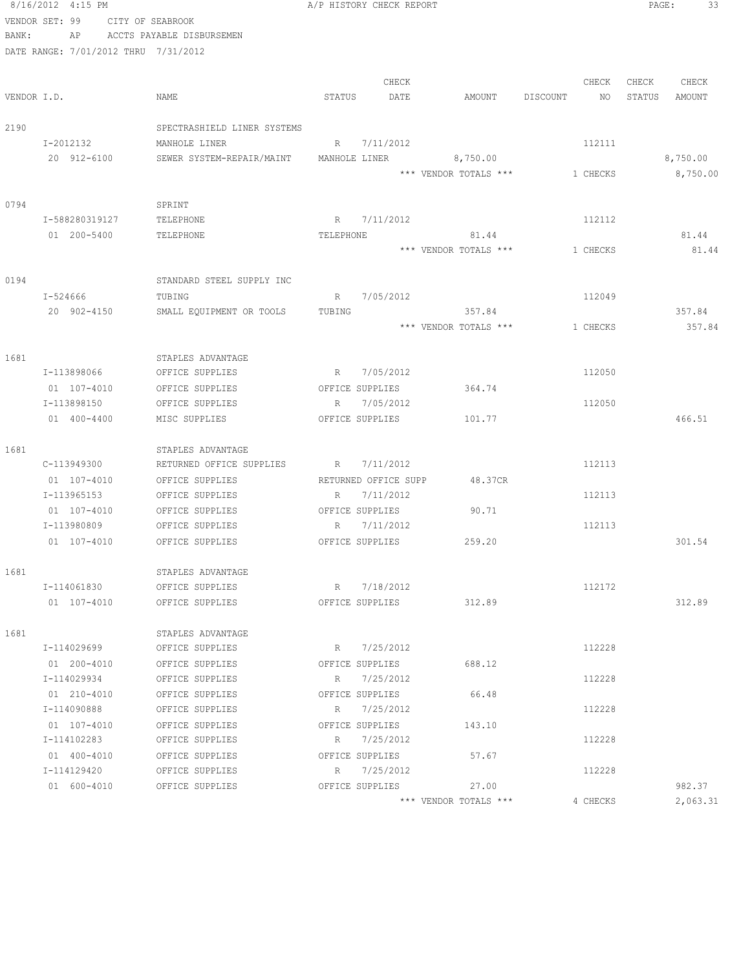|       | 8/16/2012 4:15 PM                    |                                                  |           | A/P HISTORY CHECK REPORT     |                       |          | PAGE:<br>33      |
|-------|--------------------------------------|--------------------------------------------------|-----------|------------------------------|-----------------------|----------|------------------|
|       | VENDOR SET: 99                       | CITY OF SEABROOK                                 |           |                              |                       |          |                  |
| BANK: | AP                                   | ACCTS PAYABLE DISBURSEMEN                        |           |                              |                       |          |                  |
|       | DATE RANGE: 7/01/2012 THRU 7/31/2012 |                                                  |           |                              |                       |          |                  |
|       |                                      |                                                  |           |                              |                       |          |                  |
|       |                                      |                                                  |           | CHECK                        |                       | CHECK    | CHECK<br>CHECK   |
|       | VENDOR I.D.                          | NAME                                             | STATUS    | DATE                         | AMOUNT DISCOUNT       | NO       | STATUS<br>AMOUNT |
| 2190  |                                      | SPECTRASHIELD LINER SYSTEMS                      |           |                              |                       |          |                  |
|       | I-2012132                            | MANHOLE LINER                                    |           | R 7/11/2012                  |                       | 112111   |                  |
|       | 20 912-6100                          | SEWER SYSTEM-REPAIR/MAINT MANHOLE LINER 6,750.00 |           |                              |                       |          | 8,750.00         |
|       |                                      |                                                  |           |                              | *** VENDOR TOTALS *** | 1 CHECKS | 8,750.00         |
|       |                                      |                                                  |           |                              |                       |          |                  |
| 0794  |                                      | SPRINT                                           |           |                              |                       |          |                  |
|       | I-588280319127                       | TELEPHONE                                        | R         | 7/11/2012                    |                       | 112112   |                  |
|       | 01 200-5400                          | TELEPHONE                                        | TELEPHONE |                              | 81.44                 |          | 81.44            |
|       |                                      |                                                  |           |                              | *** VENDOR TOTALS *** | 1 CHECKS | 81.44            |
|       |                                      |                                                  |           |                              |                       |          |                  |
| 0194  |                                      | STANDARD STEEL SUPPLY INC                        |           |                              |                       |          |                  |
|       | I-524666                             | TUBING                                           | R         | 7/05/2012                    |                       | 112049   |                  |
|       | 20 902-4150                          | SMALL EQUIPMENT OR TOOLS                         | TUBING    |                              | 357.84                |          | 357.84           |
|       |                                      |                                                  |           |                              | *** VENDOR TOTALS *** | 1 CHECKS | 357.84           |
|       |                                      |                                                  |           |                              |                       |          |                  |
| 1681  |                                      | STAPLES ADVANTAGE                                |           |                              |                       |          |                  |
|       | I-113898066                          | OFFICE SUPPLIES                                  |           | R 7/05/2012                  |                       | 112050   |                  |
|       | 01 107-4010<br>I-113898150           | OFFICE SUPPLIES<br>OFFICE SUPPLIES               | R         | OFFICE SUPPLIES<br>7/05/2012 | 364.74                | 112050   |                  |
|       | 01 400-4400                          | MISC SUPPLIES                                    |           | OFFICE SUPPLIES              | 101.77                |          | 466.51           |
|       |                                      |                                                  |           |                              |                       |          |                  |
| 1681  |                                      | STAPLES ADVANTAGE                                |           |                              |                       |          |                  |
|       | C-113949300                          | RETURNED OFFICE SUPPLIES                         | R         | 7/11/2012                    |                       | 112113   |                  |
|       | 01 107-4010                          | OFFICE SUPPLIES                                  |           | RETURNED OFFICE SUPP         | 48.37CR               |          |                  |
|       | I-113965153                          | OFFICE SUPPLIES                                  |           | R 7/11/2012                  |                       | 112113   |                  |
|       | 01 107-4010                          | OFFICE SUPPLIES                                  |           | OFFICE SUPPLIES              | 90.71                 |          |                  |
|       | I-113980809                          | OFFICE SUPPLIES                                  |           | R 7/11/2012                  |                       | 112113   |                  |
|       | 01 107-4010                          | OFFICE SUPPLIES                                  |           | OFFICE SUPPLIES              | 259.20                |          | 301.54           |
|       |                                      |                                                  |           |                              |                       |          |                  |
| 1681  |                                      | STAPLES ADVANTAGE                                |           |                              |                       |          |                  |
|       | I-114061830                          | OFFICE SUPPLIES                                  |           | R 7/18/2012                  |                       | 112172   |                  |
|       | 01 107-4010                          | OFFICE SUPPLIES                                  |           | OFFICE SUPPLIES              | 312.89                |          | 312.89           |
| 1681  |                                      |                                                  |           |                              |                       |          |                  |
|       | I-114029699                          | STAPLES ADVANTAGE<br>OFFICE SUPPLIES             | R         | 7/25/2012                    |                       | 112228   |                  |
|       | 01 200-4010                          | OFFICE SUPPLIES                                  |           | OFFICE SUPPLIES              | 688.12                |          |                  |
|       | I-114029934                          | OFFICE SUPPLIES                                  |           | R 7/25/2012                  |                       | 112228   |                  |
|       | 01 210-4010                          | OFFICE SUPPLIES                                  |           | OFFICE SUPPLIES              | 66.48                 |          |                  |
|       | I-114090888                          | OFFICE SUPPLIES                                  |           | R 7/25/2012                  |                       | 112228   |                  |
|       | 01 107-4010                          | OFFICE SUPPLIES                                  |           | OFFICE SUPPLIES              | 143.10                |          |                  |
|       | I-114102283                          | OFFICE SUPPLIES                                  |           | R 7/25/2012                  |                       | 112228   |                  |
|       | 01 400-4010                          | OFFICE SUPPLIES                                  |           | OFFICE SUPPLIES              | 57.67                 |          |                  |
|       | I-114129420                          | OFFICE SUPPLIES                                  |           | R 7/25/2012                  |                       | 112228   |                  |
|       | 01 600-4010                          | OFFICE SUPPLIES                                  |           | OFFICE SUPPLIES              | 27.00                 |          | 982.37           |
|       |                                      |                                                  |           |                              | *** VENDOR TOTALS *** | 4 CHECKS | 2,063.31         |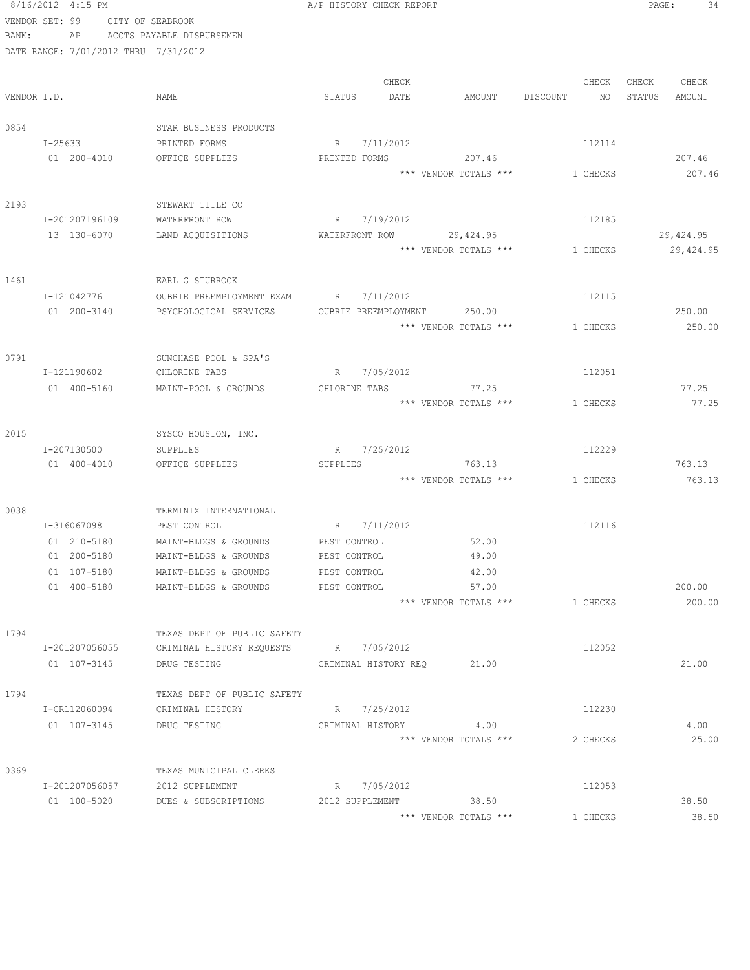|             | 8/16/2012 4:15 PM                    |                                                     | A/P HISTORY CHECK REPORT                      |                       |                                | PAGE:<br>34      |
|-------------|--------------------------------------|-----------------------------------------------------|-----------------------------------------------|-----------------------|--------------------------------|------------------|
|             | VENDOR SET: 99                       | CITY OF SEABROOK                                    |                                               |                       |                                |                  |
| BANK:       | AP                                   | ACCTS PAYABLE DISBURSEMEN                           |                                               |                       |                                |                  |
|             | DATE RANGE: 7/01/2012 THRU 7/31/2012 |                                                     |                                               |                       |                                |                  |
|             |                                      |                                                     |                                               |                       |                                |                  |
|             |                                      |                                                     | CHECK                                         |                       | CHECK                          | CHECK<br>CHECK   |
| VENDOR I.D. |                                      | NAME                                                | STATUS<br>DATE                                | AMOUNT                | DISCOUNT<br>NO –               | STATUS<br>AMOUNT |
| 0854        |                                      | STAR BUSINESS PRODUCTS                              |                                               |                       |                                |                  |
|             | I-25633                              | PRINTED FORMS                                       | R<br>7/11/2012                                |                       | 112114                         |                  |
|             | 01 200-4010                          | OFFICE SUPPLIES                                     | PRINTED FORMS                                 | 207.46                |                                | 207.46           |
|             |                                      |                                                     |                                               | *** VENDOR TOTALS *** | 1 CHECKS                       | 207.46           |
|             |                                      |                                                     |                                               |                       |                                |                  |
| 2193        |                                      | STEWART TITLE CO                                    |                                               |                       |                                |                  |
|             | I-201207196109                       | WATERFRONT ROW                                      | R<br>7/19/2012                                |                       | 112185                         |                  |
|             | 13 130-6070                          | LAND ACQUISITIONS                                   | WATERFRONT ROW                                | 29,424.95             |                                | 29,424.95        |
|             |                                      |                                                     |                                               |                       | *** VENDOR TOTALS *** 1 CHECKS | 29, 424.95       |
|             |                                      |                                                     |                                               |                       |                                |                  |
| 1461        |                                      | EARL G STURROCK                                     |                                               |                       |                                |                  |
|             | I-121042776<br>01 200-3140           | OUBRIE PREEMPLOYMENT EXAM<br>PSYCHOLOGICAL SERVICES | 7/11/2012<br>R<br>OUBRIE PREEMPLOYMENT 250.00 |                       | 112115                         | 250.00           |
|             |                                      |                                                     |                                               | *** VENDOR TOTALS *** | 1 CHECKS                       | 250.00           |
|             |                                      |                                                     |                                               |                       |                                |                  |
| 0791        |                                      | SUNCHASE POOL & SPA'S                               |                                               |                       |                                |                  |
|             | I-121190602                          | CHLORINE TABS                                       | 7/05/2012<br>R                                |                       | 112051                         |                  |
|             | 01 400-5160                          | MAINT-POOL & GROUNDS                                | CHLORINE TABS                                 | 77.25                 |                                | 77.25            |
|             |                                      |                                                     |                                               | *** VENDOR TOTALS *** | 1 CHECKS                       | 77.25            |
|             |                                      |                                                     |                                               |                       |                                |                  |
| 2015        |                                      | SYSCO HOUSTON, INC.                                 |                                               |                       |                                |                  |
|             | I-207130500                          | SUPPLIES                                            | 7/25/2012<br>R                                |                       | 112229                         |                  |
|             | 01 400-4010                          | OFFICE SUPPLIES                                     | SUPPLIES                                      | 763.13                |                                | 763.13           |
|             |                                      |                                                     |                                               | *** VENDOR TOTALS *** | 1 CHECKS                       | 763.13           |
| 0038        |                                      | TERMINIX INTERNATIONAL                              |                                               |                       |                                |                  |
|             | I-316067098                          | PEST CONTROL                                        | 7/11/2012<br>R                                |                       | 112116                         |                  |
|             | 01 210-5180                          | MAINT-BLDGS & GROUNDS                               | PEST CONTROL                                  | 52.00                 |                                |                  |
|             | 01 200-5180                          | MAINT-BLDGS & GROUNDS                               | PEST CONTROL                                  | 49.00                 |                                |                  |
|             | 01 107-5180                          | MAINT-BLDGS & GROUNDS                               | PEST CONTROL                                  | 42.00                 |                                |                  |
|             | 01 400-5180                          | MAINT-BLDGS & GROUNDS                               | PEST CONTROL                                  | 57.00                 |                                | 200.00           |
|             |                                      |                                                     |                                               | *** VENDOR TOTALS *** | 1 CHECKS                       | 200.00           |
|             |                                      |                                                     |                                               |                       |                                |                  |
| 1794        |                                      | TEXAS DEPT OF PUBLIC SAFETY                         |                                               |                       |                                |                  |
|             | I-201207056055                       | CRIMINAL HISTORY REQUESTS R 7/05/2012               |                                               |                       | 112052                         |                  |
|             | 01 107-3145                          | DRUG TESTING TEST THE CRIMINAL HISTORY REQ          |                                               | 21.00                 |                                | 21.00            |
| 1794        |                                      | TEXAS DEPT OF PUBLIC SAFETY                         |                                               |                       |                                |                  |
|             | I-CR112060094                        | CRIMINAL HISTORY                                    | R 7/25/2012                                   |                       | 112230                         |                  |
|             | 01 107-3145                          | DRUG TESTING                                        | CRIMINAL HISTORY                              | 4.00                  |                                | 4.00             |
|             |                                      |                                                     |                                               | *** VENDOR TOTALS *** | 2 CHECKS                       | 25.00            |
|             |                                      |                                                     |                                               |                       |                                |                  |
| 0369        |                                      | TEXAS MUNICIPAL CLERKS                              |                                               |                       |                                |                  |
|             | I-201207056057                       | 2012 SUPPLEMENT                                     | R 7/05/2012                                   |                       | 112053                         |                  |
|             | 01 100-5020                          | DUES & SUBSCRIPTIONS                                | 2012 SUPPLEMENT                               | 38.50                 |                                | 38.50            |
|             |                                      |                                                     |                                               | *** VENDOR TOTALS *** | 1 CHECKS                       | 38.50            |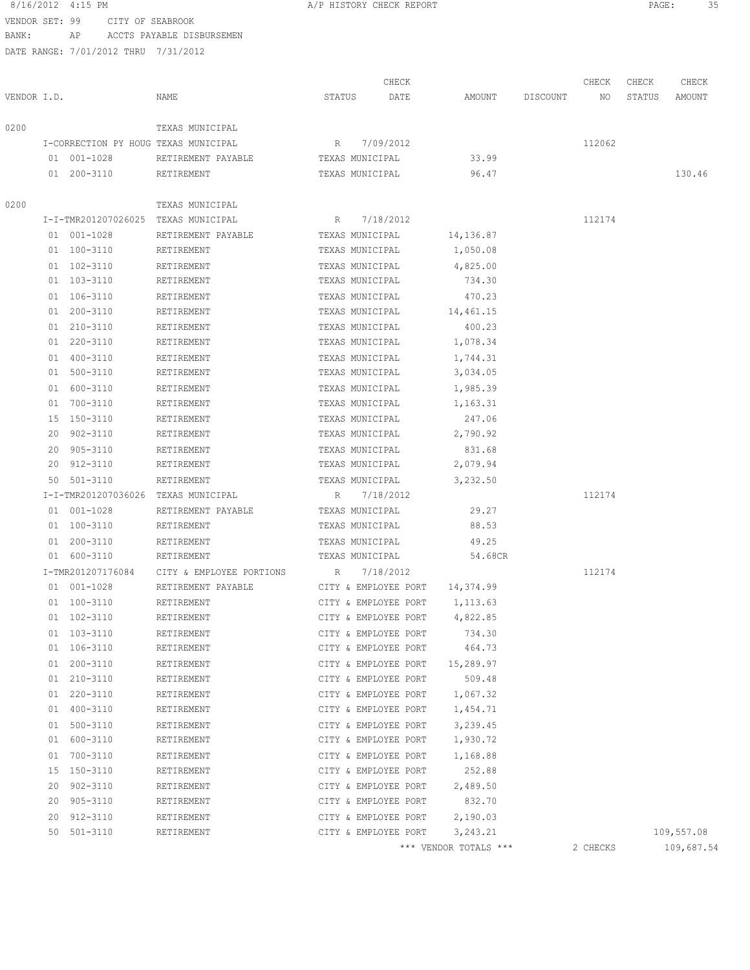VENDOR SET: 99 CITY OF SEABROOK BANK: AP ACCTS PAYABLE DISBURSEMEN

|             |    |                                      |                          |        | CHECK                |                       |          | CHECK    | CHECK  | CHECK      |
|-------------|----|--------------------------------------|--------------------------|--------|----------------------|-----------------------|----------|----------|--------|------------|
| VENDOR I.D. |    |                                      | NAME                     | STATUS | DATE                 | AMOUNT                | DISCOUNT | NO.      | STATUS | AMOUNT     |
| 0200        |    |                                      | TEXAS MUNICIPAL          |        |                      |                       |          |          |        |            |
|             |    | I-CORRECTION PY HOUG TEXAS MUNICIPAL |                          | R      | 7/09/2012            |                       |          | 112062   |        |            |
|             |    | 01 001-1028                          | RETIREMENT PAYABLE       |        | TEXAS MUNICIPAL      | 33.99                 |          |          |        |            |
|             |    | 01 200-3110                          | RETIREMENT               |        | TEXAS MUNICIPAL      | 96.47                 |          |          |        | 130.46     |
| 0200        |    |                                      | TEXAS MUNICIPAL          |        |                      |                       |          |          |        |            |
|             |    | I-I-TMR201207026025 TEXAS MUNICIPAL  |                          | R      | 7/18/2012            |                       |          | 112174   |        |            |
|             |    | 01 001-1028                          | RETIREMENT PAYABLE       |        | TEXAS MUNICIPAL      | 14,136.87             |          |          |        |            |
|             |    | 01 100-3110                          | RETIREMENT               |        | TEXAS MUNICIPAL      | 1,050.08              |          |          |        |            |
|             |    | 01 102-3110                          | RETIREMENT               |        | TEXAS MUNICIPAL      | 4,825.00              |          |          |        |            |
|             |    | 01 103-3110                          | RETIREMENT               |        | TEXAS MUNICIPAL      | 734.30                |          |          |        |            |
|             |    | 01 106-3110                          | RETIREMENT               |        | TEXAS MUNICIPAL      | 470.23                |          |          |        |            |
|             |    | 01 200-3110                          | RETIREMENT               |        | TEXAS MUNICIPAL      | 14,461.15             |          |          |        |            |
|             |    | 01 210-3110                          | RETIREMENT               |        | TEXAS MUNICIPAL      | 400.23                |          |          |        |            |
|             |    | 01 220-3110                          | RETIREMENT               |        | TEXAS MUNICIPAL      | 1,078.34              |          |          |        |            |
|             |    | 01 400-3110                          | RETIREMENT               |        | TEXAS MUNICIPAL      | 1,744.31              |          |          |        |            |
|             |    | 01 500-3110                          | RETIREMENT               |        | TEXAS MUNICIPAL      | 3,034.05              |          |          |        |            |
|             |    | 01 600-3110                          | RETIREMENT               |        | TEXAS MUNICIPAL      | 1,985.39              |          |          |        |            |
|             |    | 01 700-3110                          | RETIREMENT               |        | TEXAS MUNICIPAL      | 1,163.31              |          |          |        |            |
|             | 15 | 150-3110                             | RETIREMENT               |        | TEXAS MUNICIPAL      | 247.06                |          |          |        |            |
|             | 20 | 902-3110                             | RETIREMENT               |        | TEXAS MUNICIPAL      | 2,790.92              |          |          |        |            |
|             | 20 | 905-3110                             | RETIREMENT               |        | TEXAS MUNICIPAL      | 831.68                |          |          |        |            |
|             | 20 | 912-3110                             | RETIREMENT               |        | TEXAS MUNICIPAL      | 2,079.94              |          |          |        |            |
|             | 50 | 501-3110                             | RETIREMENT               |        | TEXAS MUNICIPAL      |                       |          |          |        |            |
|             |    | I-I-TMR201207036026                  | TEXAS MUNICIPAL          | R      | 7/18/2012            | 3,232.50              |          | 112174   |        |            |
|             |    |                                      |                          |        |                      |                       |          |          |        |            |
|             |    | 01 001-1028                          | RETIREMENT PAYABLE       |        | TEXAS MUNICIPAL      | 29.27<br>88.53        |          |          |        |            |
|             |    | 01 100-3110                          | RETIREMENT               |        | TEXAS MUNICIPAL      |                       |          |          |        |            |
|             |    | 01 200-3110                          | RETIREMENT               |        | TEXAS MUNICIPAL      | 49.25                 |          |          |        |            |
|             |    | 01 600-3110                          | RETIREMENT               |        | TEXAS MUNICIPAL      | 54.68CR               |          |          |        |            |
|             |    | I-TMR201207176084                    | CITY & EMPLOYEE PORTIONS | R      | 7/18/2012            |                       |          | 112174   |        |            |
|             |    | 01 001-1028                          | RETIREMENT PAYABLE       |        | CITY & EMPLOYEE PORT | 14,374.99             |          |          |        |            |
|             |    | 01 100-3110                          | RETIREMENT               |        | CITY & EMPLOYEE PORT | 1,113.63              |          |          |        |            |
|             |    | 01 102-3110                          | RETIREMENT               |        | CITY & EMPLOYEE PORT | 4,822.85              |          |          |        |            |
|             |    | 01 103-3110                          | RETIREMENT               |        | CITY & EMPLOYEE PORT | 734.30                |          |          |        |            |
|             |    | 01 106-3110                          | RETIREMENT               |        | CITY & EMPLOYEE PORT | 464.73                |          |          |        |            |
|             | 01 | 200-3110                             | RETIREMENT               |        | CITY & EMPLOYEE PORT | 15,289.97             |          |          |        |            |
|             | 01 | 210-3110                             | RETIREMENT               |        | CITY & EMPLOYEE PORT | 509.48                |          |          |        |            |
|             | 01 | 220-3110                             | RETIREMENT               |        | CITY & EMPLOYEE PORT | 1,067.32              |          |          |        |            |
|             | 01 | 400-3110                             | RETIREMENT               |        | CITY & EMPLOYEE PORT | 1,454.71              |          |          |        |            |
|             |    | 01 500-3110                          | RETIREMENT               |        | CITY & EMPLOYEE PORT | 3,239.45              |          |          |        |            |
|             |    | 01 600-3110                          | RETIREMENT               |        | CITY & EMPLOYEE PORT | 1,930.72              |          |          |        |            |
|             |    | 01 700-3110                          | RETIREMENT               |        | CITY & EMPLOYEE PORT | 1,168.88              |          |          |        |            |
|             |    | 15 150-3110                          | RETIREMENT               |        | CITY & EMPLOYEE PORT | 252.88                |          |          |        |            |
|             | 20 | $902 - 3110$                         | RETIREMENT               |        | CITY & EMPLOYEE PORT | 2,489.50              |          |          |        |            |
|             | 20 | 905-3110                             | RETIREMENT               |        | CITY & EMPLOYEE PORT | 832.70                |          |          |        |            |
|             | 20 | 912-3110                             | RETIREMENT               |        | CITY & EMPLOYEE PORT | 2,190.03              |          |          |        |            |
|             |    | 50 501-3110                          | RETIREMENT               |        | CITY & EMPLOYEE PORT | 3,243.21              |          |          |        | 109,557.08 |
|             |    |                                      |                          |        |                      | *** VENDOR TOTALS *** |          | 2 CHECKS |        | 109,687.54 |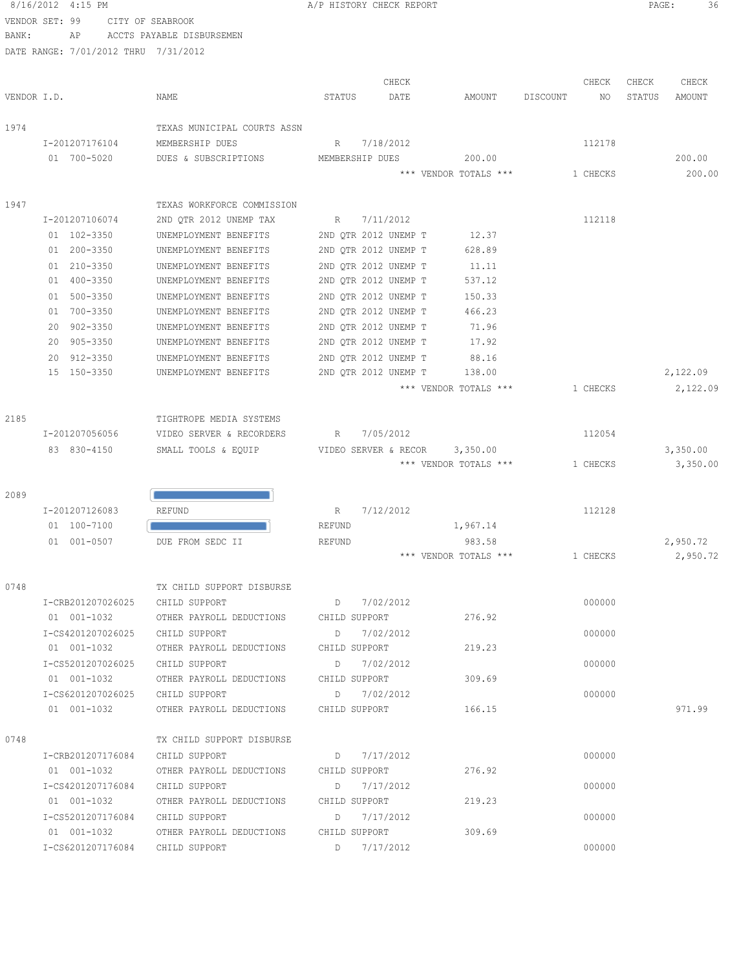| 8/16/2012 4:15 PM |    |                                      |        | A/P HISTORY CHECK REPORT |        |          |       | PAGE:  |        |
|-------------------|----|--------------------------------------|--------|--------------------------|--------|----------|-------|--------|--------|
| VENDOR SET: 99    |    | CITY OF SEABROOK                     |        |                          |        |          |       |        |        |
| BANK:             | AP | ACCTS PAYABLE DISBURSEMEN            |        |                          |        |          |       |        |        |
|                   |    | DATE RANGE: 7/01/2012 THRU 7/31/2012 |        |                          |        |          |       |        |        |
|                   |    |                                      |        |                          |        |          |       |        |        |
|                   |    |                                      |        | CHECK                    |        |          | CHECK | CHECK  | CHECK  |
| VENDOR I.D.       |    | NAME                                 | STATUS | DATE                     | AMOUNT | DISCOUNT | ΝO    | STATUS | AMOUNT |
|                   |    |                                      |        |                          |        |          |       |        |        |

| 1974 |                   | TEXAS MUNICIPAL COURTS ASSN |                                  |          |          |
|------|-------------------|-----------------------------|----------------------------------|----------|----------|
|      | I-201207176104    | MEMBERSHIP DUES             | 7/18/2012<br>R                   | 112178   |          |
|      | 01 700-5020       | DUES & SUBSCRIPTIONS        | MEMBERSHIP DUES<br>200.00        |          | 200.00   |
|      |                   |                             | *** VENDOR TOTALS ***            | 1 CHECKS | 200.00   |
| 1947 |                   | TEXAS WORKFORCE COMMISSION  |                                  |          |          |
|      | I-201207106074    | 2ND QTR 2012 UNEMP TAX      | R 7/11/2012                      | 112118   |          |
|      | 01 102-3350       | UNEMPLOYMENT BENEFITS       | 2ND QTR 2012 UNEMP T<br>12.37    |          |          |
|      | 01 200-3350       | UNEMPLOYMENT BENEFITS       | 2ND QTR 2012 UNEMP T<br>628.89   |          |          |
|      | 01 210-3350       | UNEMPLOYMENT BENEFITS       | 2ND OTR 2012 UNEMP T<br>11.11    |          |          |
|      | 01 400-3350       | UNEMPLOYMENT BENEFITS       | 2ND QTR 2012 UNEMP T<br>537.12   |          |          |
|      | 01 500-3350       | UNEMPLOYMENT BENEFITS       | 2ND QTR 2012 UNEMP T<br>150.33   |          |          |
|      | 01 700-3350       | UNEMPLOYMENT BENEFITS       | 2ND QTR 2012 UNEMP T<br>466.23   |          |          |
|      | 20 902-3350       | UNEMPLOYMENT BENEFITS       | 71.96<br>2ND QTR 2012 UNEMP T    |          |          |
|      | 20 905-3350       | UNEMPLOYMENT BENEFITS       | 2ND QTR 2012 UNEMP T<br>17.92    |          |          |
|      | 20 912-3350       | UNEMPLOYMENT BENEFITS       | 2ND QTR 2012 UNEMP T<br>88.16    |          |          |
|      | 15 150-3350       | UNEMPLOYMENT BENEFITS       | 2ND QTR 2012 UNEMP T<br>138.00   |          | 2,122.09 |
|      |                   |                             | *** VENDOR TOTALS ***            | 1 CHECKS | 2,122.09 |
| 2185 |                   | TIGHTROPE MEDIA SYSTEMS     |                                  |          |          |
|      | I-201207056056    | VIDEO SERVER & RECORDERS    | R<br>7/05/2012                   | 112054   |          |
|      | 83 830-4150       | SMALL TOOLS & EQUIP         | VIDEO SERVER & RECOR<br>3,350.00 |          | 3,350.00 |
|      |                   |                             | *** VENDOR TOTALS ***            | 1 CHECKS | 3,350.00 |
| 2089 |                   |                             |                                  |          |          |
|      | I-201207126083    | REFUND                      | 7/12/2012<br>R                   | 112128   |          |
|      | 01 100-7100       |                             | REFUND<br>1,967.14               |          |          |
|      | 01 001-0507       | DUE FROM SEDC II            | 983.58<br>REFUND                 |          | 2,950.72 |
|      |                   |                             | *** VENDOR TOTALS ***            | 1 CHECKS | 2,950.72 |
| 0748 |                   | TX CHILD SUPPORT DISBURSE   |                                  |          |          |
|      | I-CRB201207026025 | CHILD SUPPORT               | 7/02/2012<br>$D \qquad \qquad$   | 000000   |          |
|      | 01 001-1032       | OTHER PAYROLL DEDUCTIONS    | CHILD SUPPORT<br>276.92          |          |          |
|      | I-CS4201207026025 | CHILD SUPPORT               | 7/02/2012<br>D                   | 000000   |          |
|      | 01 001-1032       | OTHER PAYROLL DEDUCTIONS    | CHILD SUPPORT<br>219.23          |          |          |
|      | I-CS5201207026025 | CHILD SUPPORT               | 7/02/2012<br>$D \qquad \qquad$   | 000000   |          |
|      | 01 001-1032       | OTHER PAYROLL DEDUCTIONS    | 309.69<br>CHILD SUPPORT          |          |          |
|      | I-CS6201207026025 | CHILD SUPPORT               | $D = 7/02/2012$                  | 000000   |          |
|      | 01 001-1032       | OTHER PAYROLL DEDUCTIONS    | 166.15<br>CHILD SUPPORT          |          | 971.99   |
| 0748 |                   | TX CHILD SUPPORT DISBURSE   |                                  |          |          |
|      | I-CRB201207176084 | CHILD SUPPORT               | $D = \frac{7}{17/2012}$          | 000000   |          |
|      | 01 001-1032       | OTHER PAYROLL DEDUCTIONS    | 276.92<br>CHILD SUPPORT          |          |          |
|      | I-CS4201207176084 | CHILD SUPPORT               | 7/17/2012<br>D                   | 000000   |          |
|      | 01 001-1032       | OTHER PAYROLL DEDUCTIONS    | 219.23<br>CHILD SUPPORT          |          |          |
|      | I-CS5201207176084 | CHILD SUPPORT               | 7/17/2012<br>D                   | 000000   |          |
|      | 01 001-1032       | OTHER PAYROLL DEDUCTIONS    | 309.69<br>CHILD SUPPORT          |          |          |
|      | I-CS6201207176084 | CHILD SUPPORT               | D<br>7/17/2012                   | 000000   |          |
|      |                   |                             |                                  |          |          |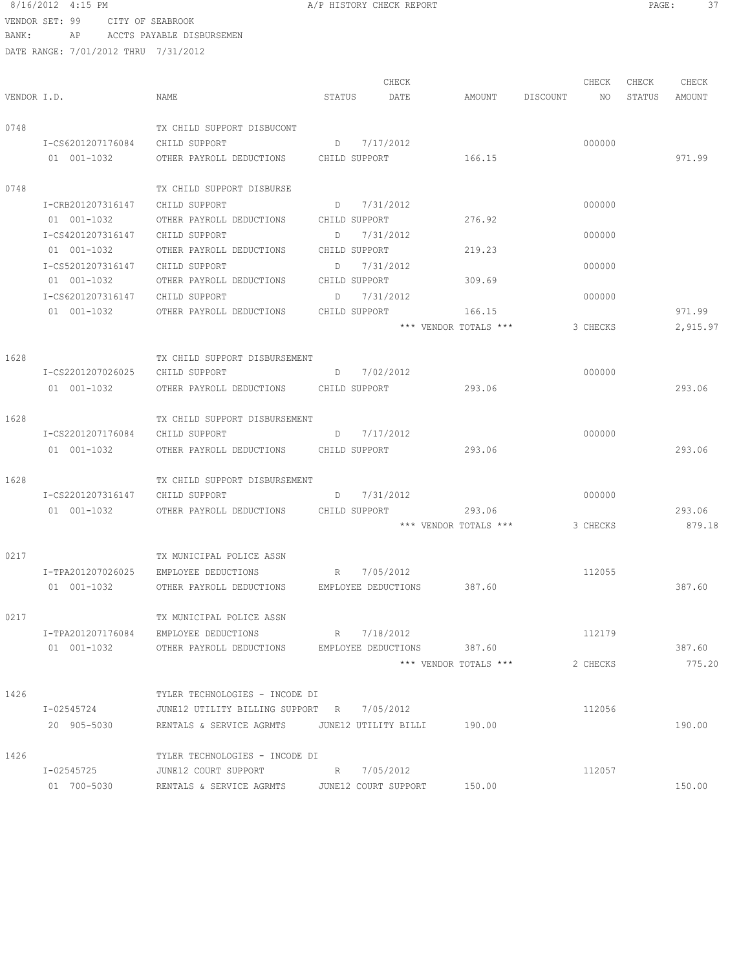### 8/16/2012 4:15 PM **A/P HISTORY CHECK REPORT PAGE:** 37 VENDOR SET: 99 CITY OF SEABROOK

BANK: AP ACCTS PAYABLE DISBURSEMEN

|             |                   |                                                           |        | CHECK         |                            |          | CHECK    | CHECK  | CHECK    |
|-------------|-------------------|-----------------------------------------------------------|--------|---------------|----------------------------|----------|----------|--------|----------|
| VENDOR I.D. |                   | NAME                                                      | STATUS | DATE          | AMOUNT                     | DISCOUNT | NO       | STATUS | AMOUNT   |
| 0748        |                   | TX CHILD SUPPORT DISBUCONT                                |        |               |                            |          |          |        |          |
|             | I-CS6201207176084 | CHILD SUPPORT                                             |        | D 7/17/2012   |                            |          | 000000   |        |          |
|             | 01 001-1032       | OTHER PAYROLL DEDUCTIONS CHILD SUPPORT                    |        |               | 166.15                     |          |          |        | 971.99   |
| 0748        |                   | TX CHILD SUPPORT DISBURSE                                 |        |               |                            |          |          |        |          |
|             | I-CRB201207316147 | CHILD SUPPORT                                             |        | D 7/31/2012   |                            |          | 000000   |        |          |
|             | 01 001-1032       | OTHER PAYROLL DEDUCTIONS CHILD SUPPORT                    |        |               | 276.92                     |          |          |        |          |
|             | I-CS4201207316147 | CHILD SUPPORT                                             |        | D 7/31/2012   |                            |          | 000000   |        |          |
|             | 01 001-1032       | OTHER PAYROLL DEDUCTIONS                                  |        | CHILD SUPPORT | 219.23                     |          |          |        |          |
|             | I-CS5201207316147 | CHILD SUPPORT                                             |        | D 7/31/2012   |                            |          | 000000   |        |          |
|             | 01 001-1032       | OTHER PAYROLL DEDUCTIONS CHILD SUPPORT                    |        |               | 309.69                     |          |          |        |          |
|             | I-CS6201207316147 | CHILD SUPPORT                                             |        | D 7/31/2012   |                            |          | 000000   |        |          |
|             | 01 001-1032       | OTHER PAYROLL DEDUCTIONS                                  |        | CHILD SUPPORT | 166.15                     |          |          |        | 971.99   |
|             |                   |                                                           |        |               | *** VENDOR TOTALS ***      |          | 3 CHECKS |        | 2,915.97 |
| 1628        |                   | TX CHILD SUPPORT DISBURSEMENT                             |        |               |                            |          |          |        |          |
|             | I-CS2201207026025 | CHILD SUPPORT                                             |        | D 7/02/2012   |                            |          | 000000   |        |          |
|             | 01 001-1032       | OTHER PAYROLL DEDUCTIONS CHILD SUPPORT                    |        |               | 293.06                     |          |          |        | 293.06   |
| 1628        |                   | TX CHILD SUPPORT DISBURSEMENT                             |        |               |                            |          |          |        |          |
|             | I-CS2201207176084 | CHILD SUPPORT                                             |        | D 7/17/2012   |                            |          | 000000   |        |          |
|             | 01 001-1032       | OTHER PAYROLL DEDUCTIONS CHILD SUPPORT                    |        |               | 293.06                     |          |          |        | 293.06   |
| 1628        |                   | TX CHILD SUPPORT DISBURSEMENT                             |        |               |                            |          |          |        |          |
|             | I-CS2201207316147 | CHILD SUPPORT                                             |        | D 7/31/2012   |                            |          | 000000   |        |          |
|             |                   |                                                           |        |               | 293.06                     |          |          |        | 293.06   |
|             |                   |                                                           |        |               | *** VENDOR TOTALS ***      |          | 3 CHECKS |        | 879.18   |
| 0217        |                   | TX MUNICIPAL POLICE ASSN                                  |        |               |                            |          |          |        |          |
|             |                   | I-TPA201207026025 EMPLOYEE DEDUCTIONS R 7/05/2012         |        |               |                            |          | 112055   |        |          |
|             | 01 001-1032       | OTHER PAYROLL DEDUCTIONS EMPLOYEE DEDUCTIONS 387.60       |        |               |                            |          |          |        | 387.60   |
| 0217        |                   | TX MUNICIPAL POLICE ASSN                                  |        |               |                            |          |          |        |          |
|             | I-TPA201207176084 | EMPLOYEE DEDUCTIONS                                       |        | R 7/18/2012   |                            |          | 112179   |        |          |
|             | 01 001-1032       | OTHER PAYROLL DEDUCTIONS                                  |        |               | EMPLOYEE DEDUCTIONS 387.60 |          |          |        | 387.60   |
|             |                   |                                                           |        |               | *** VENDOR TOTALS ***      |          | 2 CHECKS |        | 775.20   |
| 1426        |                   | TYLER TECHNOLOGIES - INCODE DI                            |        |               |                            |          |          |        |          |
|             | I-02545724        | JUNE12 UTILITY BILLING SUPPORT R 7/05/2012                |        |               |                            |          | 112056   |        |          |
|             | 20 905-5030       | RENTALS & SERVICE AGRMTS    UNE12 UTILITY BILLI    190.00 |        |               |                            |          |          |        | 190.00   |
| 1426        |                   | TYLER TECHNOLOGIES - INCODE DI                            |        |               |                            |          |          |        |          |
|             | I-02545725        | JUNE12 COURT SUPPORT                                      |        | R 7/05/2012   |                            |          | 112057   |        |          |
|             | 01 700-5030       | RENTALS & SERVICE AGRMTS JUNE12 COURT SUPPORT             |        |               | 150.00                     |          |          |        | 150.00   |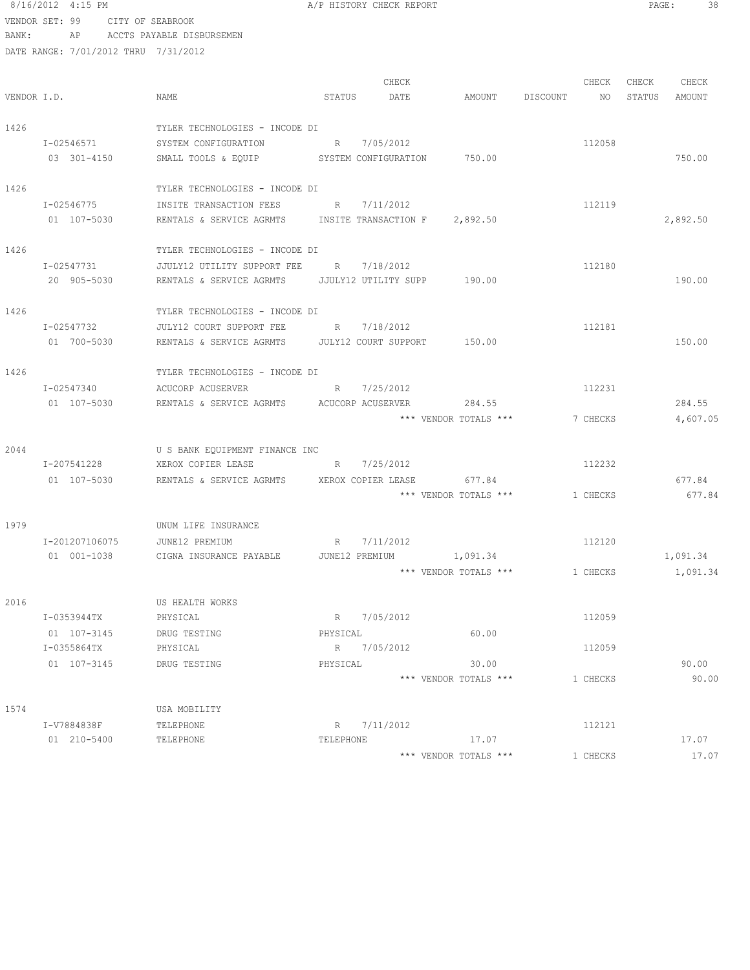|                | 8/16/2012 4:15 PM |                  |                                                            |          | A/P HISTORY CHECK REPORT |                         |                       | PAGE:  | 38       |
|----------------|-------------------|------------------|------------------------------------------------------------|----------|--------------------------|-------------------------|-----------------------|--------|----------|
| VENDOR SET: 99 |                   | CITY OF SEABROOK |                                                            |          |                          |                         |                       |        |          |
| BANK:          |                   |                  | AP ACCTS PAYABLE DISBURSEMEN                               |          |                          |                         |                       |        |          |
|                |                   |                  | DATE RANGE: 7/01/2012 THRU 7/31/2012                       |          |                          |                         |                       |        |          |
|                |                   |                  |                                                            |          | CHECK                    |                         | CHECK                 | CHECK  | CHECK    |
| VENDOR I.D.    |                   |                  | NAME                                                       | STATUS   | DATE                     |                         | AMOUNT DISCOUNT<br>NO | STATUS | AMOUNT   |
| 1426           |                   |                  | TYLER TECHNOLOGIES - INCODE DI                             |          |                          |                         |                       |        |          |
|                | I-02546571        |                  | SYSTEM CONFIGURATION                                       |          | R 7/05/2012              |                         | 112058                |        |          |
|                | 03 301-4150       |                  | SMALL TOOLS & EQUIP SYSTEM CONFIGURATION 750.00            |          |                          |                         |                       |        | 750.00   |
|                |                   |                  |                                                            |          |                          |                         |                       |        |          |
| 1426           |                   |                  | TYLER TECHNOLOGIES - INCODE DI                             |          |                          |                         |                       |        |          |
|                |                   | I-02546775       | INSITE TRANSACTION FEES                                    | R        | 7/11/2012                |                         | 112119                |        |          |
|                |                   | 01 107-5030      | RENTALS & SERVICE AGRMTS INSITE TRANSACTION F 2,892.50     |          |                          |                         |                       |        | 2,892.50 |
| 1426           |                   |                  | TYLER TECHNOLOGIES - INCODE DI                             |          |                          |                         |                       |        |          |
|                | I-02547731        |                  | JJULY12 UTILITY SUPPORT FEE R 7/18/2012                    |          |                          |                         | 112180                |        |          |
|                | 20 905-5030       |                  |                                                            |          |                          |                         |                       |        | 190.00   |
|                |                   |                  |                                                            |          |                          |                         |                       |        |          |
| 1426           |                   |                  | TYLER TECHNOLOGIES - INCODE DI                             |          |                          |                         |                       |        |          |
|                | T-02547732        |                  | JULY12 COURT SUPPORT FEE R 7/18/2012                       |          |                          |                         | 112181                |        |          |
|                | 01 700-5030       |                  | RENTALS & SERVICE AGRMTS    UULY12 COURT SUPPORT    150.00 |          |                          |                         |                       |        | 150.00   |
| 1426           |                   |                  | TYLER TECHNOLOGIES - INCODE DI                             |          |                          |                         |                       |        |          |
|                |                   | I-02547340       | $R$ and $R$<br>ACUCORP ACUSERVER                           |          | 7/25/2012                |                         | 112231                |        |          |
|                | 01 107-5030       |                  | RENTALS & SERVICE AGRMTS ACUCORP ACUSERVER                 |          |                          | 284.55                  |                       |        | 284.55   |
|                |                   |                  |                                                            |          |                          | *** VENDOR TOTALS ***   | 7 CHECKS              |        | 4,607.05 |
| 2044           |                   |                  | U S BANK EQUIPMENT FINANCE INC                             |          |                          |                         |                       |        |          |
|                | I-207541228       |                  | XEROX COPIER LEASE                                         |          | R 7/25/2012              |                         | 112232                |        |          |
|                | 01 107-5030       |                  | RENTALS & SERVICE AGRMTS                                   |          | XEROX COPIER LEASE       | 677.84                  |                       |        | 677.84   |
|                |                   |                  |                                                            |          |                          | *** VENDOR TOTALS ***   | 1 CHECKS              |        | 677.84   |
|                |                   |                  |                                                            |          |                          |                         |                       |        |          |
| 1979           |                   |                  | UNUM LIFE INSURANCE                                        |          |                          |                         |                       |        |          |
|                | I-201207106075    |                  | JUNE12 PREMIUM                                             |          | R 7/11/2012              |                         | 112120                |        |          |
|                | 01 001-1038       |                  | CIGNA INSURANCE PAYABLE                                    |          |                          | JUNE12 PREMIUM 1,091.34 |                       |        | 1,091.34 |
|                |                   |                  |                                                            |          |                          | *** VENDOR TOTALS ***   | 1 CHECKS              |        | 1,091.34 |
| 2016           |                   |                  | US HEALTH WORKS                                            |          |                          |                         |                       |        |          |
|                | I-0353944TX       |                  | PHYSICAL                                                   |          | R 7/05/2012              |                         | 112059                |        |          |
|                | 01 107-3145       |                  | DRUG TESTING                                               | PHYSICAL |                          | 60.00                   |                       |        |          |
|                |                   |                  |                                                            |          |                          |                         |                       |        |          |

DRUG TESTING PHYSICAL 60.00 I-0355864TX PHYSICAL R 7/05/2012 112059

I-V7884838F TELEPHONE R 7/11/2012 112121

1574 USA MOBILITY

01 107-3145 DRUG TESTING PHYSICAL 30.00 90.00

01 210-5400 TELEPHONE TELEPHONE TELEPHONE TELEPHONE 17.07 17.07

\*\*\* VENDOR TOTALS \*\*\* 1 CHECKS 90.00

\*\*\* VENDOR TOTALS \*\*\* 1 CHECKS 17.07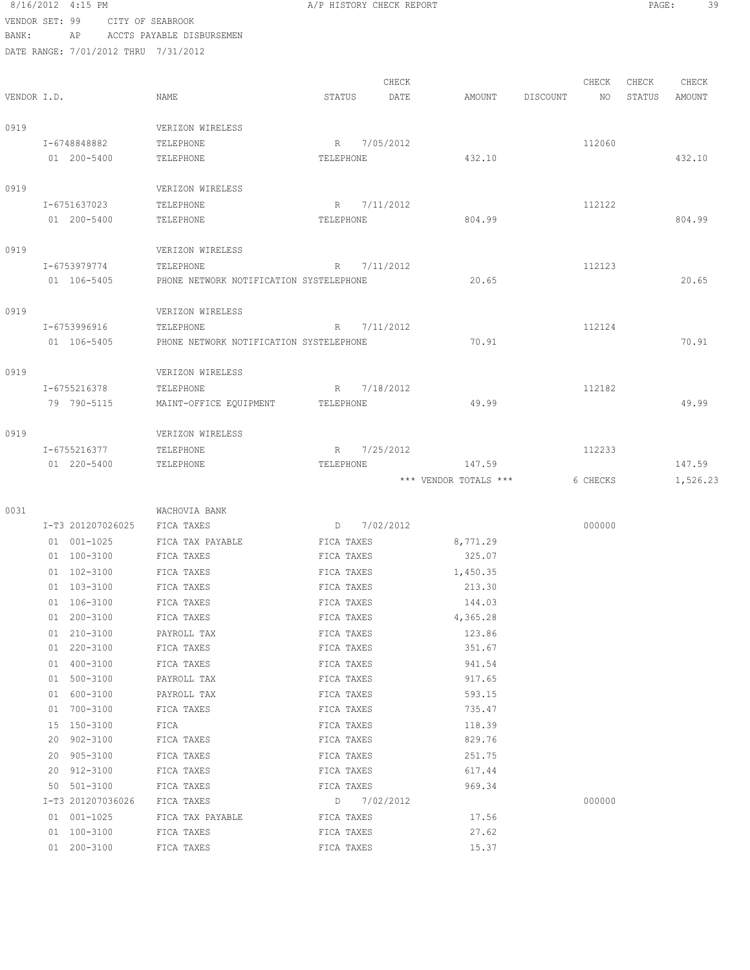|                |    | 8/16/2012 4:15 PM |                                         | A/P HISTORY CHECK REPORT |             |                       |                 |          | PAGE:  | 39       |
|----------------|----|-------------------|-----------------------------------------|--------------------------|-------------|-----------------------|-----------------|----------|--------|----------|
| VENDOR SET: 99 |    |                   | CITY OF SEABROOK                        |                          |             |                       |                 |          |        |          |
| BANK:          |    | AP                | ACCTS PAYABLE DISBURSEMEN               |                          |             |                       |                 |          |        |          |
|                |    |                   | DATE RANGE: 7/01/2012 THRU 7/31/2012    |                          |             |                       |                 |          |        |          |
|                |    |                   |                                         |                          |             |                       |                 |          |        |          |
|                |    |                   |                                         |                          | CHECK       |                       |                 | CHECK    | CHECK  | CHECK    |
| VENDOR I.D.    |    |                   | NAME                                    | STATUS                   | DATE        | AMOUNT                | <b>DISCOUNT</b> | NO       | STATUS | AMOUNT   |
| 0919           |    |                   | VERIZON WIRELESS                        |                          |             |                       |                 |          |        |          |
|                |    | I-6748848882      | TELEPHONE                               | R                        | 7/05/2012   |                       |                 | 112060   |        |          |
|                |    | 01 200-5400       | TELEPHONE                               | TELEPHONE                |             | 432.10                |                 |          |        | 432.10   |
|                |    |                   |                                         |                          |             |                       |                 |          |        |          |
| 0919           |    |                   | VERIZON WIRELESS                        |                          |             |                       |                 |          |        |          |
|                |    | I-6751637023      | TELEPHONE                               | R                        | 7/11/2012   |                       |                 | 112122   |        |          |
|                |    | 01 200-5400       | TELEPHONE                               | TELEPHONE                |             | 804.99                |                 |          |        | 804.99   |
|                |    |                   |                                         |                          |             |                       |                 |          |        |          |
| 0919           |    |                   | VERIZON WIRELESS                        |                          |             |                       |                 |          |        |          |
|                |    | I-6753979774      | TELEPHONE                               | R                        | 7/11/2012   |                       |                 | 112123   |        |          |
|                |    | 01 106-5405       | PHONE NETWORK NOTIFICATION SYSTELEPHONE |                          |             | 20.65                 |                 |          |        | 20.65    |
|                |    |                   |                                         |                          |             |                       |                 |          |        |          |
| 0919           |    |                   | VERIZON WIRELESS                        |                          |             |                       |                 |          |        |          |
|                |    | I-6753996916      | TELEPHONE                               | R                        | 7/11/2012   |                       |                 | 112124   |        |          |
|                |    | 01 106-5405       | PHONE NETWORK NOTIFICATION SYSTELEPHONE |                          |             | 70.91                 |                 |          |        | 70.91    |
| 0919           |    |                   | VERIZON WIRELESS                        |                          |             |                       |                 |          |        |          |
|                |    | I-6755216378      | TELEPHONE                               | R                        | 7/18/2012   |                       |                 | 112182   |        |          |
|                |    | 79 790-5115       | MAINT-OFFICE EQUIPMENT                  | TELEPHONE                |             | 49.99                 |                 |          |        | 49.99    |
|                |    |                   |                                         |                          |             |                       |                 |          |        |          |
| 0919           |    |                   | VERIZON WIRELESS                        |                          |             |                       |                 |          |        |          |
|                |    | I-6755216377      | TELEPHONE                               | R                        | 7/25/2012   |                       |                 | 112233   |        |          |
|                |    | 01 220-5400       | TELEPHONE                               | TELEPHONE                |             | 147.59                |                 |          |        | 147.59   |
|                |    |                   |                                         |                          |             | *** VENDOR TOTALS *** |                 | 6 CHECKS |        | 1,526.23 |
|                |    |                   |                                         |                          |             |                       |                 |          |        |          |
| 0031           |    | I-T3 201207026025 | WACHOVIA BANK<br>FICA TAXES             | D                        | 7/02/2012   |                       |                 | 000000   |        |          |
|                |    | 01 001-1025       | FICA TAX PAYABLE                        | FICA TAXES               |             | 8,771.29              |                 |          |        |          |
|                |    | 01 100-3100       | FICA TAXES                              | FICA TAXES               |             | 325.07                |                 |          |        |          |
|                |    | 01 102-3100       | FICA TAXES                              | FICA TAXES               |             | 1,450.35              |                 |          |        |          |
|                |    | 01 103-3100       | FICA TAXES                              | FICA TAXES               |             | 213.30                |                 |          |        |          |
|                |    | 01 106-3100       | FICA TAXES                              | FICA TAXES               |             | 144.03                |                 |          |        |          |
|                |    | 01 200-3100       | FICA TAXES                              | FICA TAXES               |             | 4,365.28              |                 |          |        |          |
|                |    | 01 210-3100       | PAYROLL TAX                             | FICA TAXES               |             | 123.86                |                 |          |        |          |
|                |    | 01 220-3100       | FICA TAXES                              | FICA TAXES               |             | 351.67                |                 |          |        |          |
|                |    | 01 400-3100       | FICA TAXES                              | FICA TAXES               |             | 941.54                |                 |          |        |          |
|                |    | 01 500-3100       | PAYROLL TAX                             | FICA TAXES               |             | 917.65                |                 |          |        |          |
|                |    | 01 600-3100       | PAYROLL TAX                             | FICA TAXES               |             | 593.15                |                 |          |        |          |
|                |    | 01 700-3100       | FICA TAXES                              | FICA TAXES               |             | 735.47                |                 |          |        |          |
|                |    | 15 150-3100       | FICA                                    | FICA TAXES               |             | 118.39                |                 |          |        |          |
|                | 20 | 902-3100          | FICA TAXES                              | FICA TAXES               |             | 829.76                |                 |          |        |          |
|                |    | 20 905-3100       | FICA TAXES                              | FICA TAXES               |             | 251.75                |                 |          |        |          |
|                |    | 20 912-3100       | FICA TAXES                              | FICA TAXES               |             | 617.44                |                 |          |        |          |
|                |    | 50 501-3100       | FICA TAXES                              | FICA TAXES               |             | 969.34                |                 |          |        |          |
|                |    | I-T3 201207036026 | FICA TAXES                              |                          | D 7/02/2012 |                       |                 | 000000   |        |          |
|                |    | 01 001-1025       | FICA TAX PAYABLE                        | FICA TAXES               |             | 17.56                 |                 |          |        |          |
|                |    | 01 100-3100       | FICA TAXES                              | FICA TAXES               |             | 27.62                 |                 |          |        |          |

01 200-3100 FICA TAXES FICA TAXES 15.37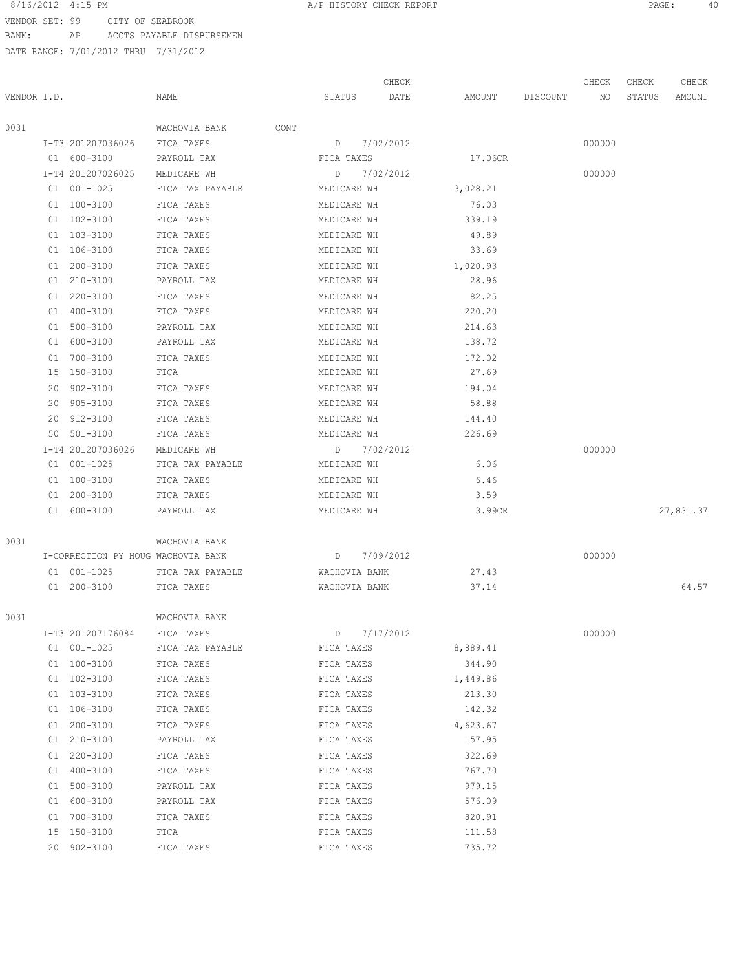VENDOR SET: 99 CITY OF SEABROOK BANK: AP ACCTS PAYABLE DISBURSEMEN

|             |                                    |                  |               | CHECK     |          |          |          | CHECK  | CHECK  | CHECK     |
|-------------|------------------------------------|------------------|---------------|-----------|----------|----------|----------|--------|--------|-----------|
| VENDOR I.D. |                                    | NAME             | STATUS        | DATE      |          | AMOUNT   | DISCOUNT | NO     | STATUS | AMOUNT    |
|             |                                    |                  |               |           |          |          |          |        |        |           |
| 0031        |                                    | WACHOVIA BANK    | CONT          |           |          |          |          |        |        |           |
|             | I-T3 201207036026                  | FICA TAXES       | D             | 7/02/2012 |          |          |          | 000000 |        |           |
|             | 01 600-3100                        | PAYROLL TAX      | FICA TAXES    |           |          | 17.06CR  |          |        |        |           |
|             | I-T4 201207026025                  | MEDICARE WH      | D             | 7/02/2012 |          |          |          | 000000 |        |           |
|             | 01 001-1025                        | FICA TAX PAYABLE | MEDICARE WH   |           |          | 3,028.21 |          |        |        |           |
|             | 01 100-3100                        | FICA TAXES       | MEDICARE WH   |           |          | 76.03    |          |        |        |           |
|             | 01 102-3100                        | FICA TAXES       | MEDICARE WH   |           |          | 339.19   |          |        |        |           |
|             | 01 103-3100                        | FICA TAXES       | MEDICARE WH   |           |          | 49.89    |          |        |        |           |
|             | 01 106-3100                        | FICA TAXES       | MEDICARE WH   |           |          | 33.69    |          |        |        |           |
|             | 01 200-3100                        | FICA TAXES       | MEDICARE WH   |           | 1,020.93 |          |          |        |        |           |
|             | 01 210-3100                        | PAYROLL TAX      | MEDICARE WH   |           |          | 28.96    |          |        |        |           |
|             | 01 220-3100                        | FICA TAXES       | MEDICARE WH   |           |          | 82.25    |          |        |        |           |
|             | 01 400-3100                        | FICA TAXES       | MEDICARE WH   |           |          | 220.20   |          |        |        |           |
|             | 01 500-3100                        | PAYROLL TAX      | MEDICARE WH   |           |          | 214.63   |          |        |        |           |
|             | 01 600-3100                        | PAYROLL TAX      | MEDICARE WH   |           |          | 138.72   |          |        |        |           |
|             | 01 700-3100                        | FICA TAXES       | MEDICARE WH   |           |          | 172.02   |          |        |        |           |
|             | 15 150-3100                        | FICA             | MEDICARE WH   |           |          | 27.69    |          |        |        |           |
|             | 20 902-3100                        | FICA TAXES       | MEDICARE WH   |           |          | 194.04   |          |        |        |           |
|             | 20 905-3100                        | FICA TAXES       | MEDICARE WH   |           |          | 58.88    |          |        |        |           |
|             | 20 912-3100                        | FICA TAXES       | MEDICARE WH   |           |          | 144.40   |          |        |        |           |
|             | 50 501-3100                        | FICA TAXES       | MEDICARE WH   |           |          | 226.69   |          |        |        |           |
|             | I-T4 201207036026                  | MEDICARE WH      | D             | 7/02/2012 |          |          |          | 000000 |        |           |
|             | 01 001-1025                        | FICA TAX PAYABLE | MEDICARE WH   |           |          | 6.06     |          |        |        |           |
|             | 01 100-3100                        | FICA TAXES       | MEDICARE WH   |           |          | 6.46     |          |        |        |           |
|             | 01 200-3100                        | FICA TAXES       | MEDICARE WH   |           |          | 3.59     |          |        |        |           |
|             | 01 600-3100                        | PAYROLL TAX      | MEDICARE WH   |           |          | 3.99CR   |          |        |        | 27,831.37 |
| 0031        |                                    |                  |               |           |          |          |          |        |        |           |
|             | I-CORRECTION PY HOUG WACHOVIA BANK | WACHOVIA BANK    | D             | 7/09/2012 |          |          |          | 000000 |        |           |
|             | 01 001-1025                        | FICA TAX PAYABLE | WACHOVIA BANK |           |          | 27.43    |          |        |        |           |
|             | 01 200-3100                        | FICA TAXES       | WACHOVIA BANK |           |          | 37.14    |          |        |        | 64.57     |
|             |                                    |                  |               |           |          |          |          |        |        |           |
| 0031        |                                    | WACHOVIA BANK    |               |           |          |          |          |        |        |           |
|             | I-T3 201207176084                  | FICA TAXES       | D             | 7/17/2012 |          |          |          | 000000 |        |           |
|             | 01 001-1025                        | FICA TAX PAYABLE | FICA TAXES    |           |          | 8,889.41 |          |        |        |           |
|             | 01 100-3100                        | FICA TAXES       | FICA TAXES    |           |          | 344.90   |          |        |        |           |
|             | 01 102-3100                        | FICA TAXES       | FICA TAXES    |           |          | 1,449.86 |          |        |        |           |
|             | 01 103-3100                        | FICA TAXES       | FICA TAXES    |           |          | 213.30   |          |        |        |           |
|             | 01 106-3100                        | FICA TAXES       | FICA TAXES    |           |          | 142.32   |          |        |        |           |
|             | 01 200-3100                        | FICA TAXES       | FICA TAXES    |           |          | 4,623.67 |          |        |        |           |
|             | 01 210-3100                        | PAYROLL TAX      | FICA TAXES    |           |          | 157.95   |          |        |        |           |
|             | 01 220-3100                        | FICA TAXES       | FICA TAXES    |           |          | 322.69   |          |        |        |           |
|             | 01 400-3100                        | FICA TAXES       | FICA TAXES    |           |          | 767.70   |          |        |        |           |
|             | 01 500-3100                        | PAYROLL TAX      | FICA TAXES    |           |          | 979.15   |          |        |        |           |
|             | 01 600-3100                        | PAYROLL TAX      | FICA TAXES    |           |          | 576.09   |          |        |        |           |
|             | 01 700-3100                        | FICA TAXES       | FICA TAXES    |           |          | 820.91   |          |        |        |           |
|             | 15 150-3100                        | FICA             | FICA TAXES    |           |          | 111.58   |          |        |        |           |
|             | 20 902-3100                        | FICA TAXES       | FICA TAXES    |           |          | 735.72   |          |        |        |           |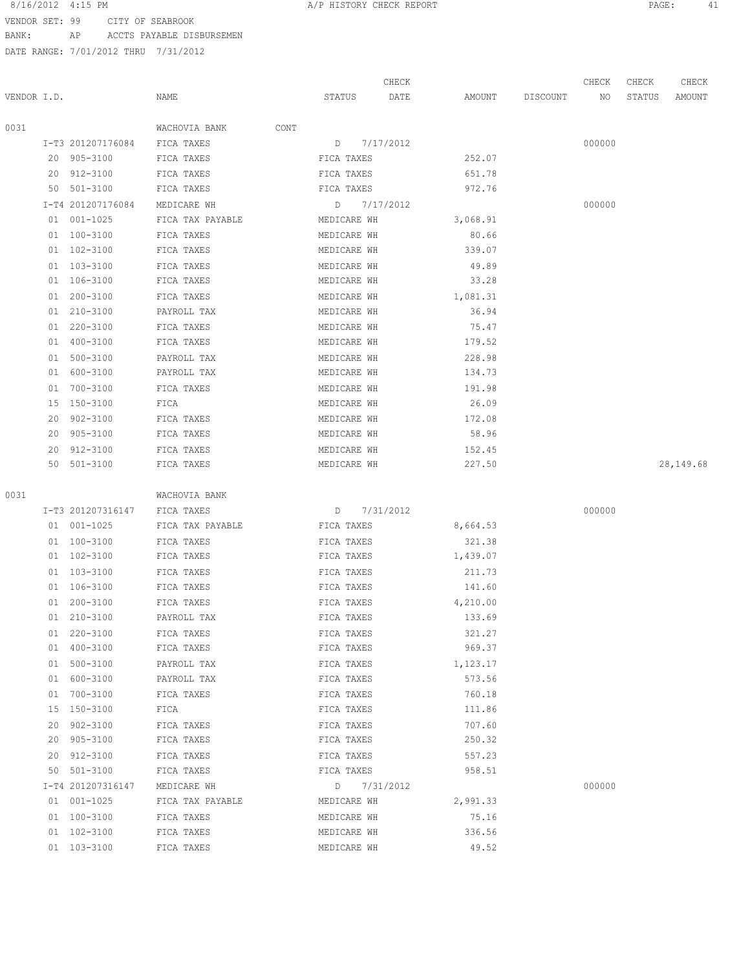VENDOR SET: 99 CITY OF SEABROOK

BANK: AP ACCTS PAYABLE DISBURSEMEN

|             |    |                                  |                                 |                            | CHECK     |                 |          | CHECK  | CHECK  | CHECK     |
|-------------|----|----------------------------------|---------------------------------|----------------------------|-----------|-----------------|----------|--------|--------|-----------|
| VENDOR I.D. |    |                                  | NAME                            | STATUS                     | DATE      | AMOUNT          | DISCOUNT | NO     | STATUS | AMOUNT    |
|             |    |                                  |                                 |                            |           |                 |          |        |        |           |
| 0031        |    |                                  | WACHOVIA BANK<br>CONT           |                            |           |                 |          |        |        |           |
|             |    | I-T3 201207176084<br>20 905-3100 | FICA TAXES<br>FICA TAXES        | $D \qquad \qquad$          | 7/17/2012 | 252.07          |          | 000000 |        |           |
|             |    |                                  |                                 | FICA TAXES                 |           |                 |          |        |        |           |
|             |    | 20 912-3100                      | FICA TAXES                      | FICA TAXES                 |           | 651.78          |          |        |        |           |
|             |    | 50 501-3100<br>I-T4 201207176084 | FICA TAXES                      | FICA TAXES                 |           | 972.76          |          |        |        |           |
|             |    | 01 001-1025                      | MEDICARE WH<br>FICA TAX PAYABLE | D                          | 7/17/2012 | 3,068.91        |          | 000000 |        |           |
|             |    |                                  |                                 | MEDICARE WH                |           |                 |          |        |        |           |
|             |    | 01 100-3100<br>01 102-3100       | FICA TAXES                      | MEDICARE WH<br>MEDICARE WH |           | 80.66<br>339.07 |          |        |        |           |
|             |    |                                  | FICA TAXES                      |                            |           |                 |          |        |        |           |
|             |    | 01 103-3100                      | FICA TAXES                      | MEDICARE WH                |           | 49.89           |          |        |        |           |
|             |    | 01 106-3100                      | FICA TAXES                      | MEDICARE WH                |           | 33.28           |          |        |        |           |
|             | 01 | 200-3100                         | FICA TAXES                      | MEDICARE WH                |           | 1,081.31        |          |        |        |           |
|             |    | 01 210-3100                      | PAYROLL TAX                     | MEDICARE WH                |           | 36.94           |          |        |        |           |
|             |    | 01 220-3100                      | FICA TAXES                      | MEDICARE WH                |           | 75.47           |          |        |        |           |
|             |    | 01 400-3100                      | FICA TAXES                      | MEDICARE WH                |           | 179.52          |          |        |        |           |
|             | 01 | 500-3100                         | PAYROLL TAX                     | MEDICARE WH                |           | 228.98          |          |        |        |           |
|             |    | 01 600-3100                      | PAYROLL TAX                     | MEDICARE WH                |           | 134.73          |          |        |        |           |
|             | 01 | 700-3100                         | FICA TAXES                      | MEDICARE WH                |           | 191.98          |          |        |        |           |
|             | 15 | 150-3100                         | FICA                            | MEDICARE WH                |           | 26.09           |          |        |        |           |
|             | 20 | 902-3100                         | FICA TAXES                      | MEDICARE WH                |           | 172.08          |          |        |        |           |
|             |    | 20 905-3100                      | FICA TAXES                      | MEDICARE WH                |           | 58.96           |          |        |        |           |
|             |    | 20 912-3100                      | FICA TAXES                      | MEDICARE WH                |           | 152.45          |          |        |        |           |
|             |    | 50 501-3100                      | FICA TAXES                      | MEDICARE WH                |           | 227.50          |          |        |        | 28,149.68 |
| 0031        |    |                                  |                                 |                            |           |                 |          |        |        |           |
|             |    |                                  | WACHOVIA BANK                   |                            |           |                 |          |        |        |           |
|             |    | I-T3 201207316147                | FICA TAXES                      | $D \qquad \qquad$          | 7/31/2012 |                 |          | 000000 |        |           |
|             |    | 01 001-1025                      | FICA TAX PAYABLE                | FICA TAXES                 |           | 8,664.53        |          |        |        |           |
|             |    | 01 100-3100                      | FICA TAXES                      | FICA TAXES                 |           | 321.38          |          |        |        |           |
|             |    | 01 102-3100                      | FICA TAXES                      | FICA TAXES                 |           | 1,439.07        |          |        |        |           |
|             |    | 01 103-3100                      | FICA TAXES                      | FICA TAXES                 |           | 211.73          |          |        |        |           |
|             |    | 01 106-3100                      | FICA TAXES                      | FICA TAXES                 |           | 141.60          |          |        |        |           |
|             | 01 | 200-3100                         | FICA TAXES                      | FICA TAXES                 |           | 4,210.00        |          |        |        |           |
|             |    | 01 210-3100                      | PAYROLL TAX                     | FICA TAXES                 |           | 133.69          |          |        |        |           |
|             |    | 01 220-3100                      | FICA TAXES                      | FICA TAXES                 |           | 321.27          |          |        |        |           |
|             |    | 01 400-3100                      | FICA TAXES                      | FICA TAXES                 |           | 969.37          |          |        |        |           |
|             |    | 01 500-3100                      | PAYROLL TAX                     | FICA TAXES                 |           | 1,123.17        |          |        |        |           |
|             |    | 01 600-3100                      | PAYROLL TAX                     | FICA TAXES                 |           | 573.56          |          |        |        |           |
|             | 01 | 700-3100                         | FICA TAXES                      | FICA TAXES                 |           | 760.18          |          |        |        |           |
|             |    | 15 150-3100                      | FICA                            | FICA TAXES                 |           | 111.86          |          |        |        |           |
|             | 20 | $902 - 3100$                     | FICA TAXES                      | FICA TAXES                 |           | 707.60          |          |        |        |           |
|             | 20 | 905-3100                         | FICA TAXES                      | FICA TAXES                 |           | 250.32          |          |        |        |           |
|             |    | 20 912-3100                      | FICA TAXES                      | FICA TAXES                 |           | 557.23          |          |        |        |           |
|             |    | 50 501-3100                      | FICA TAXES                      | FICA TAXES                 |           | 958.51          |          |        |        |           |
|             |    | I-T4 201207316147                | MEDICARE WH                     | D                          | 7/31/2012 |                 |          | 000000 |        |           |
|             |    | 01 001-1025                      | FICA TAX PAYABLE                | MEDICARE WH                |           | 2,991.33        |          |        |        |           |
|             |    | 01 100-3100                      | FICA TAXES                      | MEDICARE WH                |           | 75.16           |          |        |        |           |
|             |    | 01 102-3100                      | FICA TAXES                      | MEDICARE WH                |           | 336.56          |          |        |        |           |
|             |    | 01 103-3100                      | FICA TAXES                      | MEDICARE WH                |           | 49.52           |          |        |        |           |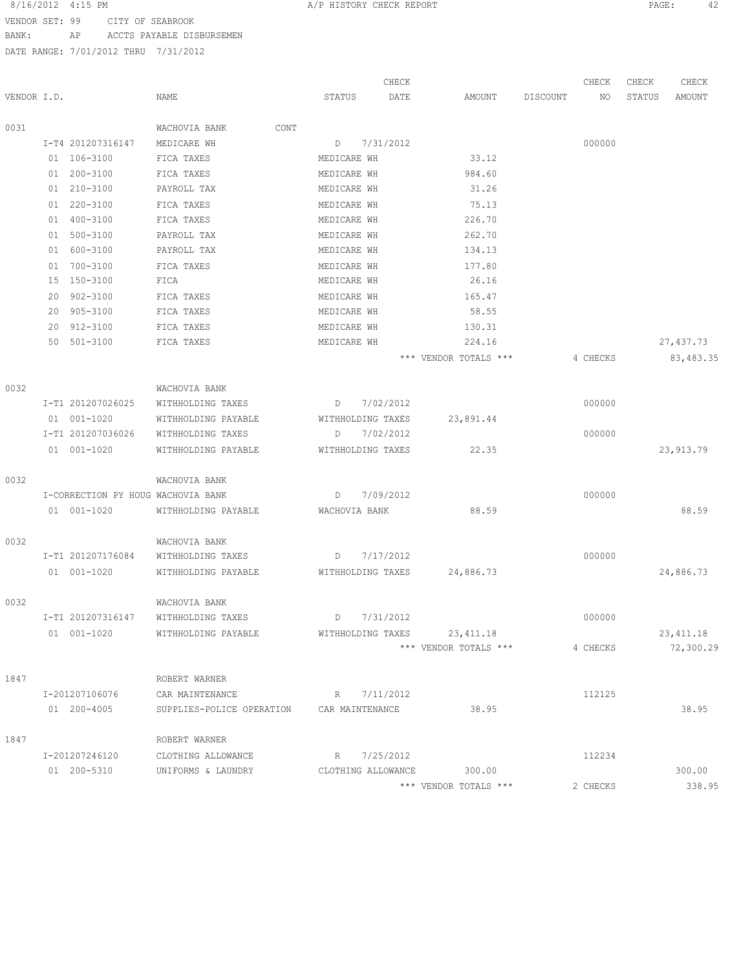VENDOR SET: 99 CITY OF SEABROOK BANK: AP ACCTS PAYABLE DISBURSEMEN

|             |    |                                    |                           |      |                   | CHECK              |                       |          | CHECK    | CHECK  | CHECK      |
|-------------|----|------------------------------------|---------------------------|------|-------------------|--------------------|-----------------------|----------|----------|--------|------------|
| VENDOR I.D. |    |                                    | NAME                      |      | STATUS            | DATE               | AMOUNT                | DISCOUNT | ΝO       | STATUS | AMOUNT     |
| 0031        |    |                                    | WACHOVIA BANK             | CONT |                   |                    |                       |          |          |        |            |
|             |    | I-T4 201207316147                  | MEDICARE WH               |      | D                 | 7/31/2012          |                       |          | 000000   |        |            |
|             |    | 01 106-3100                        | FICA TAXES                |      | MEDICARE WH       |                    | 33.12                 |          |          |        |            |
|             | 01 | 200-3100                           | FICA TAXES                |      | MEDICARE WH       |                    | 984.60                |          |          |        |            |
|             | 01 | 210-3100                           | PAYROLL TAX               |      | MEDICARE WH       |                    | 31.26                 |          |          |        |            |
|             |    | 01 220-3100                        | FICA TAXES                |      | MEDICARE WH       |                    | 75.13                 |          |          |        |            |
|             | 01 | 400-3100                           | FICA TAXES                |      | MEDICARE WH       |                    | 226.70                |          |          |        |            |
|             | 01 | 500-3100                           | PAYROLL TAX               |      | MEDICARE WH       |                    | 262.70                |          |          |        |            |
|             | 01 | 600-3100                           | PAYROLL TAX               |      | MEDICARE WH       |                    | 134.13                |          |          |        |            |
|             | 01 | 700-3100                           | FICA TAXES                |      | MEDICARE WH       |                    | 177.80                |          |          |        |            |
|             | 15 | 150-3100                           | FICA                      |      | MEDICARE WH       |                    | 26.16                 |          |          |        |            |
|             | 20 | 902-3100                           | FICA TAXES                |      | MEDICARE WH       |                    | 165.47                |          |          |        |            |
|             | 20 | 905-3100                           | FICA TAXES                |      | MEDICARE WH       |                    | 58.55                 |          |          |        |            |
|             | 20 | 912-3100                           | FICA TAXES                |      | MEDICARE WH       |                    | 130.31                |          |          |        |            |
|             |    | 50 501-3100                        | FICA TAXES                |      | MEDICARE WH       |                    | 224.16                |          |          |        | 27,437.73  |
|             |    |                                    |                           |      |                   |                    | *** VENDOR TOTALS *** |          | 4 CHECKS |        | 83, 483.35 |
| 0032        |    |                                    | WACHOVIA BANK             |      |                   |                    |                       |          |          |        |            |
|             |    | I-T1 201207026025                  | WITHHOLDING TAXES         |      | D                 | 7/02/2012          |                       |          | 000000   |        |            |
|             |    | 01 001-1020                        | WITHHOLDING PAYABLE       |      | WITHHOLDING TAXES |                    | 23,891.44             |          |          |        |            |
|             |    | I-T1 201207036026                  | WITHHOLDING TAXES         |      | D                 | 7/02/2012          |                       |          | 000000   |        |            |
|             |    | 01 001-1020                        |                           |      |                   |                    | 22.35                 |          |          |        |            |
|             |    |                                    | WITHHOLDING PAYABLE       |      | WITHHOLDING TAXES |                    |                       |          |          |        | 23, 913.79 |
| 0032        |    |                                    | WACHOVIA BANK             |      |                   |                    |                       |          |          |        |            |
|             |    | I-CORRECTION PY HOUG WACHOVIA BANK |                           |      | D                 | 7/09/2012          |                       |          | 000000   |        |            |
|             |    | 01 001-1020                        | WITHHOLDING PAYABLE       |      | WACHOVIA BANK     |                    | 88.59                 |          |          |        | 88.59      |
| 0032        |    |                                    | WACHOVIA BANK             |      |                   |                    |                       |          |          |        |            |
|             |    | I-T1 201207176084                  | WITHHOLDING TAXES         |      | D                 | 7/17/2012          |                       |          | 000000   |        |            |
|             |    | 01 001-1020                        | WITHHOLDING PAYABLE       |      | WITHHOLDING TAXES |                    | 24,886.73             |          |          |        | 24,886.73  |
|             |    |                                    |                           |      |                   |                    |                       |          |          |        |            |
| 0032        |    |                                    | WACHOVIA BANK             |      |                   |                    |                       |          |          |        |            |
|             |    | I-T1 201207316147                  | WITHHOLDING TAXES         |      | D                 | 7/31/2012          |                       |          | 000000   |        |            |
|             |    | 01 001-1020                        | WITHHOLDING PAYABLE       |      | WITHHOLDING TAXES |                    | 23, 411.18            |          |          |        | 23, 411.18 |
|             |    |                                    |                           |      |                   |                    | *** VENDOR TOTALS *** |          | 4 CHECKS |        | 72,300.29  |
| 1847        |    |                                    | ROBERT WARNER             |      |                   |                    |                       |          |          |        |            |
|             |    | I-201207106076                     | CAR MAINTENANCE           |      | R                 | 7/11/2012          |                       |          | 112125   |        |            |
|             |    | 01 200-4005                        | SUPPLIES-POLICE OPERATION |      | CAR MAINTENANCE   |                    | 38.95                 |          |          |        | 38.95      |
| 1847        |    |                                    | ROBERT WARNER             |      |                   |                    |                       |          |          |        |            |
|             |    | I-201207246120                     | CLOTHING ALLOWANCE        |      | R.                | 7/25/2012          |                       |          | 112234   |        |            |
|             |    | 01 200-5310                        | UNIFORMS & LAUNDRY        |      |                   | CLOTHING ALLOWANCE | 300.00                |          |          |        | 300.00     |
|             |    |                                    |                           |      |                   |                    | *** VENDOR TOTALS *** |          | 2 CHECKS |        | 338.95     |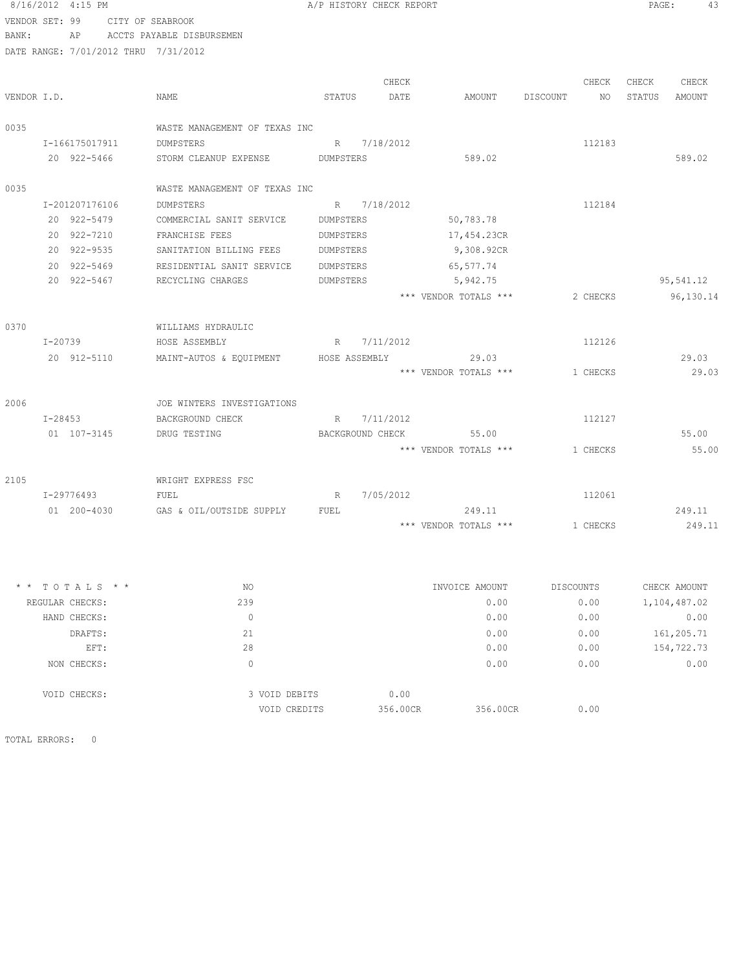|                | 8/16/2012 4:15 PM |                  |                                       |           | A/P HISTORY CHECK REPORT |                                   |                                | PAGE:           | 43              |
|----------------|-------------------|------------------|---------------------------------------|-----------|--------------------------|-----------------------------------|--------------------------------|-----------------|-----------------|
| VENDOR SET: 99 |                   | CITY OF SEABROOK |                                       |           |                          |                                   |                                |                 |                 |
| BANK:          |                   |                  | AP ACCTS PAYABLE DISBURSEMEN          |           |                          |                                   |                                |                 |                 |
|                |                   |                  | DATE RANGE: 7/01/2012 THRU 7/31/2012  |           |                          |                                   |                                |                 |                 |
|                |                   |                  |                                       |           |                          |                                   |                                |                 |                 |
| VENDOR I.D.    |                   |                  | NAME                                  | STATUS    | CHECK<br>DATE            |                                   | CHECK<br>AMOUNT DISCOUNT<br>NO | CHECK<br>STATUS | CHECK<br>AMOUNT |
|                |                   |                  |                                       |           |                          |                                   |                                |                 |                 |
| 0035           |                   |                  | WASTE MANAGEMENT OF TEXAS INC         |           |                          |                                   |                                |                 |                 |
|                |                   | I-166175017911   | DUMPSTERS                             | R         | 7/18/2012                |                                   | 112183                         |                 |                 |
|                |                   | 20 922-5466      | STORM CLEANUP EXPENSE DUMPSTERS       |           |                          | 589.02                            |                                |                 | 589.02          |
| 0035           |                   |                  | WASTE MANAGEMENT OF TEXAS INC         |           |                          |                                   |                                |                 |                 |
|                | I-201207176106    |                  | DUMPSTERS                             |           | R 7/18/2012              |                                   | 112184                         |                 |                 |
|                | 20 922-5479       |                  | COMMERCIAL SANIT SERVICE              | DUMPSTERS |                          | 50,783.78                         |                                |                 |                 |
|                | 20 922-7210       |                  | FRANCHISE FEES                        | DUMPSTERS |                          | 17,454.23CR                       |                                |                 |                 |
|                | 20 922-9535       |                  | SANITATION BILLING FEES               | DUMPSTERS |                          | 9,308.92CR                        |                                |                 |                 |
|                | 20 922-5469       |                  |                                       |           |                          | 65,577.74                         |                                |                 |                 |
|                | 20 922-5467       |                  | RESIDENTIAL SANIT SERVICE DUMPSTERS   | DUMPSTERS |                          |                                   |                                |                 | 95,541.12       |
|                |                   |                  | RECYCLING CHARGES                     |           |                          | 5,942.75<br>*** VENDOR TOTALS *** |                                |                 |                 |
|                |                   |                  |                                       |           |                          |                                   | 2 CHECKS                       |                 | 96,130.14       |
| 0370           |                   |                  | WILLIAMS HYDRAULIC                    |           |                          |                                   |                                |                 |                 |
|                |                   | $I - 20739$      | HOSE ASSEMBLY                         |           | R 7/11/2012              |                                   | 112126                         |                 |                 |
|                |                   | 20 912-5110      | MAINT-AUTOS & EQUIPMENT HOSE ASSEMBLY |           |                          | 29.03                             |                                |                 | 29.03           |
|                |                   |                  |                                       |           |                          | *** VENDOR TOTALS ***             | 1 CHECKS                       |                 | 29.03           |
| 2006           |                   |                  | JOE WINTERS INVESTIGATIONS            |           |                          |                                   |                                |                 |                 |
|                | $I - 28453$       |                  | BACKGROUND CHECK                      |           | R 7/11/2012              |                                   | 112127                         |                 |                 |
|                | 01 107-3145       |                  | DRUG TESTING                          |           | BACKGROUND CHECK         | 55.00                             |                                |                 | 55.00           |
|                |                   |                  |                                       |           |                          | *** VENDOR TOTALS ***             | 1 CHECKS                       |                 | 55.00           |
|                |                   |                  |                                       |           |                          |                                   |                                |                 |                 |
| 2105           |                   |                  | WRIGHT EXPRESS FSC                    |           |                          |                                   |                                |                 |                 |
|                | I-29776493        |                  | FUEL                                  | R         | 7/05/2012                |                                   | 112061                         |                 |                 |
|                | 01 200-4030       |                  | GAS & OIL/OUTSIDE SUPPLY              | FUEL      |                          | 249.11                            |                                |                 | 249.11          |
|                |                   |                  |                                       |           |                          | *** VENDOR TOTALS ***             | 1 CHECKS                       |                 | 249.11          |
|                |                   |                  |                                       |           |                          |                                   |                                |                 |                 |
|                | * * TOTALS * *    |                  | NO                                    |           |                          | INVOICE AMOUNT                    | <b>DISCOUNTS</b>               |                 | CHECK AMOUNT    |
|                | REGULAR CHECKS:   |                  | 239                                   |           |                          | 0.00                              | 0.00                           |                 | 1,104,487.02    |
|                | HAND CHECKS:      |                  | $\circ$                               |           |                          | 0.00                              | 0.00                           |                 | 0.00            |
|                | DRAFTS:           |                  | 21                                    |           |                          | 0.00                              | 0.00                           |                 | 161,205.71      |
|                | EFT:              |                  | 28                                    |           |                          | 0.00                              | 0.00                           |                 | 154,722.73      |
|                | NON CHECKS:       |                  | $\circ$                               |           |                          | 0.00                              | 0.00                           |                 | 0.00            |
|                | VOID CHECKS:      |                  | 3 VOID DEBITS                         |           | 0.00                     |                                   |                                |                 |                 |

VOID CREDITS 356.00CR 356.00CR 356.00CR 356.00 UNITS

TOTAL ERRORS: 0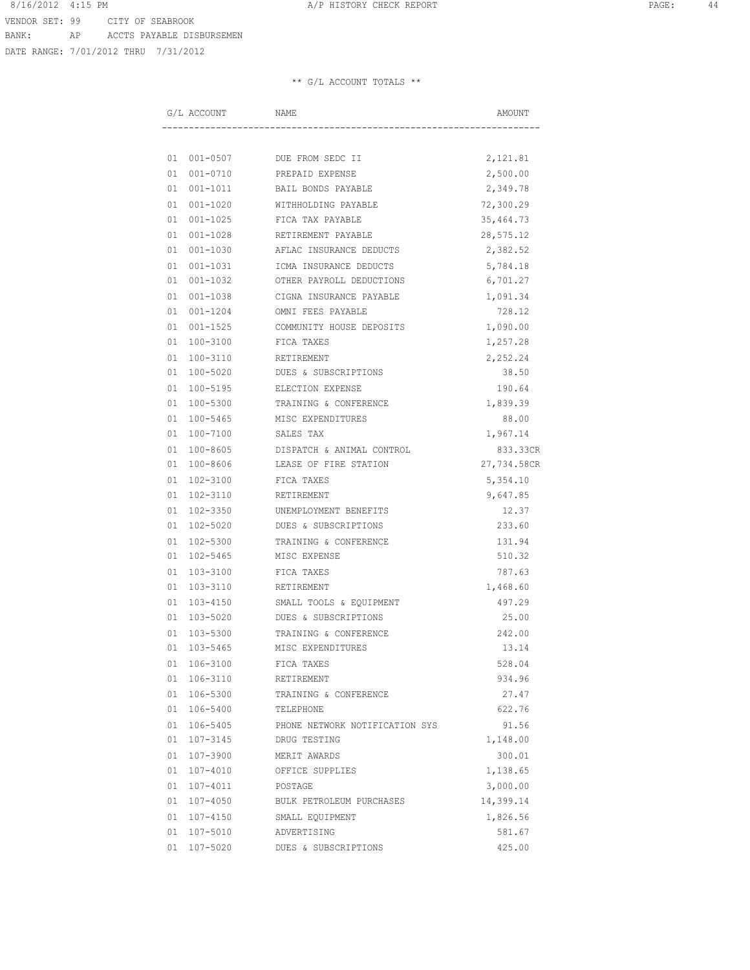DATE RANGE: 7/01/2012 THRU 7/31/2012

|    | G/L ACCOUNT  | NAME                           | AMOUNT      |
|----|--------------|--------------------------------|-------------|
|    |              |                                |             |
|    | 01 001-0507  | DUE FROM SEDC II               | 2,121.81    |
| 01 | $001 - 0710$ | PREPAID EXPENSE                | 2,500.00    |
|    | 01 001-1011  | BAIL BONDS PAYABLE             | 2,349.78    |
|    | 01 001-1020  | WITHHOLDING PAYABLE            | 72,300.29   |
|    | 01 001-1025  | FICA TAX PAYABLE               | 35, 464. 73 |
|    | 01 001-1028  | RETIREMENT PAYABLE             | 28,575.12   |
|    | 01 001-1030  | AFLAC INSURANCE DEDUCTS        | 2,382.52    |
|    | 01 001-1031  | ICMA INSURANCE DEDUCTS         | 5,784.18    |
|    | 01 001-1032  | OTHER PAYROLL DEDUCTIONS       | 6,701.27    |
|    | 01 001-1038  | CIGNA INSURANCE PAYABLE        | 1,091.34    |
|    | 01 001-1204  | OMNI FEES PAYABLE              | 728.12      |
|    | 01 001-1525  | COMMUNITY HOUSE DEPOSITS       | 1,090.00    |
|    | 01 100-3100  | FICA TAXES                     | 1,257.28    |
|    | 01 100-3110  | RETIREMENT                     | 2,252.24    |
|    | 01 100-5020  | DUES & SUBSCRIPTIONS           | 38.50       |
|    | 01 100-5195  | ELECTION EXPENSE               | 190.64      |
|    | 01 100-5300  | TRAINING & CONFERENCE          | 1,839.39    |
|    | 01 100-5465  | MISC EXPENDITURES              | 88.00       |
|    | 01 100-7100  | SALES TAX                      | 1,967.14    |
|    | 01 100-8605  | DISPATCH & ANIMAL CONTROL      | 833.33CR    |
|    | 01 100-8606  | LEASE OF FIRE STATION          | 27,734.58CR |
|    | 01 102-3100  | FICA TAXES                     | 5,354.10    |
|    | 01 102-3110  | RETIREMENT                     | 9,647.85    |
|    | 01 102-3350  | UNEMPLOYMENT BENEFITS          | 12.37       |
|    | 01 102-5020  | DUES & SUBSCRIPTIONS           | 233.60      |
|    | 01 102-5300  | TRAINING & CONFERENCE          | 131.94      |
|    | 01 102-5465  | MISC EXPENSE                   | 510.32      |
|    | 01 103-3100  | FICA TAXES                     | 787.63      |
|    | 01 103-3110  | RETIREMENT                     | 1,468.60    |
|    | 01 103-4150  | SMALL TOOLS & EQUIPMENT        | 497.29      |
|    | 01 103-5020  | DUES & SUBSCRIPTIONS           | 25.00       |
|    | 01 103-5300  | TRAINING & CONFERENCE          | 242.00      |
|    | 01 103-5465  | MISC EXPENDITURES              | 13.14       |
|    | 01 106-3100  | FICA TAXES                     | 528.04      |
|    | 01 106-3110  | RETIREMENT                     | 934.96      |
|    | 01 106-5300  | TRAINING & CONFERENCE          | 27.47       |
|    | 01 106-5400  | TELEPHONE                      | 622.76      |
|    | 01 106-5405  | PHONE NETWORK NOTIFICATION SYS | 91.56       |
|    | 01 107-3145  | DRUG TESTING                   | 1,148.00    |
|    | 01 107-3900  | MERIT AWARDS                   | 300.01      |
|    | 01 107-4010  | OFFICE SUPPLIES                | 1,138.65    |
|    | 01 107-4011  | POSTAGE                        | 3,000.00    |
|    | 01 107-4050  | BULK PETROLEUM PURCHASES       | 14,399.14   |
|    | 01 107-4150  | SMALL EQUIPMENT                | 1,826.56    |
|    | 01 107-5010  | ADVERTISING                    | 581.67      |
|    | 01 107-5020  | DUES & SUBSCRIPTIONS           | 425.00      |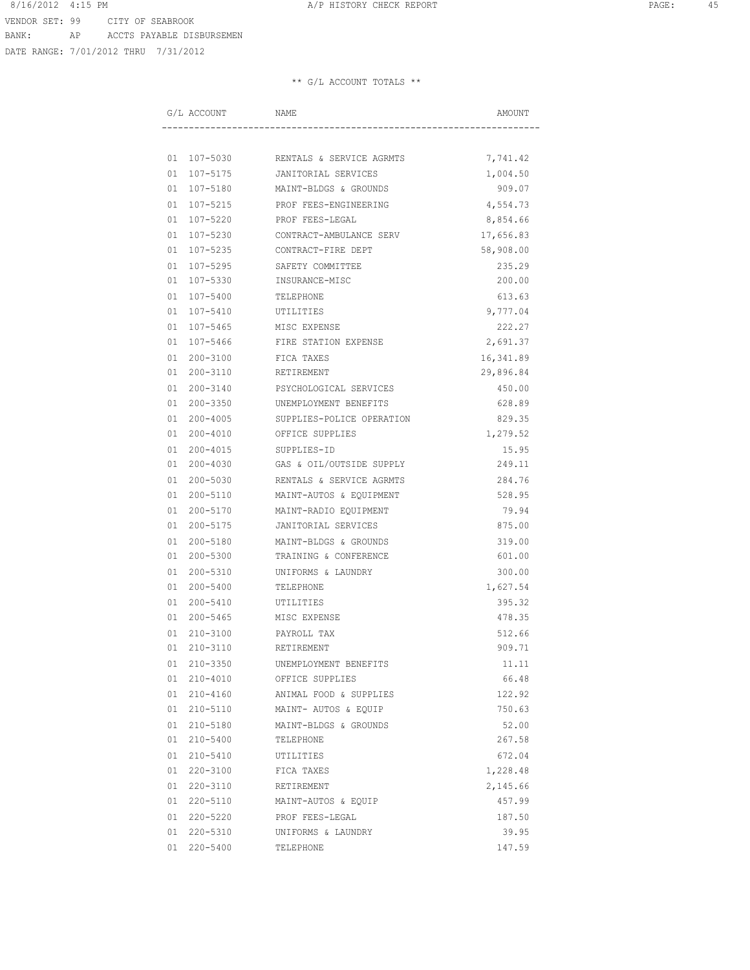DATE RANGE: 7/01/2012 THRU 7/31/2012

| G/L ACCOUNT    | NAME                      | AMOUNT    |
|----------------|---------------------------|-----------|
|                |                           |           |
| 01 107-5030    | RENTALS & SERVICE AGRMTS  | 7,741.42  |
| 01 107-5175    | JANITORIAL SERVICES       | 1,004.50  |
| 01 107-5180    | MAINT-BLDGS & GROUNDS     | 909.07    |
| 01 107-5215    | PROF FEES-ENGINEERING     | 4,554.73  |
| 01 107-5220    | PROF FEES-LEGAL           | 8,854.66  |
| 01 107-5230    | CONTRACT-AMBULANCE SERV   | 17,656.83 |
| 01 107-5235    | CONTRACT-FIRE DEPT        | 58,908.00 |
| 01 107-5295    | SAFETY COMMITTEE          | 235.29    |
| 01 107-5330    | INSURANCE-MISC            | 200.00    |
| 01 107-5400    | TELEPHONE                 | 613.63    |
| 01 107-5410    | UTILITIES                 | 9,777.04  |
| 01 107-5465    | MISC EXPENSE              | 222.27    |
| 01 107-5466    | FIRE STATION EXPENSE      | 2,691.37  |
| 01 200-3100    | FICA TAXES                | 16,341.89 |
| 01 200-3110    | RETIREMENT                | 29,896.84 |
| 01 200-3140    | PSYCHOLOGICAL SERVICES    | 450.00    |
| 01 200-3350    | UNEMPLOYMENT BENEFITS     | 628.89    |
| 01 200-4005    | SUPPLIES-POLICE OPERATION | 829.35    |
| 01 200-4010    | OFFICE SUPPLIES           | 1,279.52  |
| 01 200-4015    | SUPPLIES-ID               | 15.95     |
| 01 200-4030    | GAS & OIL/OUTSIDE SUPPLY  | 249.11    |
| 01 200-5030    | RENTALS & SERVICE AGRMTS  | 284.76    |
| 01 200-5110    | MAINT-AUTOS & EQUIPMENT   | 528.95    |
| 01 200-5170    | MAINT-RADIO EQUIPMENT     | 79.94     |
| 01 200-5175    | JANITORIAL SERVICES       | 875.00    |
| 01 200-5180    | MAINT-BLDGS & GROUNDS     | 319.00    |
| 01 200-5300    | TRAINING & CONFERENCE     | 601.00    |
| 01 200-5310    | UNIFORMS & LAUNDRY        | 300.00    |
| 01 200-5400    | TELEPHONE                 | 1,627.54  |
| 01 200-5410    | UTILITIES                 | 395.32    |
| 01 200-5465    | MISC EXPENSE              | 478.35    |
| 01<br>210-3100 | PAYROLL TAX               | 512.66    |
| 01 210-3110    | RETIREMENT                | 909.71    |
| 01 210-3350    | UNEMPLOYMENT BENEFITS     | 11.11     |
| 01 210-4010    | OFFICE SUPPLIES           | 66.48     |
| 01 210-4160    | ANIMAL FOOD & SUPPLIES    | 122.92    |
| 01 210-5110    | MAINT- AUTOS & EQUIP      | 750.63    |
| 01 210-5180    | MAINT-BLDGS & GROUNDS     | 52.00     |
| 01 210-5400    | TELEPHONE                 | 267.58    |
| 01 210-5410    | UTILITIES                 | 672.04    |
| 01 220-3100    | FICA TAXES                | 1,228.48  |
| 01 220-3110    | RETIREMENT                | 2,145.66  |
| 01 220-5110    | MAINT-AUTOS & EQUIP       | 457.99    |
| 01 220-5220    | PROF FEES-LEGAL           | 187.50    |
| 01 220-5310    | UNIFORMS & LAUNDRY        | 39.95     |
| 01 220-5400    | TELEPHONE                 | 147.59    |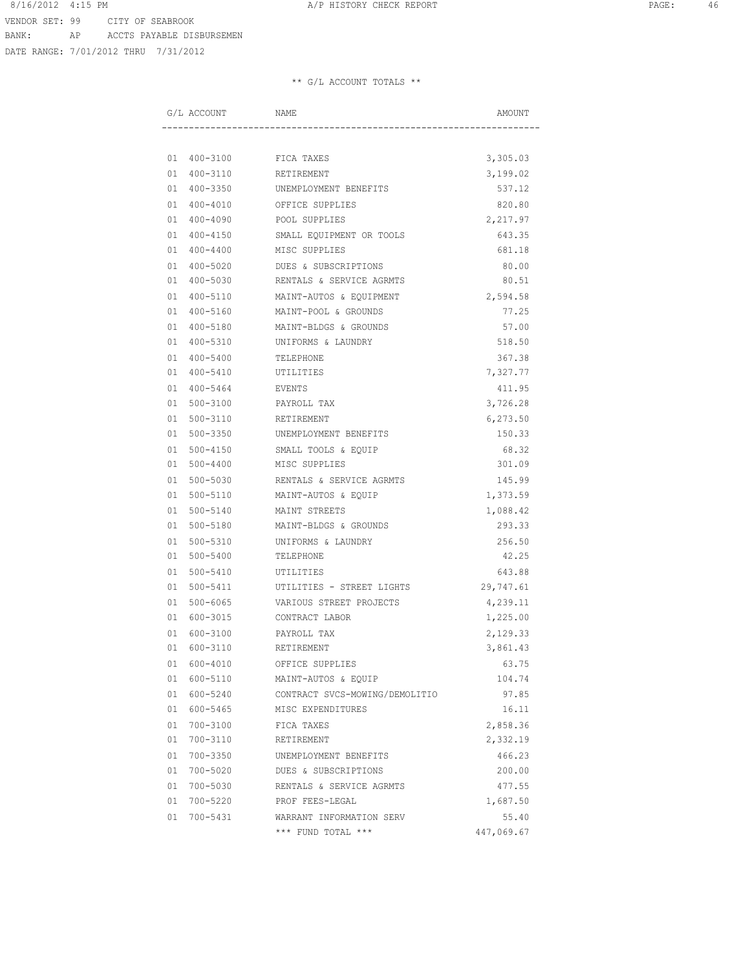DATE RANGE: 7/01/2012 THRU 7/31/2012

| G/L ACCOUNT    | NAME                           | AMOUNT     |
|----------------|--------------------------------|------------|
|                |                                |            |
| 01 400-3100    | FICA TAXES                     | 3,305.03   |
| 01 400-3110    | RETIREMENT                     | 3,199.02   |
| 01 400-3350    | UNEMPLOYMENT BENEFITS          | 537.12     |
| 01 400-4010    | OFFICE SUPPLIES                | 820.80     |
| 01 400-4090    | POOL SUPPLIES                  | 2,217.97   |
| 01 400-4150    | SMALL EQUIPMENT OR TOOLS       | 643.35     |
| 01 400-4400    | MISC SUPPLIES                  | 681.18     |
| 01 400-5020    | DUES & SUBSCRIPTIONS           | 80.00      |
| 01 400-5030    | RENTALS & SERVICE AGRMTS       | 80.51      |
| 01 400-5110    | MAINT-AUTOS & EQUIPMENT        | 2,594.58   |
| 01 400-5160    | MAINT-POOL & GROUNDS           | 77.25      |
| 01 400-5180    | MAINT-BLDGS & GROUNDS          | 57.00      |
| 01 400-5310    | UNIFORMS & LAUNDRY             | 518.50     |
| 400-5400<br>01 | TELEPHONE                      | 367.38     |
| 01 400-5410    | UTILITIES                      | 7,327.77   |
| 01 400-5464    | EVENTS                         | 411.95     |
| 500-3100<br>01 | PAYROLL TAX                    | 3,726.28   |
| 01<br>500-3110 | RETIREMENT                     | 6,273.50   |
| 01 500-3350    | UNEMPLOYMENT BENEFITS          | 150.33     |
| 01 500-4150    | SMALL TOOLS & EQUIP            | 68.32      |
| 01 500-4400    | MISC SUPPLIES                  | 301.09     |
| 01 500-5030    | RENTALS & SERVICE AGRMTS       | 145.99     |
| 01 500-5110    | MAINT-AUTOS & EQUIP            | 1,373.59   |
| 01 500-5140    | MAINT STREETS                  | 1,088.42   |
| 01 500-5180    | MAINT-BLDGS & GROUNDS          | 293.33     |
| 500-5310<br>01 | UNIFORMS & LAUNDRY             | 256.50     |
| 01<br>500-5400 | TELEPHONE                      | 42.25      |
| 01<br>500-5410 | UTILITIES                      | 643.88     |
| 01<br>500-5411 | UTILITIES - STREET LIGHTS      | 29,747.61  |
| 500-6065<br>01 | VARIOUS STREET PROJECTS        | 4,239.11   |
| 01 600-3015    | CONTRACT LABOR                 | 1,225.00   |
| 600-3100<br>01 | PAYROLL TAX                    | 2,129.33   |
| 01 600-3110    | RETIREMENT                     | 3,861.43   |
| 01 600-4010    | OFFICE SUPPLIES                | 63.75      |
| 01 600-5110    | MAINT-AUTOS & EQUIP            | 104.74     |
| 01 600-5240    | CONTRACT SVCS-MOWING/DEMOLITIO | 97.85      |
| 01 600-5465    | MISC EXPENDITURES              | 16.11      |
| 01 700-3100    | FICA TAXES                     | 2,858.36   |
| 01 700-3110    | RETIREMENT                     | 2,332.19   |
| 01 700-3350    | UNEMPLOYMENT BENEFITS          | 466.23     |
| 01 700-5020    | DUES & SUBSCRIPTIONS           | 200.00     |
| 01 700-5030    | RENTALS & SERVICE AGRMTS       | 477.55     |
| 01 700-5220    | PROF FEES-LEGAL                | 1,687.50   |
| 01 700-5431    | WARRANT INFORMATION SERV       | 55.40      |
|                | *** FUND TOTAL ***             | 447,069.67 |
|                |                                |            |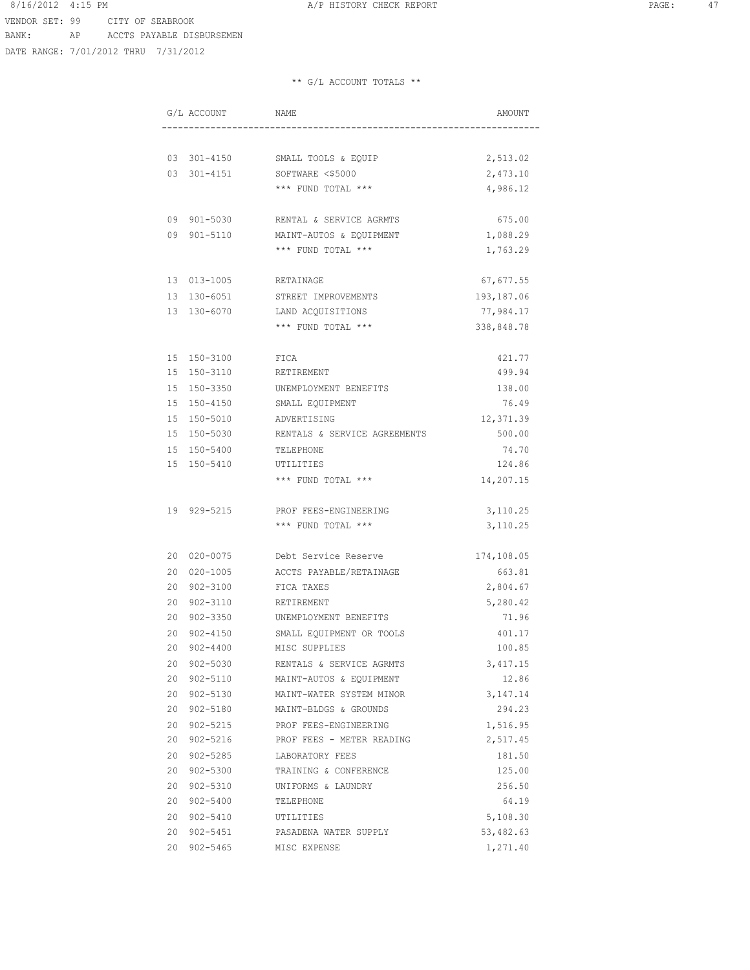VENDOR SET: 99 CITY OF SEABROOK

BANK: AP ACCTS PAYABLE DISBURSEMEN

DATE RANGE: 7/01/2012 THRU 7/31/2012

|    | G/L ACCOUNT  | NAME                            | AMOUNT     |
|----|--------------|---------------------------------|------------|
|    |              |                                 |            |
|    |              | 03 301-4150 SMALL TOOLS & EQUIP | 2,513.02   |
|    | 03 301-4151  | SOFTWARE <\$5000                | 2,473.10   |
|    |              | *** FUND TOTAL ***              | 4,986.12   |
|    | 09 901-5030  | RENTAL & SERVICE AGRMTS         | 675.00     |
|    | 09 901-5110  | MAINT-AUTOS & EQUIPMENT         | 1,088.29   |
|    |              | *** FUND TOTAL ***              | 1,763.29   |
|    | 13 013-1005  | RETAINAGE                       | 67,677.55  |
|    | 13 130-6051  | STREET IMPROVEMENTS             | 193,187.06 |
|    | 13 130-6070  | LAND ACQUISITIONS               | 77,984.17  |
|    |              | *** FUND TOTAL ***              | 338,848.78 |
|    | 15 150-3100  | FICA                            | 421.77     |
|    | 15 150-3110  | RETIREMENT                      | 499.94     |
|    | 15 150-3350  | UNEMPLOYMENT BENEFITS           | 138.00     |
|    | 15 150-4150  | SMALL EQUIPMENT                 | 76.49      |
|    | 15 150-5010  | ADVERTISING                     | 12,371.39  |
|    | 15 150-5030  | RENTALS & SERVICE AGREEMENTS    | 500.00     |
|    | 15 150-5400  | TELEPHONE                       | 74.70      |
|    | 15 150-5410  | UTILITIES                       | 124.86     |
|    |              | *** FUND TOTAL ***              | 14,207.15  |
|    | 19 929-5215  | PROF FEES-ENGINEERING           | 3,110.25   |
|    |              | *** FUND TOTAL ***              | 3,110.25   |
|    | 20 020-0075  | Debt Service Reserve            | 174,108.05 |
| 20 | 020-1005     | ACCTS PAYABLE/RETAINAGE         | 663.81     |
| 20 | 902-3100     | FICA TAXES                      | 2,804.67   |
| 20 | $902 - 3110$ | RETIREMENT                      | 5,280.42   |
| 20 | $902 - 3350$ | UNEMPLOYMENT BENEFITS           | 71.96      |
| 20 | 902-4150     | SMALL EQUIPMENT OR TOOLS        | 401.17     |
|    | 20 902-4400  | MISC SUPPLIES                   | 100.85     |
|    | 20 902-5030  | RENTALS & SERVICE AGRMTS        | 3,417.15   |
|    | 20 902-5110  | MAINT-AUTOS & EQUIPMENT         | 12.86      |
|    | 20 902-5130  | MAINT-WATER SYSTEM MINOR        | 3,147.14   |
|    | 20 902-5180  | MAINT-BLDGS & GROUNDS           | 294.23     |
|    | 20 902-5215  | PROF FEES-ENGINEERING           | 1,516.95   |
|    | 20 902-5216  | PROF FEES - METER READING       | 2,517.45   |
|    | 20 902-5285  | LABORATORY FEES                 | 181.50     |
|    | 20 902-5300  | TRAINING & CONFERENCE           | 125.00     |
|    | 20 902-5310  | UNIFORMS & LAUNDRY              | 256.50     |
|    | 20 902-5400  | TELEPHONE                       | 64.19      |
|    | 20 902-5410  | UTILITIES                       | 5,108.30   |
|    | 20 902-5451  | PASADENA WATER SUPPLY           | 53,482.63  |
|    | 20 902-5465  | MISC EXPENSE                    | 1,271.40   |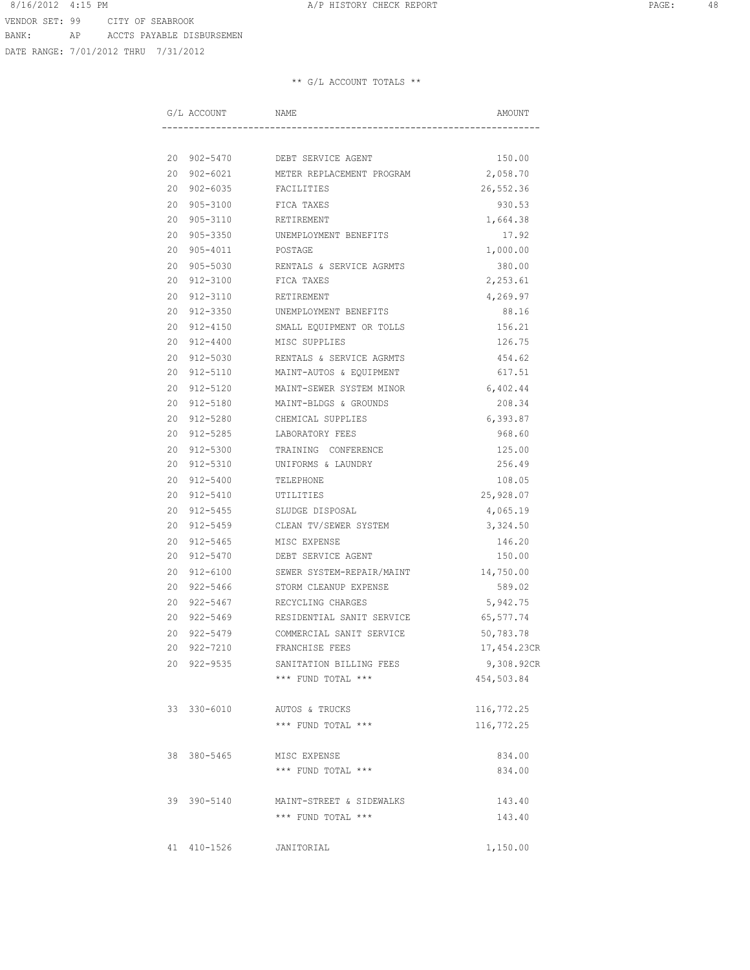DATE RANGE: 7/01/2012 THRU 7/31/2012

|    | G/L ACCOUNT | NAME                           | AMOUNT      |
|----|-------------|--------------------------------|-------------|
|    |             |                                |             |
|    |             | 20 902-5470 DEBT SERVICE AGENT | 150.00      |
|    | 20 902-6021 | METER REPLACEMENT PROGRAM      | 2,058.70    |
|    | 20 902-6035 | FACILITIES                     | 26,552.36   |
|    | 20 905-3100 | FICA TAXES                     | 930.53      |
| 20 | 905-3110    | RETIREMENT                     | 1,664.38    |
|    | 20 905-3350 | UNEMPLOYMENT BENEFITS          | 17.92       |
|    | 20 905-4011 | POSTAGE                        | 1,000.00    |
|    | 20 905-5030 | RENTALS & SERVICE AGRMTS       | 380.00      |
|    | 20 912-3100 | FICA TAXES                     | 2,253.61    |
|    | 20 912-3110 | RETIREMENT                     | 4,269.97    |
|    | 20 912-3350 | UNEMPLOYMENT BENEFITS          | 88.16       |
|    | 20 912-4150 | SMALL EQUIPMENT OR TOLLS       | 156.21      |
|    | 20 912-4400 | MISC SUPPLIES                  | 126.75      |
|    | 20 912-5030 | RENTALS & SERVICE AGRMTS       | 454.62      |
|    | 20 912-5110 | MAINT-AUTOS & EQUIPMENT        | 617.51      |
| 20 | 912-5120    | MAINT-SEWER SYSTEM MINOR       | 6,402.44    |
|    | 20 912-5180 | MAINT-BLDGS & GROUNDS          | 208.34      |
|    | 20 912-5280 | CHEMICAL SUPPLIES              | 6,393.87    |
|    | 20 912-5285 | LABORATORY FEES                | 968.60      |
|    | 20 912-5300 | TRAINING CONFERENCE            | 125.00      |
|    | 20 912-5310 | UNIFORMS & LAUNDRY             | 256.49      |
|    | 20 912-5400 | TELEPHONE                      | 108.05      |
|    | 20 912-5410 | UTILITIES                      | 25,928.07   |
|    | 20 912-5455 | SLUDGE DISPOSAL                | 4,065.19    |
|    | 20 912-5459 | CLEAN TV/SEWER SYSTEM          | 3,324.50    |
|    | 20 912-5465 | MISC EXPENSE                   | 146.20      |
| 20 | 912-5470    | DEBT SERVICE AGENT             | 150.00      |
| 20 | 912-6100    | SEWER SYSTEM-REPAIR/MAINT      | 14,750.00   |
| 20 | 922-5466    | STORM CLEANUP EXPENSE          | 589.02      |
| 20 | 922-5467    | RECYCLING CHARGES              | 5,942.75    |
|    | 20 922-5469 | RESIDENTIAL SANIT SERVICE      | 65,577.74   |
|    | 20 922-5479 | COMMERCIAL SANIT SERVICE       | 50,783.78   |
|    | 20 922-7210 | FRANCHISE FEES                 | 17,454.23CR |
|    | 20 922-9535 | SANITATION BILLING FEES        | 9,308.92CR  |
|    |             | *** FUND TOTAL ***             | 454,503.84  |
|    | 33 330-6010 | AUTOS & TRUCKS                 | 116,772.25  |
|    |             | *** FUND TOTAL ***             | 116,772.25  |
|    | 38 380-5465 | MISC EXPENSE                   | 834.00      |
|    |             | *** FUND TOTAL ***             | 834.00      |
|    | 39 390-5140 | MAINT-STREET & SIDEWALKS       | 143.40      |
|    |             | *** FUND TOTAL ***             | 143.40      |
|    | 41 410-1526 | JANITORIAL                     | 1,150.00    |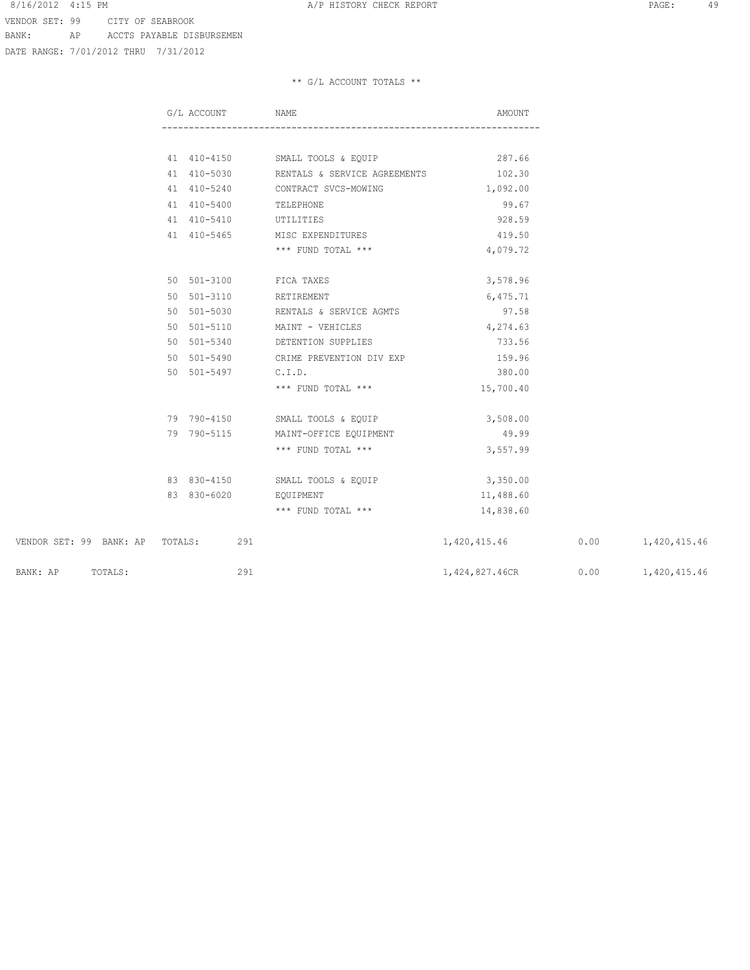DATE RANGE: 7/01/2012 THRU 7/31/2012

|                                 | G/L ACCOUNT NAME       |                                          | AMOUNT                             |  |
|---------------------------------|------------------------|------------------------------------------|------------------------------------|--|
|                                 |                        |                                          |                                    |  |
|                                 |                        | 41 410-4150 SMALL TOOLS & EQUIP          | 287.66                             |  |
|                                 |                        | 41 410-5030 RENTALS & SERVICE AGREEMENTS | 102.30                             |  |
|                                 |                        | 41 410-5240 CONTRACT SVCS-MOWING         | 1,092.00                           |  |
|                                 | 41 410-5400 TELEPHONE  |                                          | 99.67                              |  |
|                                 |                        | 41 410-5410 UTILITIES                    | 928.59                             |  |
|                                 |                        | 41 410-5465 MISC EXPENDITURES            | 419.50                             |  |
|                                 |                        | *** FUND TOTAL ***                       | 4,079.72                           |  |
|                                 | 50 501-3100 FICA TAXES |                                          | 3,578.96                           |  |
|                                 | 50 501-3110 RETIREMENT |                                          | 6,475.71                           |  |
|                                 |                        | 50 501-5030 RENTALS & SERVICE AGMTS      | 97.58                              |  |
|                                 |                        | 50 501-5110 MAINT - VEHICLES             | 4,274.63                           |  |
|                                 |                        | 50 501-5340 DETENTION SUPPLIES           | 733.56                             |  |
|                                 |                        | 50 501-5490 CRIME PREVENTION DIV EXP     | 159.96                             |  |
|                                 | 50 501-5497 C.I.D.     |                                          | 380.00                             |  |
|                                 |                        | *** FUND TOTAL ***                       | 15,700.40                          |  |
|                                 |                        | 79 790-4150 SMALL TOOLS & EQUIP          | 3,508.00                           |  |
|                                 |                        | 79 790-5115 MAINT-OFFICE EQUIPMENT       | 49.99                              |  |
|                                 |                        | *** FUND TOTAL ***                       | 3,557.99                           |  |
|                                 |                        | 83 830-4150 SMALL TOOLS & EQUIP          | 3,350.00                           |  |
|                                 | 83 830-6020 EQUIPMENT  |                                          | 11,488.60                          |  |
|                                 |                        | *** FUND TOTAL ***                       | 14,838.60                          |  |
| VENDOR SET: 99 BANK: AP TOTALS: | 291                    |                                          | 1,420,415.46   0.00   1,420,415.46 |  |
| BANK: AP TOTALS:                | 291                    |                                          | 1,424,827.46CR 0.00 1,420,415.46   |  |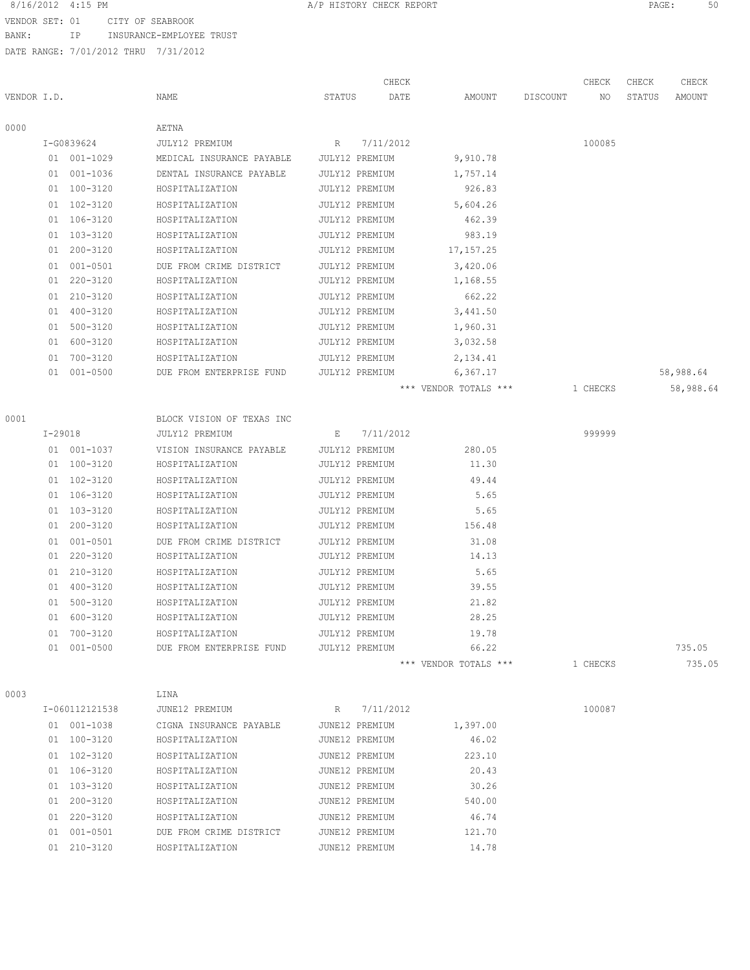VENDOR SET: 01 CITY OF SEABROOK

BANK: IP INSURANCE-EMPLOYEE TRUST

DATE RANGE: 7/01/2012 THRU 7/31/2012

|             |                |                           |                | CHECK     |                       |          | CHECK    | CHECK  | CHECK     |
|-------------|----------------|---------------------------|----------------|-----------|-----------------------|----------|----------|--------|-----------|
| VENDOR I.D. |                | NAME                      | STATUS         | DATE      | AMOUNT                | DISCOUNT | NO.      | STATUS | AMOUNT    |
| 0000        |                | AETNA                     |                |           |                       |          |          |        |           |
|             | I-G0839624     | JULY12 PREMIUM            | R              | 7/11/2012 |                       |          | 100085   |        |           |
|             | 01 001-1029    | MEDICAL INSURANCE PAYABLE | JULY12 PREMIUM |           | 9,910.78              |          |          |        |           |
|             | 01 001-1036    | DENTAL INSURANCE PAYABLE  | JULY12 PREMIUM |           | 1,757.14              |          |          |        |           |
|             | 01 100-3120    | HOSPITALIZATION           | JULY12 PREMIUM |           | 926.83                |          |          |        |           |
|             | 01 102-3120    | HOSPITALIZATION           | JULY12 PREMIUM |           | 5,604.26              |          |          |        |           |
|             | 01 106-3120    | HOSPITALIZATION           | JULY12 PREMIUM |           | 462.39                |          |          |        |           |
|             | 01 103-3120    | HOSPITALIZATION           | JULY12 PREMIUM |           | 983.19                |          |          |        |           |
|             | 01 200-3120    | HOSPITALIZATION           | JULY12 PREMIUM |           | 17, 157.25            |          |          |        |           |
|             | 01 001-0501    | DUE FROM CRIME DISTRICT   | JULY12 PREMIUM |           | 3,420.06              |          |          |        |           |
|             | 01 220-3120    | HOSPITALIZATION           | JULY12 PREMIUM |           | 1,168.55              |          |          |        |           |
|             | 01 210-3120    | HOSPITALIZATION           | JULY12 PREMIUM |           | 662.22                |          |          |        |           |
|             | 01 400-3120    | HOSPITALIZATION           | JULY12 PREMIUM |           | 3,441.50              |          |          |        |           |
|             | 01 500-3120    | HOSPITALIZATION           | JULY12 PREMIUM |           | 1,960.31              |          |          |        |           |
|             | 01 600-3120    | HOSPITALIZATION           | JULY12 PREMIUM |           | 3,032.58              |          |          |        |           |
|             | 01 700-3120    | HOSPITALIZATION           | JULY12 PREMIUM |           | 2,134.41              |          |          |        |           |
|             | 01 001-0500    | DUE FROM ENTERPRISE FUND  | JULY12 PREMIUM |           | 6,367.17              |          |          |        | 58,988.64 |
|             |                |                           |                |           | *** VENDOR TOTALS *** |          | 1 CHECKS |        | 58,988.64 |
| 0001        |                | BLOCK VISION OF TEXAS INC |                |           |                       |          |          |        |           |
|             | $I - 29018$    | JULY12 PREMIUM            | Е              | 7/11/2012 |                       |          | 999999   |        |           |
|             | 01 001-1037    | VISION INSURANCE PAYABLE  | JULY12 PREMIUM |           | 280.05                |          |          |        |           |
|             | 01 100-3120    | HOSPITALIZATION           | JULY12 PREMIUM |           | 11.30                 |          |          |        |           |
|             | 01 102-3120    | HOSPITALIZATION           | JULY12 PREMIUM |           | 49.44                 |          |          |        |           |
|             | 01 106-3120    | HOSPITALIZATION           | JULY12 PREMIUM |           | 5.65                  |          |          |        |           |
|             | 01 103-3120    | HOSPITALIZATION           | JULY12 PREMIUM |           | 5.65                  |          |          |        |           |
|             | 01 200-3120    | HOSPITALIZATION           | JULY12 PREMIUM |           | 156.48                |          |          |        |           |
|             | 01 001-0501    | DUE FROM CRIME DISTRICT   | JULY12 PREMIUM |           | 31.08                 |          |          |        |           |
|             | 01 220-3120    | HOSPITALIZATION           | JULY12 PREMIUM |           | 14.13                 |          |          |        |           |
|             | 01 210-3120    | HOSPITALIZATION           | JULY12 PREMIUM |           | 5.65                  |          |          |        |           |
|             | 01 400-3120    | HOSPITALIZATION           | JULY12 PREMIUM |           | 39.55                 |          |          |        |           |
|             | 01 500-3120    | HOSPITALIZATION           | JULY12 PREMIUM |           | 21.82                 |          |          |        |           |
|             | 01 600-3120    | HOSPITALIZATION           | JULY12 PREMIUM |           | 28.25                 |          |          |        |           |
|             | 01 700-3120    | HOSPITALIZATION           | JULY12 PREMIUM |           | 19.78                 |          |          |        |           |
|             | 01 001-0500    | DUE FROM ENTERPRISE FUND  | JULY12 PREMIUM |           | 66.22                 |          |          |        | 735.05    |
|             |                |                           |                |           | *** VENDOR TOTALS *** |          | 1 CHECKS |        | 735.05    |
| 0003        |                | LINA                      |                |           |                       |          |          |        |           |
|             | I-060112121538 | JUNE12 PREMIUM            | R              | 7/11/2012 |                       |          | 100087   |        |           |
|             | 01 001-1038    | CIGNA INSURANCE PAYABLE   | JUNE12 PREMIUM |           | 1,397.00              |          |          |        |           |
|             | 01 100-3120    | HOSPITALIZATION           | JUNE12 PREMIUM |           | 46.02                 |          |          |        |           |
|             | 01 102-3120    | HOSPITALIZATION           | JUNE12 PREMIUM |           | 223.10                |          |          |        |           |
|             | 01 106-3120    | HOSPITALIZATION           | JUNE12 PREMIUM |           | 20.43                 |          |          |        |           |
|             | 01 103-3120    | HOSPITALIZATION           | JUNE12 PREMIUM |           | 30.26                 |          |          |        |           |
|             | 01 200-3120    | HOSPITALIZATION           | JUNE12 PREMIUM |           | 540.00                |          |          |        |           |
|             | 01 220-3120    | HOSPITALIZATION           | JUNE12 PREMIUM |           | 46.74                 |          |          |        |           |
|             | 01 001-0501    | DUE FROM CRIME DISTRICT   | JUNE12 PREMIUM |           | 121.70                |          |          |        |           |

01 210-3120 HOSPITALIZATION JUNE12 PREMIUM 14.78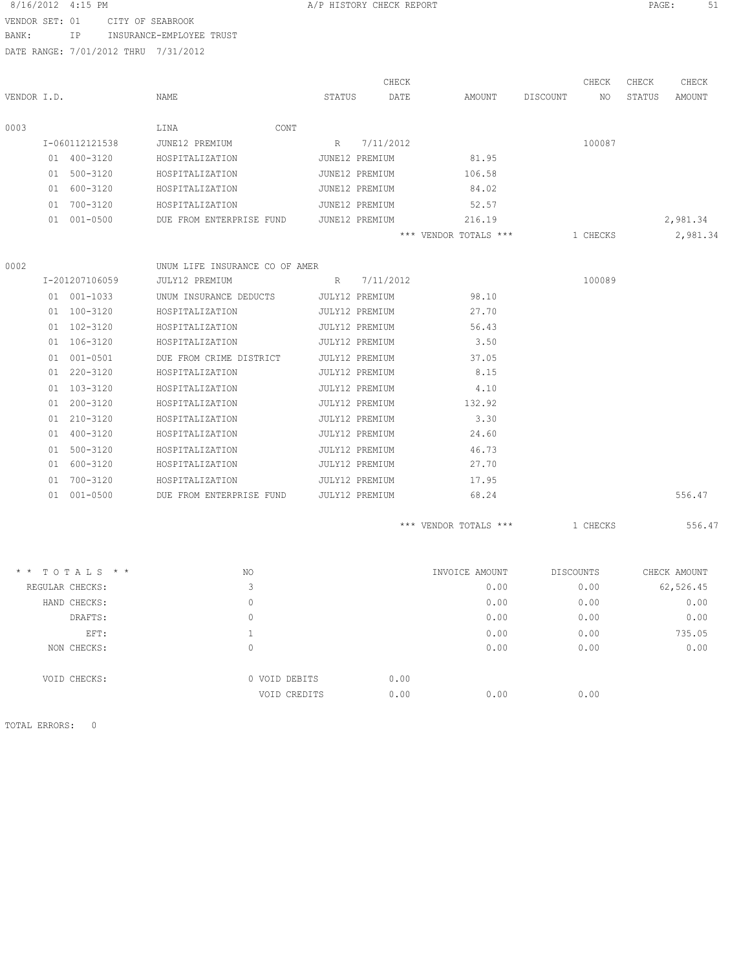| 8/16/2012 4:15 PM |                                      |                                |                | A/P HISTORY CHECK REPORT |                       |                | PAGE:  | -51          |
|-------------------|--------------------------------------|--------------------------------|----------------|--------------------------|-----------------------|----------------|--------|--------------|
| VENDOR SET: 01    |                                      | CITY OF SEABROOK               |                |                          |                       |                |        |              |
| BANK:             | IP.                                  | INSURANCE-EMPLOYEE TRUST       |                |                          |                       |                |        |              |
|                   | DATE RANGE: 7/01/2012 THRU 7/31/2012 |                                |                |                          |                       |                |        |              |
|                   |                                      |                                |                | CHECK                    |                       | CHECK          | CHECK  | CHECK        |
| VENDOR I.D.       |                                      | <b>NAME</b>                    | STATUS         | DATE                     | AMOUNT                | DISCOUNT<br>NO | STATUS | AMOUNT       |
| 0003              |                                      | LINA<br>CONT                   |                |                          |                       |                |        |              |
|                   | I-060112121538                       | JUNE12 PREMIUM                 | $R_{\perp}$    | 7/11/2012                |                       | 100087         |        |              |
|                   | 01 400-3120                          | HOSPITALIZATION                | JUNE12 PREMIUM |                          | 81.95                 |                |        |              |
|                   | 01 500-3120                          | HOSPITALIZATION                | JUNE12 PREMIUM |                          | 106.58                |                |        |              |
|                   | 01 600-3120                          | HOSPITALIZATION                | JUNE12 PREMIUM |                          | 84.02                 |                |        |              |
|                   | 01 700-3120                          | HOSPITALIZATION                | JUNE12 PREMIUM |                          | 52.57                 |                |        |              |
|                   | 01 001-0500                          | DUE FROM ENTERPRISE FUND       | JUNE12 PREMIUM |                          | 216.19                |                |        | 2,981.34     |
|                   |                                      |                                |                |                          | *** VENDOR TOTALS *** | 1 CHECKS       |        | 2,981.34     |
| 0002              |                                      | UNUM LIFE INSURANCE CO OF AMER |                |                          |                       |                |        |              |
|                   | I-201207106059                       | JULY12 PREMIUM                 |                | R 7/11/2012              |                       | 100089         |        |              |
|                   | 01 001-1033                          | UNUM INSURANCE DEDUCTS         | JULY12 PREMIUM |                          | 98.10                 |                |        |              |
|                   | 01 100-3120                          | HOSPITALIZATION                | JULY12 PREMIUM |                          | 27.70                 |                |        |              |
|                   | 01 102-3120                          | HOSPITALIZATION                | JULY12 PREMIUM |                          | 56.43                 |                |        |              |
|                   | 01 106-3120                          | HOSPITALIZATION                | JULY12 PREMIUM |                          | 3.50                  |                |        |              |
|                   | 01 001-0501                          | DUE FROM CRIME DISTRICT        | JULY12 PREMIUM |                          | 37.05                 |                |        |              |
|                   | 01 220-3120                          | HOSPITALIZATION                | JULY12 PREMIUM |                          | 8.15                  |                |        |              |
|                   | 01 103-3120                          | HOSPITALIZATION                | JULY12 PREMIUM |                          | 4.10                  |                |        |              |
|                   | 01 200-3120                          | HOSPITALIZATION                | JULY12 PREMIUM |                          | 132.92                |                |        |              |
|                   | 01 210-3120                          | HOSPITALIZATION                | JULY12 PREMIUM |                          | 3.30                  |                |        |              |
|                   | 01 400-3120                          | HOSPITALIZATION                | JULY12 PREMIUM |                          | 24.60                 |                |        |              |
|                   | 01 500-3120                          | HOSPITALIZATION                | JULY12 PREMIUM |                          | 46.73                 |                |        |              |
|                   | 01 600-3120                          | HOSPITALIZATION                | JULY12 PREMIUM |                          | 27.70                 |                |        |              |
|                   | 01 700-3120                          | HOSPITALIZATION                | JULY12 PREMIUM |                          | 17.95                 |                |        |              |
|                   | 01 001-0500                          | DUE FROM ENTERPRISE FUND       | JULY12 PREMIUM |                          | 68.24                 |                |        | 556.47       |
|                   |                                      |                                |                |                          | *** VENDOR TOTALS *** | 1 CHECKS       |        | 556.47       |
|                   | * * TOTALS * *                       | NO.                            |                |                          | INVOICE AMOUNT        | DISCOUNTS      |        | CHECK AMOUNT |
|                   | REGULAR CHECKS:                      | 3                              |                |                          | 0.00                  | 0.00           |        | 62,526.45    |
|                   | HAND CHECKS:                         | $\Omega$                       |                |                          | 0.00                  | 0.00           |        | 0.00         |

| DRAFTS:      |               |      | 0.00 | 0.00 | 0.00   |
|--------------|---------------|------|------|------|--------|
| EFT:         |               |      | 0.00 | 0.00 | 735.05 |
| NON CHECKS:  | 0             |      | 0.00 | 0.00 | 0.00   |
| VOID CHECKS: | 0 VOID DEBITS | 0.00 |      |      |        |
|              | VOID CREDITS  | 0.00 | 0.00 | 0.00 |        |

TOTAL ERRORS: 0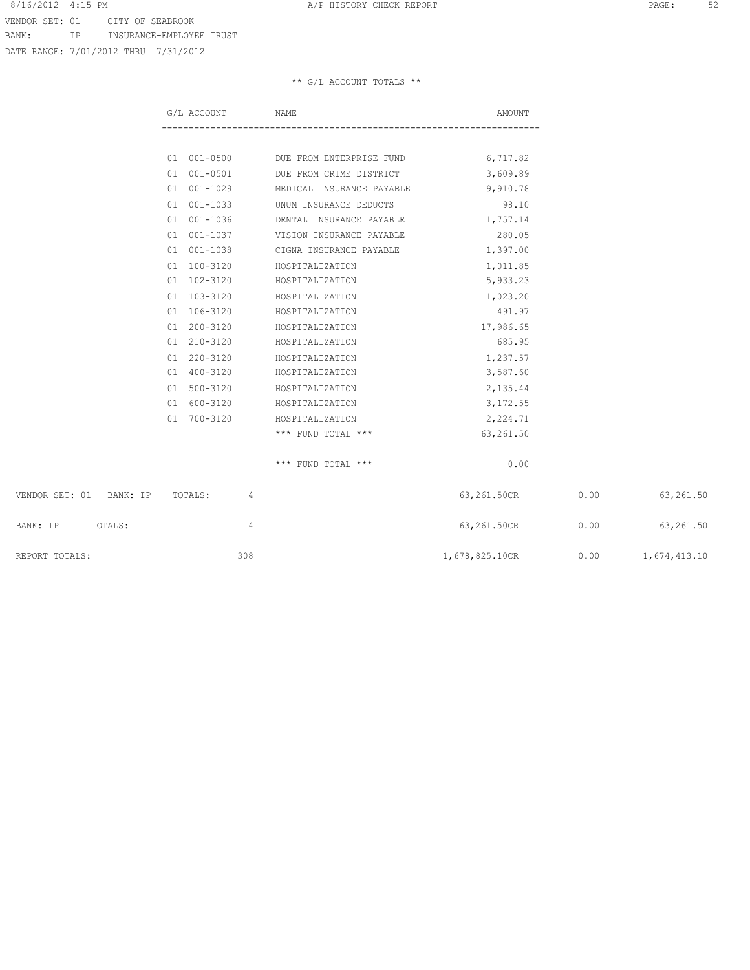VENDOR SET: 01 CITY OF SEABROOK BANK: IP INSURANCE-EMPLOYEE TRUST

DATE RANGE: 7/01/2012 THRU 7/31/2012

|                                 | G/L ACCOUNT | NAME                                          | AMOUNT                     |      |                     |
|---------------------------------|-------------|-----------------------------------------------|----------------------------|------|---------------------|
|                                 |             |                                               |                            |      |                     |
|                                 |             | 01 001-0500 DUE FROM ENTERPRISE FUND 6,717.82 |                            |      |                     |
|                                 |             | 01 001-0501 DUE FROM CRIME DISTRICT 3,609.89  |                            |      |                     |
|                                 | 01 001-1029 | MEDICAL INSURANCE PAYABLE                     | 9,910.78                   |      |                     |
|                                 | 01 001-1033 | UNUM INSURANCE DEDUCTS                        | 98.10                      |      |                     |
|                                 | 01 001-1036 | DENTAL INSURANCE PAYABLE                      | 1,757.14                   |      |                     |
|                                 | 01 001-1037 | VISION INSURANCE PAYABLE                      | 280.05                     |      |                     |
|                                 |             | 01 001-1038 CIGNA INSURANCE PAYABLE           | 1,397.00                   |      |                     |
|                                 | 01 100-3120 | HOSPITALIZATION                               | 1,011.85                   |      |                     |
|                                 | 01 102-3120 | HOSPITALIZATION                               | 5,933.23                   |      |                     |
|                                 | 01 103-3120 | HOSPITALIZATION                               | 1,023.20                   |      |                     |
|                                 | 01 106-3120 | HOSPITALIZATION                               | 491.97                     |      |                     |
|                                 | 01 200-3120 | HOSPITALIZATION                               | 17,986.65                  |      |                     |
|                                 | 01 210-3120 | HOSPITALIZATION                               | 685.95                     |      |                     |
|                                 | 01 220-3120 | HOSPITALIZATION                               | 1,237.57                   |      |                     |
|                                 | 01 400-3120 | HOSPITALIZATION                               | 3,587.60                   |      |                     |
|                                 | 01 500-3120 | HOSPITALIZATION                               | 2,135.44                   |      |                     |
|                                 | 01 600-3120 | HOSPITALIZATION                               | 3,172.55                   |      |                     |
|                                 | 01 700-3120 | HOSPITALIZATION                               | 2,224.71                   |      |                     |
|                                 |             | *** FUND TOTAL ***                            | 63,261.50                  |      |                     |
|                                 |             | *** FUND TOTAL ***                            | 0.00                       |      |                     |
| VENDOR SET: 01 BANK: IP TOTALS: | 4           |                                               | 63,261.50CR                | 0.00 | 63,261.50           |
| BANK: IP TOTALS:                | 4           |                                               | 63,261.50CR 0.00 63,261.50 |      |                     |
| REPORT TOTALS:                  | 308         |                                               | 1,678,825.10CR             |      | $0.00$ 1,674,413.10 |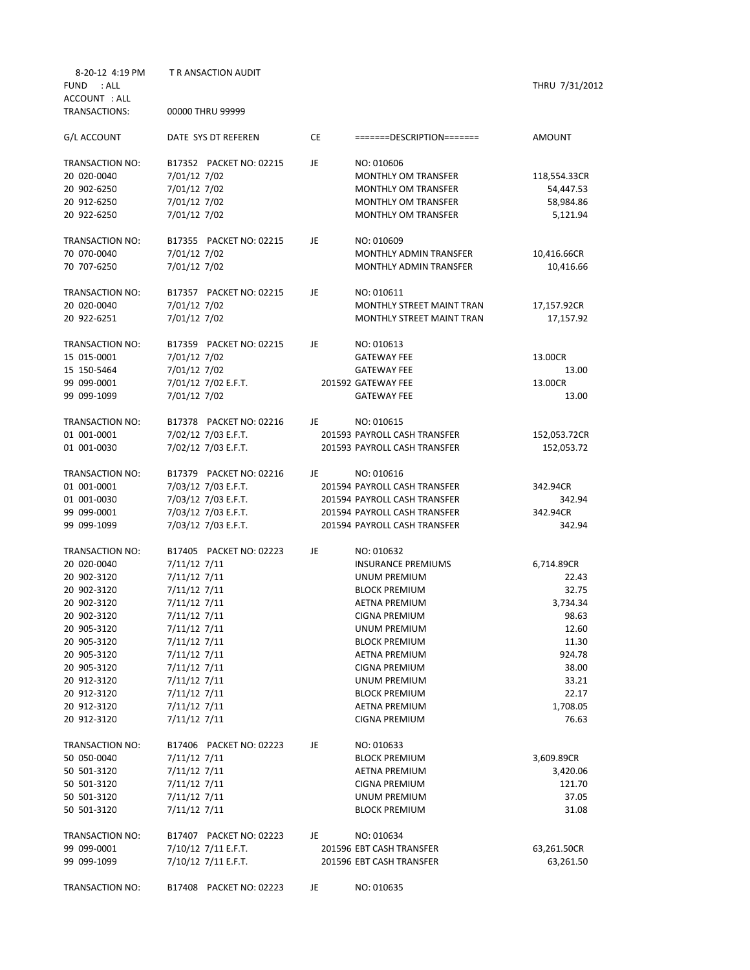| 8-20-12 4:19 PM<br><b>FUND</b><br>: ALL | <b>T R ANSACTION AUDIT</b> |    |                               | THRU 7/31/2012 |
|-----------------------------------------|----------------------------|----|-------------------------------|----------------|
|                                         |                            |    |                               |                |
| ACCOUNT : ALL<br>TRANSACTIONS:          | 00000 THRU 99999           |    |                               |                |
| G/L ACCOUNT                             | DATE SYS DT REFEREN        | CE | =======DESCRIPTION=======     | AMOUNT         |
| TRANSACTION NO:                         | B17352 PACKET NO: 02215    | JE | NO: 010606                    |                |
| 20 020-0040                             | 7/01/12 7/02               |    | <b>MONTHLY OM TRANSFER</b>    | 118,554.33CR   |
| 20 902-6250                             | 7/01/12 7/02               |    | <b>MONTHLY OM TRANSFER</b>    | 54,447.53      |
| 20 912-6250                             | 7/01/12 7/02               |    | <b>MONTHLY OM TRANSFER</b>    | 58,984.86      |
| 20 922-6250                             | 7/01/12 7/02               |    | <b>MONTHLY OM TRANSFER</b>    | 5,121.94       |
| TRANSACTION NO:                         | B17355 PACKET NO: 02215    | JE | NO: 010609                    |                |
| 70 070-0040                             | 7/01/12 7/02               |    | MONTHLY ADMIN TRANSFER        | 10,416.66CR    |
| 70 707-6250                             | 7/01/12 7/02               |    | <b>MONTHLY ADMIN TRANSFER</b> | 10,416.66      |
| TRANSACTION NO:                         | B17357 PACKET NO: 02215    | JE | NO: 010611                    |                |
| 20 020-0040                             | 7/01/12 7/02               |    | MONTHLY STREET MAINT TRAN     | 17,157.92CR    |
| 20 922-6251                             | 7/01/12 7/02               |    | MONTHLY STREET MAINT TRAN     | 17,157.92      |
| TRANSACTION NO:                         | B17359 PACKET NO: 02215    | JE | NO: 010613                    |                |
|                                         |                            |    |                               |                |
| 15 015-0001                             | 7/01/12 7/02               |    | <b>GATEWAY FEE</b>            | 13.00CR        |
| 15 150-5464                             | 7/01/12 7/02               |    | <b>GATEWAY FEE</b>            | 13.00          |
| 99 099-0001                             | 7/01/12 7/02 E.F.T.        |    | 201592 GATEWAY FEE            | 13.00CR        |
| 99 099-1099                             | 7/01/12 7/02               |    | <b>GATEWAY FEE</b>            | 13.00          |
| TRANSACTION NO:                         | B17378 PACKET NO: 02216    | JE | NO: 010615                    |                |
| 01 001-0001                             | 7/02/12 7/03 E.F.T.        |    | 201593 PAYROLL CASH TRANSFER  | 152,053.72CR   |
| 01 001-0030                             | 7/02/12 7/03 E.F.T.        |    | 201593 PAYROLL CASH TRANSFER  | 152,053.72     |
| TRANSACTION NO:                         | B17379 PACKET NO: 02216    | JE | NO: 010616                    |                |
| 01 001-0001                             | 7/03/12 7/03 E.F.T.        |    | 201594 PAYROLL CASH TRANSFER  | 342.94CR       |
| 01 001-0030                             | 7/03/12 7/03 E.F.T.        |    | 201594 PAYROLL CASH TRANSFER  | 342.94         |
| 99 099-0001                             | 7/03/12 7/03 E.F.T.        |    | 201594 PAYROLL CASH TRANSFER  | 342.94CR       |
| 99 099-1099                             | 7/03/12 7/03 E.F.T.        |    | 201594 PAYROLL CASH TRANSFER  | 342.94         |
| TRANSACTION NO:                         | B17405 PACKET NO: 02223    | JE | NO: 010632                    |                |
| 20 020-0040                             | 7/11/12 7/11               |    | <b>INSURANCE PREMIUMS</b>     | 6,714.89CR     |
| 20 902-3120                             | 7/11/12 7/11               |    | UNUM PREMIUM                  | 22.43          |
| 20 902-3120                             | 7/11/12 7/11               |    | <b>BLOCK PREMIUM</b>          | 32.75          |
|                                         |                            |    |                               |                |
| 20 902-3120                             | 7/11/12 7/11               |    | <b>AETNA PREMIUM</b>          | 3,734.34       |
| 20 902-3120                             | 7/11/12 7/11               |    | <b>CIGNA PREMIUM</b>          | 98.63          |
| 20 905-3120                             | 7/11/12 7/11               |    | UNUM PREMIUM                  | 12.60          |
| 20 905-3120                             | $7/11/12$ $7/11$           |    | <b>BLOCK PREMIUM</b>          | 11.30          |
| 20 905-3120                             | $7/11/12$ $7/11$           |    | <b>AETNA PREMIUM</b>          | 924.78         |
| 20 905-3120                             | $7/11/12$ $7/11$           |    | <b>CIGNA PREMIUM</b>          | 38.00          |
| 20 912-3120                             | 7/11/12 7/11               |    | UNUM PREMIUM                  | 33.21          |
| 20 912-3120                             | $7/11/12$ $7/11$           |    | <b>BLOCK PREMIUM</b>          | 22.17          |
| 20 912-3120                             | $7/11/12$ $7/11$           |    | <b>AETNA PREMIUM</b>          | 1,708.05       |
| 20 912-3120                             | $7/11/12$ $7/11$           |    | <b>CIGNA PREMIUM</b>          | 76.63          |
| TRANSACTION NO:                         | B17406 PACKET NO: 02223    | JE | NO: 010633                    |                |
| 50 050-0040                             | $7/11/12$ $7/11$           |    | <b>BLOCK PREMIUM</b>          | 3,609.89CR     |
| 50 501-3120                             | $7/11/12$ $7/11$           |    | <b>AETNA PREMIUM</b>          | 3,420.06       |
| 50 501-3120                             | $7/11/12$ $7/11$           |    | CIGNA PREMIUM                 | 121.70         |
|                                         |                            |    |                               |                |
| 50 501-3120                             | $7/11/12$ $7/11$           |    | UNUM PREMIUM                  | 37.05          |
| 50 501-3120                             | $7/11/12$ $7/11$           |    | <b>BLOCK PREMIUM</b>          | 31.08          |
| TRANSACTION NO:                         | B17407 PACKET NO: 02223    | JE | NO: 010634                    |                |
| 99 099-0001                             | 7/10/12 7/11 E.F.T.        |    | 201596 EBT CASH TRANSFER      | 63,261.50CR    |
| 99 099-1099                             | 7/10/12 7/11 E.F.T.        |    | 201596 EBT CASH TRANSFER      | 63,261.50      |
| TRANSACTION NO:                         | B17408 PACKET NO: 02223    | JE | NO: 010635                    |                |
|                                         |                            |    |                               |                |